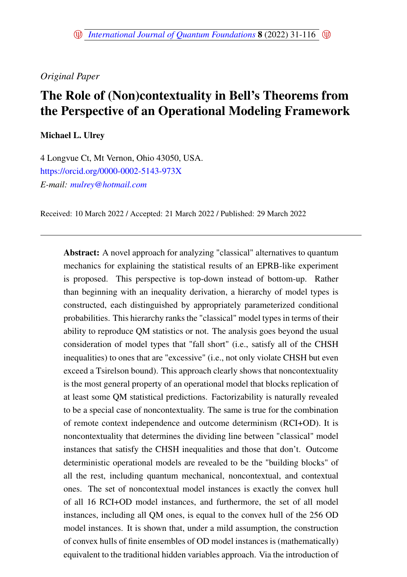# *Original Paper*

# The Role of (Non)contextuality in Bell's Theorems from the Perspective of an Operational Modeling Framework

Michael L. Ulrey

4 Longvue Ct, Mt Vernon, Ohio 43050, USA. <https://orcid.org/0000-0002-5143-973X> *E-mail: <mulrey@hotmail.com>*

Received: 10 March 2022 / Accepted: 21 March 2022 / Published: 29 March 2022

Abstract: A novel approach for analyzing "classical" alternatives to quantum mechanics for explaining the statistical results of an EPRB-like experiment is proposed. This perspective is top-down instead of bottom-up. Rather than beginning with an inequality derivation, a hierarchy of model types is constructed, each distinguished by appropriately parameterized conditional probabilities. This hierarchy ranks the "classical" model types in terms of their ability to reproduce QM statistics or not. The analysis goes beyond the usual consideration of model types that "fall short" (i.e., satisfy all of the CHSH inequalities) to ones that are "excessive" (i.e., not only violate CHSH but even exceed a Tsirelson bound). This approach clearly shows that noncontextuality is the most general property of an operational model that blocks replication of at least some QM statistical predictions. Factorizability is naturally revealed to be a special case of noncontextuality. The same is true for the combination of remote context independence and outcome determinism (RCI+OD). It is noncontextuality that determines the dividing line between "classical" model instances that satisfy the CHSH inequalities and those that don't. Outcome deterministic operational models are revealed to be the "building blocks" of all the rest, including quantum mechanical, noncontextual, and contextual ones. The set of noncontextual model instances is exactly the convex hull of all 16 RCI+OD model instances, and furthermore, the set of all model instances, including all QM ones, is equal to the convex hull of the 256 OD model instances. It is shown that, under a mild assumption, the construction of convex hulls of finite ensembles of OD model instances is (mathematically) equivalent to the traditional hidden variables approach. Via the introduction of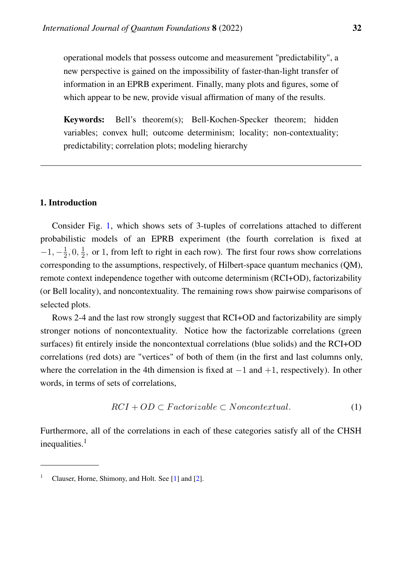operational models that possess outcome and measurement "predictability", a new perspective is gained on the impossibility of faster-than-light transfer of information in an EPRB experiment. Finally, many plots and figures, some of which appear to be new, provide visual affirmation of many of the results.

Keywords: Bell's theorem(s); Bell-Kochen-Specker theorem; hidden variables; convex hull; outcome determinism; locality; non-contextuality; predictability; correlation plots; modeling hierarchy

# 1. Introduction

Consider Fig. [1,](#page-2-0) which shows sets of 3-tuples of correlations attached to different probabilistic models of an EPRB experiment (the fourth correlation is fixed at  $-1, -\frac{1}{2}$  $\frac{1}{2}, 0, \frac{1}{2}$  $\frac{1}{2}$ , or 1, from left to right in each row). The first four rows show correlations corresponding to the assumptions, respectively, of Hilbert-space quantum mechanics (QM), remote context independence together with outcome determinism (RCI+OD), factorizability (or Bell locality), and noncontextuality. The remaining rows show pairwise comparisons of selected plots.

Rows 2-4 and the last row strongly suggest that RCI+OD and factorizability are simply stronger notions of noncontextuality. Notice how the factorizable correlations (green surfaces) fit entirely inside the noncontextual correlations (blue solids) and the RCI+OD correlations (red dots) are "vertices" of both of them (in the first and last columns only, where the correlation in the 4th dimension is fixed at  $-1$  and  $+1$ , respectively). In other words, in terms of sets of correlations,

<span id="page-1-0"></span>
$$
RCI + OD \subset Factorizable \subset Noncontextual.
$$
 (1)

Furthermore, all of the correlations in each of these categories satisfy all of the CHSH inequalities.<sup>1</sup>

<sup>&</sup>lt;sup>1</sup> Clauser, Horne, Shimony, and Holt. See [\[1\]](#page-83-0) and [\[2\]](#page-83-1).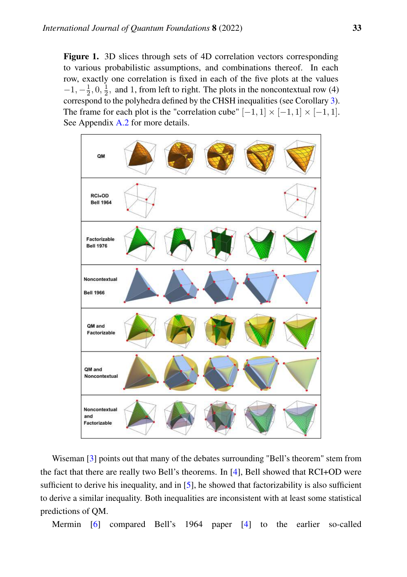<span id="page-2-0"></span>Figure 1. 3D slices through sets of 4D correlation vectors corresponding to various probabilistic assumptions, and combinations thereof. In each row, exactly one correlation is fixed in each of the five plots at the values  $-1, -\frac{1}{2}$  $\frac{1}{2}, 0, \frac{1}{2}$  $\frac{1}{2}$ , and 1, from left to right. The plots in the noncontextual row (4) correspond to the polyhedra defined by the CHSH inequalities (see Corollary [3\)](#page-29-0). The frame for each plot is the "correlation cube"  $[-1, 1] \times [-1, 1] \times [-1, 1]$ . See Appendix [A.2](#page-62-0) for more details.



Wiseman [\[3\]](#page-83-2) points out that many of the debates surrounding "Bell's theorem" stem from the fact that there are really two Bell's theorems. In [\[4\]](#page-83-3), Bell showed that RCI+OD were sufficient to derive his inequality, and in [\[5\]](#page-83-4), he showed that factorizability is also sufficient to derive a similar inequality. Both inequalities are inconsistent with at least some statistical predictions of QM.

Mermin [\[6\]](#page-83-5) compared Bell's 1964 paper [\[4\]](#page-83-3) to the earlier so-called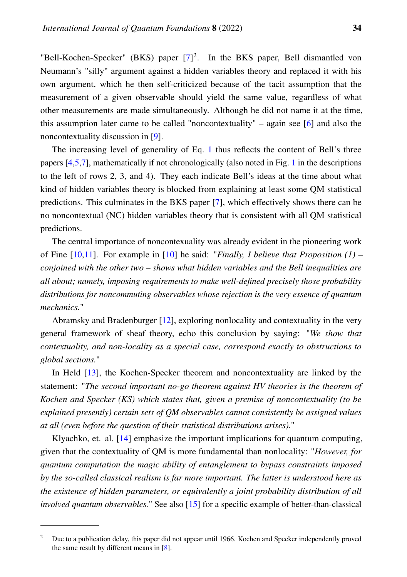"Bell-Kochen-Specker" (BKS) paper  $[7]^2$  $[7]^2$ . In the BKS paper, Bell dismantled von Neumann's "silly" argument against a hidden variables theory and replaced it with his own argument, which he then self-criticized because of the tacit assumption that the measurement of a given observable should yield the same value, regardless of what other measurements are made simultaneously. Although he did not name it at the time, this assumption later came to be called "noncontextuality" – again see [\[6\]](#page-83-5) and also the noncontextuality discussion in [\[9\]](#page-83-7).

The increasing level of generality of Eq. [1](#page-1-0) thus reflects the content of Bell's three papers [\[4,](#page-83-3)[5](#page-83-4)[,7\]](#page-83-6), mathematically if not chronologically (also noted in Fig. [1](#page-2-0) in the descriptions to the left of rows 2, 3, and 4). They each indicate Bell's ideas at the time about what kind of hidden variables theory is blocked from explaining at least some QM statistical predictions. This culminates in the BKS paper [\[7\]](#page-83-6), which effectively shows there can be no noncontextual (NC) hidden variables theory that is consistent with all QM statistical predictions.

The central importance of noncontexuality was already evident in the pioneering work of Fine [\[10,](#page-83-8)[11\]](#page-83-9). For example in [\[10\]](#page-83-8) he said: "*Finally, I believe that Proposition (1) – conjoined with the other two – shows what hidden variables and the Bell inequalities are all about; namely, imposing requirements to make well-defined precisely those probability distributions for noncommuting observables whose rejection is the very essence of quantum mechanics.*"

Abramsky and Bradenburger [\[12\]](#page-84-0), exploring nonlocality and contextuality in the very general framework of sheaf theory, echo this conclusion by saying: "*We show that contextuality, and non-locality as a special case, correspond exactly to obstructions to global sections.*"

In Held [\[13\]](#page-84-1), the Kochen-Specker theorem and noncontextuality are linked by the statement: "*The second important no-go theorem against HV theories is the theorem of Kochen and Specker (KS) which states that, given a premise of noncontextuality (to be explained presently) certain sets of QM observables cannot consistently be assigned values at all (even before the question of their statistical distributions arises).*"

Klyachko, et. al. [\[14\]](#page-84-2) emphasize the important implications for quantum computing, given that the contextuality of QM is more fundamental than nonlocality: "*However, for quantum computation the magic ability of entanglement to bypass constraints imposed by the so-called classical realism is far more important. The latter is understood here as the existence of hidden parameters, or equivalently a joint probability distribution of all involved quantum observables.*" See also [\[15\]](#page-84-3) for a specific example of better-than-classical

<sup>&</sup>lt;sup>2</sup> Due to a publication delay, this paper did not appear until 1966. Kochen and Specker independently proved the same result by different means in [\[8\]](#page-83-10).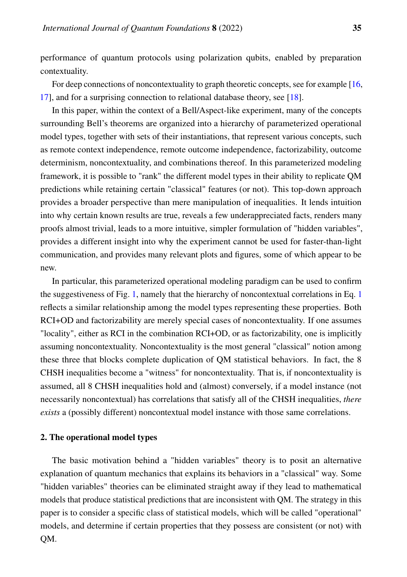performance of quantum protocols using polarization qubits, enabled by preparation contextuality.

For deep connections of noncontextuality to graph theoretic concepts, see for example [\[16,](#page-84-4) [17\]](#page-84-5), and for a surprising connection to relational database theory, see [\[18\]](#page-84-6).

In this paper, within the context of a Bell/Aspect-like experiment, many of the concepts surrounding Bell's theorems are organized into a hierarchy of parameterized operational model types, together with sets of their instantiations, that represent various concepts, such as remote context independence, remote outcome independence, factorizability, outcome determinism, noncontextuality, and combinations thereof. In this parameterized modeling framework, it is possible to "rank" the different model types in their ability to replicate QM predictions while retaining certain "classical" features (or not). This top-down approach provides a broader perspective than mere manipulation of inequalities. It lends intuition into why certain known results are true, reveals a few underappreciated facts, renders many proofs almost trivial, leads to a more intuitive, simpler formulation of "hidden variables", provides a different insight into why the experiment cannot be used for faster-than-light communication, and provides many relevant plots and figures, some of which appear to be new.

In particular, this parameterized operational modeling paradigm can be used to confirm the suggestiveness of Fig. [1,](#page-2-0) namely that the hierarchy of noncontextual correlations in Eq. [1](#page-1-0) reflects a similar relationship among the model types representing these properties. Both RCI+OD and factorizability are merely special cases of noncontextuality. If one assumes "locality", either as RCI in the combination RCI+OD, or as factorizability, one is implicitly assuming noncontextuality. Noncontextuality is the most general "classical" notion among these three that blocks complete duplication of QM statistical behaviors. In fact, the 8 CHSH inequalities become a "witness" for noncontextuality. That is, if noncontextuality is assumed, all 8 CHSH inequalities hold and (almost) conversely, if a model instance (not necessarily noncontextual) has correlations that satisfy all of the CHSH inequalities, *there exists* a (possibly different) noncontextual model instance with those same correlations.

## 2. The operational model types

The basic motivation behind a "hidden variables" theory is to posit an alternative explanation of quantum mechanics that explains its behaviors in a "classical" way. Some "hidden variables" theories can be eliminated straight away if they lead to mathematical models that produce statistical predictions that are inconsistent with QM. The strategy in this paper is to consider a specific class of statistical models, which will be called "operational" models, and determine if certain properties that they possess are consistent (or not) with QM.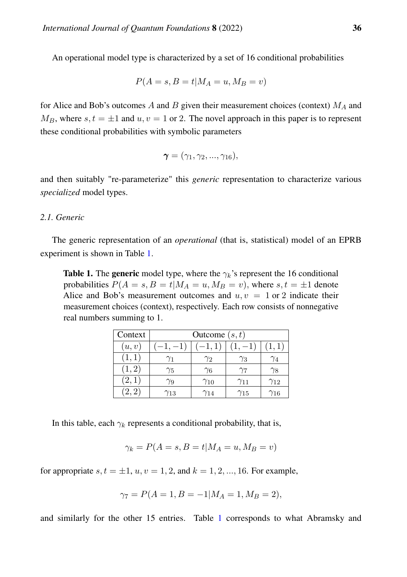An operational model type is characterized by a set of 16 conditional probabilities

$$
P(A = s, B = t | M_A = u, M_B = v)
$$

for Alice and Bob's outcomes A and B given their measurement choices (context)  $M_A$  and  $M_B$ , where  $s, t = \pm 1$  and  $u, v = 1$  or 2. The novel approach in this paper is to represent these conditional probabilities with symbolic parameters

$$
\boldsymbol{\gamma}=(\gamma_1,\gamma_2,...,\gamma_{16}),
$$

and then suitably "re-parameterize" this *generic* representation to characterize various *specialized* model types.

# *2.1. Generic*

The generic representation of an *operational* (that is, statistical) model of an EPRB experiment is shown in Table [1.](#page-5-0)

<span id="page-5-0"></span>**Table 1.** The generic model type, where the  $\gamma_k$ 's represent the 16 conditional probabilities  $P(A = s, B = t | M_A = u, M_B = v)$ , where  $s, t = \pm 1$  denote Alice and Bob's measurement outcomes and  $u, v = 1$  or 2 indicate their measurement choices (context), respectively. Each row consists of nonnegative real numbers summing to 1.

| Context | Outcome $(s, t)$ |               |               |               |  |  |  |  |  |  |  |
|---------|------------------|---------------|---------------|---------------|--|--|--|--|--|--|--|
| (u, v)  |                  | $-1,1$        |               | 1, 1)         |  |  |  |  |  |  |  |
| (1,1)   | $\gamma_1$       | Y2            | $\gamma_3$    | $\gamma_4$    |  |  |  |  |  |  |  |
| (1, 2)  | $\gamma_5$       | $\gamma_6$    | γ7            | $\gamma_8$    |  |  |  |  |  |  |  |
| (2,1)   | γg               | $\gamma_{10}$ | $\gamma_{11}$ | $\gamma_{12}$ |  |  |  |  |  |  |  |
| (2, 2)  | $\gamma_{13}$    | Ϋ14           | $\gamma_{15}$ | $\gamma_{16}$ |  |  |  |  |  |  |  |

In this table, each  $\gamma_k$  represents a conditional probability, that is,

$$
\gamma_k = P(A = s, B = t | M_A = u, M_B = v)
$$

for appropriate  $s, t = \pm 1, u, v = 1, 2,$  and  $k = 1, 2, ..., 16$ . For example,

$$
\gamma_7 = P(A = 1, B = -1 | M_A = 1, M_B = 2),
$$

and similarly for the other 15 entries. Table [1](#page-5-0) corresponds to what Abramsky and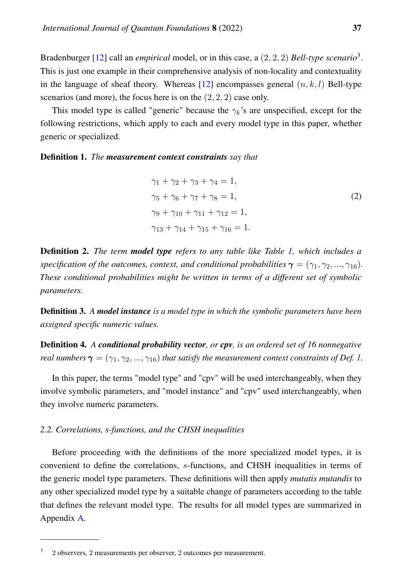Bradenburger [\[12\]](#page-84-0) call an *empirical* model, or in this case, a (2, 2, 2) *Bell-type scenario*<sup>3</sup> . This is just one example in their comprehensive analysis of non-locality and contextuality in the language of sheaf theory. Whereas [\[12\]](#page-84-0) encompasses general  $(n, k, l)$  Bell-type scenarios (and more), the focus here is on the  $(2, 2, 2)$  case only.

This model type is called "generic" because the  $\gamma_k$ 's are unspecified, except for the following restrictions, which apply to each and every model type in this paper, whether generic or specialized.

#### <span id="page-6-0"></span>Definition 1. *The measurement context constraints say that*

$$
\gamma_1 + \gamma_2 + \gamma_3 + \gamma_4 = 1,\n\gamma_5 + \gamma_6 + \gamma_7 + \gamma_8 = 1,\n\gamma_9 + \gamma_{10} + \gamma_{11} + \gamma_{12} = 1,\n\gamma_{13} + \gamma_{14} + \gamma_{15} + \gamma_{16} = 1.
$$
\n(2)

Definition 2. *The term model type refers to any table like Table [1,](#page-5-0) which includes a specification of the outcomes, context, and conditional probabilities*  $\gamma = (\gamma_1, \gamma_2, ..., \gamma_{16})$ *. These conditional probabilities might be written in terms of a different set of symbolic parameters.*

Definition 3. *A model instance is a model type in which the symbolic parameters have been assigned specific numeric values.*

Definition 4. *A conditional probability vector, or cpv, is an ordered set of 16 nonnegative real numbers*  $\gamma = (\gamma_1, \gamma_2, ..., \gamma_{16})$  *that satisfy the measurement context constraints of Def. [1.](#page-6-0)* 

In this paper, the terms "model type" and "cpv" will be used interchangeably, when they involve symbolic parameters, and "model instance" and "cpv" used interchangeably, when they involve numeric parameters.

# *2.2. Correlations, s-functions, and the CHSH inequalities*

Before proceeding with the definitions of the more specialized model types, it is convenient to define the correlations, s-functions, and CHSH inequalities in terms of the generic model type parameters. These definitions will then apply *mutatis mutandis* to any other specialized model type by a suitable change of parameters according to the table that defines the relevant model type. The results for all model types are summarized in Appendix [A.](#page-57-0)

<sup>3</sup> 2 observers, 2 measurements per observer, 2 outcomes per measurement.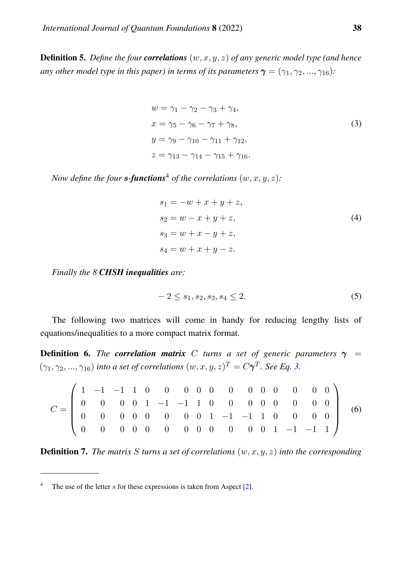**Definition 5.** Define the four **correlations**  $(w, x, y, z)$  of any generic model type (and hence *any other model type in this paper) in terms of its parameters*  $\gamma = (\gamma_1, \gamma_2, ..., \gamma_{16})$ *:* 

<span id="page-7-0"></span>
$$
w = \gamma_1 - \gamma_2 - \gamma_3 + \gamma_4,
$$
  
\n
$$
x = \gamma_5 - \gamma_6 - \gamma_7 + \gamma_8,
$$
  
\n
$$
y = \gamma_9 - \gamma_{10} - \gamma_{11} + \gamma_{12},
$$
  
\n
$$
z = \gamma_{13} - \gamma_{14} - \gamma_{15} + \gamma_{16}.
$$
\n(3)

*Now define the four s*-*functions*<sup>4</sup> *of the correlations*  $(w, x, y, z)$ *:* 

<span id="page-7-1"></span>
$$
s_1 = -w + x + y + z,s_2 = w - x + y + z,s_3 = w + x - y + z,s_4 = w + x + y - z.
$$
 (4)

*Finally the 8 CHSH inequalities are:*

<span id="page-7-2"></span>
$$
-2 \le s_1, s_2, s_3, s_4 \le 2. \tag{5}
$$

The following two matrices will come in handy for reducing lengthy lists of equations/inequalities to a more compact matrix format.

<span id="page-7-3"></span>**Definition 6.** *The correlation matrix* C *turns a set of generic parameters*  $\gamma$  =  $(\gamma_1, \gamma_2, ..., \gamma_{16})$  *into a set of correlations*  $(w, x, y, z)^T = C\gamma^T$ *. See Eq. [3.](#page-7-0)* 

$$
C = \begin{pmatrix} 1 & -1 & -1 & 1 & 0 & 0 & 0 & 0 & 0 & 0 & 0 & 0 & 0 & 0 & 0 & 0 \\ 0 & 0 & 0 & 0 & 1 & -1 & -1 & 1 & 0 & 0 & 0 & 0 & 0 & 0 & 0 \\ 0 & 0 & 0 & 0 & 0 & 0 & 0 & 0 & 1 & -1 & -1 & 1 & 0 & 0 & 0 & 0 \\ 0 & 0 & 0 & 0 & 0 & 0 & 0 & 0 & 0 & 0 & 0 & 0 & 1 & -1 & -1 & 1 \end{pmatrix}
$$
(6)

**Definition 7.** The matrix S turns a set of correlations  $(w, x, y, z)$  into the corresponding

<sup>&</sup>lt;sup>4</sup> The use of the letter s for these expressions is taken from Aspect [\[2\]](#page-83-1).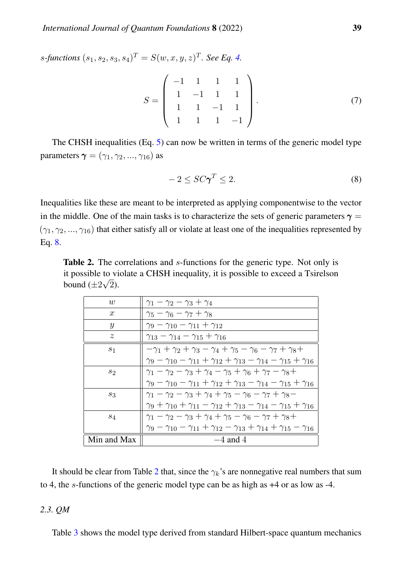$s$ -functions  $(s_1, s_2, s_3, s_4)^T = S(w, x, y, z)^T$ . See Eq. [4.](#page-7-1)

$$
S = \begin{pmatrix} -1 & 1 & 1 & 1 \\ 1 & -1 & 1 & 1 \\ 1 & 1 & -1 & 1 \\ 1 & 1 & 1 & -1 \end{pmatrix}.
$$
 (7)

The CHSH inequalities (Eq. [5\)](#page-7-2) can now be written in terms of the generic model type parameters  $\gamma = (\gamma_1, \gamma_2, ..., \gamma_{16})$  as

<span id="page-8-0"></span>
$$
-2 \le SC\gamma^T \le 2. \tag{8}
$$

Inequalities like these are meant to be interpreted as applying componentwise to the vector in the middle. One of the main tasks is to characterize the sets of generic parameters  $\gamma$  =  $(\gamma_1, \gamma_2, ..., \gamma_{16})$  that either satisfy all or violate at least one of the inequalities represented by Eq. [8.](#page-8-0)

<span id="page-8-1"></span>Table 2. The correlations and *s*-functions for the generic type. Not only is it possible to violate a CHSH inequality, it is possible to exceed a Tsirelson √ bound  $(\pm 2\sqrt{2})$ .

| w                | $\gamma_1 - \gamma_2 - \gamma_3 + \gamma_4$                                                                  |
|------------------|--------------------------------------------------------------------------------------------------------------|
| $\boldsymbol{x}$ | $\gamma_5 - \gamma_6 - \gamma_7 + \gamma_8$                                                                  |
| $\boldsymbol{y}$ | $\gamma_9 - \gamma_{10} - \gamma_{11} + \gamma_{12}$                                                         |
| $\tilde{z}$      | $\gamma_{13} - \gamma_{14} - \gamma_{15} + \gamma_{16}$                                                      |
| $s_1$            | $-\gamma_1 + \gamma_2 + \gamma_3 - \gamma_4 + \gamma_5 - \gamma_6 - \gamma_7 + \gamma_8 +$                   |
|                  | $\gamma_9 - \gamma_{10} - \gamma_{11} + \gamma_{12} + \gamma_{13} - \gamma_{14} - \gamma_{15} + \gamma_{16}$ |
| $s_2$            | $\gamma_1 - \gamma_2 - \gamma_3 + \gamma_4 - \gamma_5 + \gamma_6 + \gamma_7 - \gamma_8 +$                    |
|                  | $\gamma_9 - \gamma_{10} - \gamma_{11} + \gamma_{12} + \gamma_{13} - \gamma_{14} - \gamma_{15} + \gamma_{16}$ |
| $s_3$            | $\gamma_1 - \gamma_2 - \gamma_3 + \gamma_4 + \gamma_5 - \gamma_6 - \gamma_7 + \gamma_8 -$                    |
|                  | $\gamma_9 + \gamma_{10} + \gamma_{11} - \gamma_{12} + \gamma_{13} - \gamma_{14} - \gamma_{15} + \gamma_{16}$ |
| $s_4$            | $\gamma_1 - \gamma_2 - \gamma_3 + \gamma_4 + \gamma_5 - \gamma_6 - \gamma_7 + \gamma_8 +$                    |
|                  | $\gamma_9 - \gamma_{10} - \gamma_{11} + \gamma_{12} - \gamma_{13} + \gamma_{14} + \gamma_{15} - \gamma_{16}$ |
| Min and Max      | $-4$ and 4                                                                                                   |

It should be clear from Table [2](#page-8-1) that, since the  $\gamma_k$ 's are nonnegative real numbers that sum to 4, the s-functions of the generic model type can be as high as +4 or as low as -4.

# *2.3. QM*

Table [3](#page-9-0) shows the model type derived from standard Hilbert-space quantum mechanics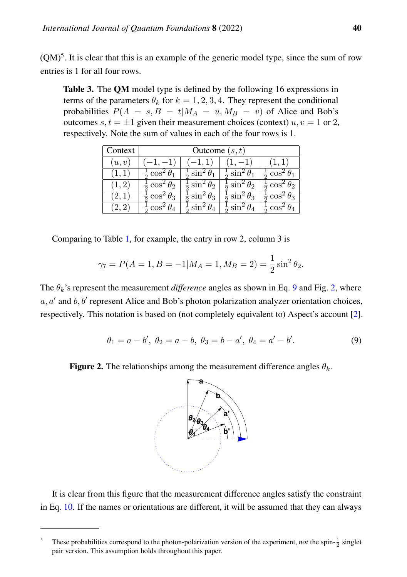$(QM)^5$ . It is clear that this is an example of the generic model type, since the sum of row entries is 1 for all four rows.

<span id="page-9-0"></span>Table 3. The QM model type is defined by the following 16 expressions in terms of the parameters  $\theta_k$  for  $k = 1, 2, 3, 4$ . They represent the conditional probabilities  $P(A = s, B = t | M_A = u, M_B = v)$  of Alice and Bob's outcomes  $s, t = \pm 1$  given their measurement choices (context)  $u, v = 1$  or 2, respectively. Note the sum of values in each of the four rows is 1.

| Context | Outcome $(s, t)$              |                                         |                                           |                               |  |  |  |  |  |  |  |
|---------|-------------------------------|-----------------------------------------|-------------------------------------------|-------------------------------|--|--|--|--|--|--|--|
| (u,v)   | $(-1,-1)$                     | $(-1,1)$                                | $(1,-1)$                                  | (1,1)                         |  |  |  |  |  |  |  |
| (1,1)   | $rac{1}{2} \cos^2 \theta_1$   | $\frac{1}{2} \sin^2 \theta_1$           | $\frac{1}{2}\sin^2\theta_1$               | $\frac{1}{2} \cos^2 \theta_1$ |  |  |  |  |  |  |  |
| (1,2)   | $rac{1}{2} \cos^2 \theta_2$   | $\frac{1}{2} \sin^2 \theta_2$           | $\frac{1}{2} \sin^2 \theta_2$             | $\frac{1}{2} \cos^2 \theta_2$ |  |  |  |  |  |  |  |
| (2,1)   | $\frac{1}{2} \cos^2 \theta_3$ | $rac{1}{2}$ sin <sup>2</sup> $\theta_3$ | $\frac{1}{2}$ sin <sup>2</sup> $\theta_3$ | $\frac{1}{2} \cos^2 \theta_3$ |  |  |  |  |  |  |  |
| (2, 2)  | $\frac{1}{2} \cos^2 \theta_4$ | $rac{1}{2}$ sin <sup>2</sup> $\theta_4$ | $rac{1}{2}$ sin <sup>2</sup> $\theta_4$   | $\frac{1}{2} \cos^2 \theta_4$ |  |  |  |  |  |  |  |

Comparing to Table [1,](#page-5-0) for example, the entry in row 2, column 3 is

$$
\gamma_7 = P(A = 1, B = -1|M_A = 1, M_B = 2) = \frac{1}{2}\sin^2\theta_2.
$$

The  $\theta_k$ 's represent the measurement *difference* angles as shown in Eq. [9](#page-9-1) and Fig. [2,](#page-9-2) where  $a, a'$  and  $b, b'$  represent Alice and Bob's photon polarization analyzer orientation choices, respectively. This notation is based on (not completely equivalent to) Aspect's account [\[2\]](#page-83-1).

<span id="page-9-1"></span>
$$
\theta_1 = a - b', \ \theta_2 = a - b, \ \theta_3 = b - a', \ \theta_4 = a' - b'.
$$
 (9)

<span id="page-9-2"></span>**Figure 2.** The relationships among the measurement difference angles  $\theta_k$ .



It is clear from this figure that the measurement difference angles satisfy the constraint in Eq. [10.](#page-10-0) If the names or orientations are different, it will be assumed that they can always

<sup>&</sup>lt;sup>5</sup> These probabilities correspond to the photon-polarization version of the experiment, *not* the spin- $\frac{1}{2}$  singlet pair version. This assumption holds throughout this paper.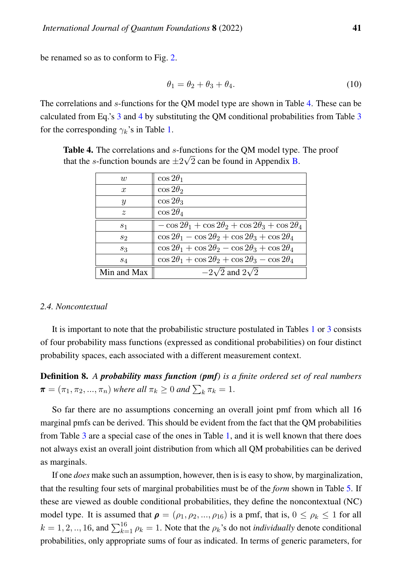be renamed so as to conform to Fig. [2.](#page-9-2)

<span id="page-10-0"></span>
$$
\theta_1 = \theta_2 + \theta_3 + \theta_4. \tag{10}
$$

The correlations and s-functions for the QM model type are shown in Table [4.](#page-10-1) These can be calculated from Eq.'s [3](#page-7-0) and [4](#page-7-1) by substituting the QM conditional probabilities from Table [3](#page-9-0) for the corresponding  $\gamma_k$ 's in Table [1.](#page-5-0)

<span id="page-10-1"></span>Table 4. The correlations and s-functions for the QM model type. The proof that the *s*-function bounds are  $\pm 2\sqrt{2}$  can be found in Appendix **B**.

| w                | $\cos 2\theta_1$                                                     |
|------------------|----------------------------------------------------------------------|
| $\boldsymbol{x}$ | $\cos 2\theta_2$                                                     |
| $\boldsymbol{y}$ | $\cos 2\theta_3$                                                     |
| $\tilde{z}$      | $\cos 2\theta_4$                                                     |
| s <sub>1</sub>   | $-\cos 2\theta_1 + \cos 2\theta_2 + \cos 2\theta_3 + \cos 2\theta_4$ |
| $s_2$            | $\cos 2\theta_1 - \cos 2\theta_2 + \cos 2\theta_3 + \cos 2\theta_4$  |
| $s_3$            | $\cos 2\theta_1 + \cos 2\theta_2 - \cos 2\theta_3 + \cos 2\theta_4$  |
| $s_4$            | $\cos 2\theta_1 + \cos 2\theta_2 + \cos 2\theta_3 - \cos 2\theta_4$  |
| Min and Max      | $-2\sqrt{2}$ and $2\sqrt{2}$                                         |

## *2.4. Noncontextual*

It is important to note that the probabilistic structure postulated in Tables [1](#page-5-0) or [3](#page-9-0) consists of four probability mass functions (expressed as conditional probabilities) on four distinct probability spaces, each associated with a different measurement context.

Definition 8. *A probability mass function (pmf) is a finite ordered set of real numbers*  $\boldsymbol{\pi} = (\pi_1, \pi_2, ..., \pi_n)$  where all  $\pi_k \geq 0$  and  $\sum_k \pi_k = 1$ .

So far there are no assumptions concerning an overall joint pmf from which all 16 marginal pmfs can be derived. This should be evident from the fact that the QM probabilities from Table [3](#page-9-0) are a special case of the ones in Table [1,](#page-5-0) and it is well known that there does not always exist an overall joint distribution from which all QM probabilities can be derived as marginals.

If one *does* make such an assumption, however, then is is easy to show, by marginalization, that the resulting four sets of marginal probabilities must be of the *form* shown in Table [5.](#page-11-0) If these are viewed as double conditional probabilities, they define the noncontextual (NC) model type. It is assumed that  $\rho = (\rho_1, \rho_2, ..., \rho_{16})$  is a pmf, that is,  $0 \le \rho_k \le 1$  for all  $k = 1, 2, ..., 16$ , and  $\sum_{k=1}^{16} \rho_k = 1$ . Note that the  $\rho_k$ 's do not *individually* denote conditional probabilities, only appropriate sums of four as indicated. In terms of generic parameters, for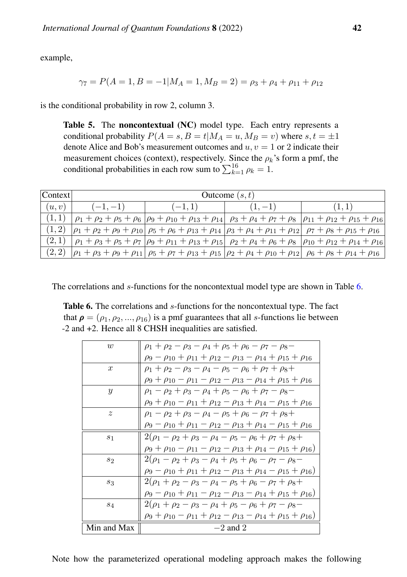example,

$$
\gamma_7 = P(A = 1, B = -1 | M_A = 1, M_B = 2) = \rho_3 + \rho_4 + \rho_{11} + \rho_{12}
$$

<span id="page-11-0"></span>is the conditional probability in row 2, column 3.

Table 5. The noncontextual (NC) model type. Each entry represents a conditional probability  $P(A = s, B = t | M_A = u, M_B = v)$  where  $s, t = \pm 1$ denote Alice and Bob's measurement outcomes and  $u, v = 1$  or 2 indicate their measurement choices (context), respectively. Since the  $\rho_k$ 's form a pmf, the conditional probabilities in each row sum to  $\sum_{k=1}^{16} \rho_k = 1$ .

| Context | Outcome $(s, t)$ |           |           |                                                                                                                                                                            |  |  |  |  |  |  |  |  |  |
|---------|------------------|-----------|-----------|----------------------------------------------------------------------------------------------------------------------------------------------------------------------------|--|--|--|--|--|--|--|--|--|
| (u, v)  | $(-1,-1)$        | $(-1, 1)$ | $(1, -1)$ |                                                                                                                                                                            |  |  |  |  |  |  |  |  |  |
|         |                  |           |           | $\rho_1 + \rho_2 + \rho_5 + \rho_6$   $\rho_9 + \rho_{10} + \rho_{13} + \rho_{14}$   $\rho_3 + \rho_4 + \rho_7 + \rho_8$   $\rho_{11} + \rho_{12} + \rho_{15} + \rho_{16}$ |  |  |  |  |  |  |  |  |  |
|         |                  |           |           | $ \rho_1 + \rho_2 + \rho_9 + \rho_{10}   \rho_5 + \rho_6 + \rho_{13} + \rho_{14}   \rho_3 + \rho_4 + \rho_{11} + \rho_{12}   \rho_7 + \rho_8 + \rho_{15} + \rho_{16} $     |  |  |  |  |  |  |  |  |  |
| (2,1)   |                  |           |           | $\rho_1 + \rho_3 + \rho_5 + \rho_7  \rho_9 + \rho_{11} + \rho_{13} + \rho_{15}  \rho_2 + \rho_4 + \rho_6 + \rho_8  \rho_{10} + \rho_{12} + \rho_{14} + \rho_{16} $         |  |  |  |  |  |  |  |  |  |
| (2, 2)  |                  |           |           | $ \rho_1 + \rho_3 + \rho_9 + \rho_{11}   \rho_5 + \rho_7 + \rho_{13} + \rho_{15}   \rho_2 + \rho_4 + \rho_{10} + \rho_{12}   \rho_6 + \rho_8 + \rho_{14} + \rho_{16} $     |  |  |  |  |  |  |  |  |  |

<span id="page-11-1"></span>The correlations and s-functions for the noncontextual model type are shown in Table [6.](#page-11-1)

Table 6. The correlations and s-functions for the noncontextual type. The fact that  $\rho = (\rho_1, \rho_2, ..., \rho_{16})$  is a pmf guarantees that all s-functions lie between -2 and +2. Hence all 8 CHSH inequalities are satisfied.

| $\overline{w}$ | $\rho_1 + \rho_2 - \rho_3 - \rho_4 + \rho_5 + \rho_6 - \rho_7 - \rho_8 -$                    |
|----------------|----------------------------------------------------------------------------------------------|
|                | $\rho_9 - \rho_{10} + \rho_{11} + \rho_{12} - \rho_{13} - \rho_{14} + \rho_{15} + \rho_{16}$ |
| $\mathcal{X}$  | $\rho_1 + \rho_2 - \rho_3 - \rho_4 - \rho_5 - \rho_6 + \rho_7 + \rho_8 +$                    |
|                | $\rho_9 + \rho_{10} - \rho_{11} - \rho_{12} - \rho_{13} - \rho_{14} + \rho_{15} + \rho_{16}$ |
| $\mathcal{Y}$  | $\rho_1 - \rho_2 + \rho_3 - \rho_4 + \rho_5 - \rho_6 + \rho_7 - \rho_8 -$                    |
|                | $\rho_9 + \rho_{10} - \rho_{11} + \rho_{12} - \rho_{13} + \rho_{14} - \rho_{15} + \rho_{16}$ |
| $\tilde{z}$    | $\rho_1 - \rho_2 + \rho_3 - \rho_4 - \rho_5 + \rho_6 - \rho_7 + \rho_8 +$                    |
|                | $\rho_9 - \rho_{10} + \rho_{11} - \rho_{12} - \rho_{13} + \rho_{14} - \rho_{15} + \rho_{16}$ |
| S <sub>1</sub> | $2(\rho_1 - \rho_2 + \rho_3 - \rho_4 - \rho_5 - \rho_6 + \rho_7 + \rho_8 +$                  |
|                | $\rho_9 + \rho_{10} - \rho_{11} - \rho_{12} - \rho_{13} + \rho_{14} - \rho_{15} + \rho_{16}$ |
| S <sub>2</sub> | $2(\rho_1 - \rho_2 + \rho_3 - \rho_4 + \rho_5 + \rho_6 - \rho_7 - \rho_8 -$                  |
|                | $\rho_9 - \rho_{10} + \rho_{11} + \rho_{12} - \rho_{13} + \rho_{14} - \rho_{15} + \rho_{16}$ |
| $S_3$          | $2(\rho_1+\rho_2-\rho_3-\rho_4-\rho_5+\rho_6-\rho_7+\rho_8+$                                 |
|                | $\rho_9 - \rho_{10} + \rho_{11} - \rho_{12} - \rho_{13} - \rho_{14} + \rho_{15} + \rho_{16}$ |
| $S_4$          | $2(\rho_1+\rho_2-\rho_3-\rho_4+\rho_5-\rho_6+\rho_7-\rho_8-$                                 |
|                | $\rho_9 + \rho_{10} - \rho_{11} + \rho_{12} - \rho_{13} - \rho_{14} + \rho_{15} + \rho_{16}$ |
| Min and Max    | $-2$ and 2                                                                                   |

Note how the parameterized operational modeling approach makes the following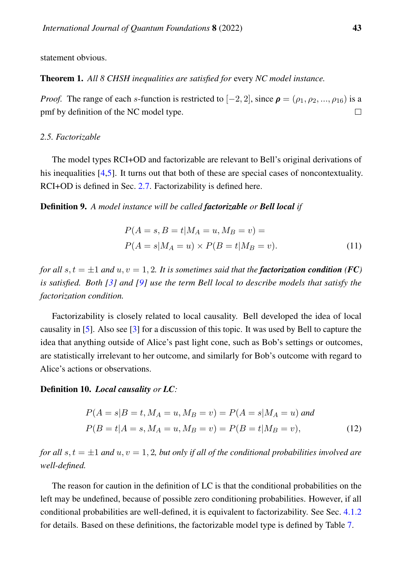statement obvious.

Theorem 1. *All 8 CHSH inequalities are satisfied for* every *NC model instance.*

*Proof.* The range of each s-function is restricted to  $[-2, 2]$ , since  $\rho = (\rho_1, \rho_2, ..., \rho_{16})$  is a pmf by definition of the NC model type.  $\Box$ 

# *2.5. Factorizable*

The model types RCI+OD and factorizable are relevant to Bell's original derivations of his inequalities [\[4,](#page-83-3)[5\]](#page-83-4). It turns out that both of these are special cases of noncontextuality. RCI+OD is defined in Sec. [2.7.](#page-15-0) Factorizability is defined here.

Definition 9. *A model instance will be called factorizable or Bell local if*

$$
P(A = s, B = t | M_A = u, M_B = v) =
$$
  
\n
$$
P(A = s | M_A = u) \times P(B = t | M_B = v).
$$
\n(11)

*for all*  $s, t = \pm 1$  *and*  $u, v = 1, 2$ *. It is sometimes said that the factorization condition (<i>FC*) *is satisfied. Both [\[3\]](#page-83-2) and [\[9\]](#page-83-7) use the term Bell local to describe models that satisfy the factorization condition.*

Factorizability is closely related to local causality. Bell developed the idea of local causality in [\[5\]](#page-83-4). Also see [\[3\]](#page-83-2) for a discussion of this topic. It was used by Bell to capture the idea that anything outside of Alice's past light cone, such as Bob's settings or outcomes, are statistically irrelevant to her outcome, and similarly for Bob's outcome with regard to Alice's actions or observations.

# Definition 10. *Local causality or LC:*

$$
P(A = s|B = t, M_A = u, M_B = v) = P(A = s|M_A = u) \text{ and}
$$
  

$$
P(B = t|A = s, M_A = u, M_B = v) = P(B = t|M_B = v),
$$
 (12)

*for all* s,  $t = \pm 1$  *and*  $u, v = 1, 2$ *, but only if all of the conditional probabilities involved are well-defined.*

The reason for caution in the definition of LC is that the conditional probabilities on the left may be undefined, because of possible zero conditioning probabilities. However, if all conditional probabilities are well-defined, it is equivalent to factorizability. See Sec. [4.1.2](#page-71-0) for details. Based on these definitions, the factorizable model type is defined by Table [7.](#page-13-0)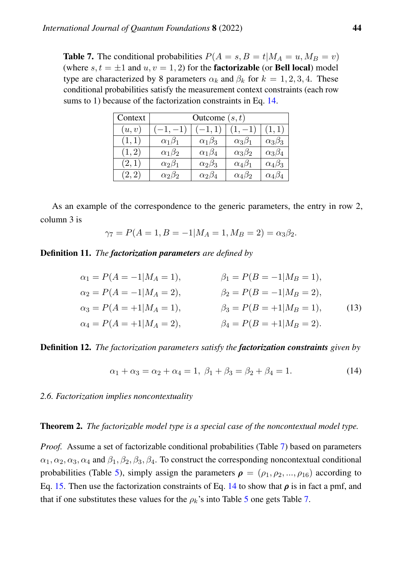<span id="page-13-0"></span>**Table 7.** The conditional probabilities  $P(A = s, B = t | M_A = u, M_B = v)$ (where  $s, t = \pm 1$  and  $u, v = 1, 2$ ) for the **factorizable** (or **Bell local**) model type are characterized by 8 parameters  $\alpha_k$  and  $\beta_k$  for  $k = 1, 2, 3, 4$ . These conditional probabilities satisfy the measurement context constraints (each row sums to 1) because of the factorization constraints in Eq. [14.](#page-13-1)

| Context | Outcome $(s, t)$  |                   |                   |                   |  |  |  |  |  |  |  |  |
|---------|-------------------|-------------------|-------------------|-------------------|--|--|--|--|--|--|--|--|
| (u, v)  |                   |                   |                   | (1, 1)            |  |  |  |  |  |  |  |  |
| (1,1)   | $\alpha_1\beta_1$ | $\alpha_1\beta_3$ | $\alpha_3\beta_1$ | $\alpha_3\beta_3$ |  |  |  |  |  |  |  |  |
| (1, 2)  | $\alpha_1\beta_2$ | $\alpha_1\beta_4$ | $\alpha_3\beta_2$ | $\alpha_3\beta_4$ |  |  |  |  |  |  |  |  |
| (2,1)   | $\alpha_2\beta_1$ | $\alpha_2\beta_3$ | $\alpha_4\beta_1$ | $\alpha_4\beta_3$ |  |  |  |  |  |  |  |  |
| (2,2)   | $\alpha_2\beta_2$ | $\alpha_2\beta_4$ | $\alpha_4\beta_2$ | $\alpha_4\beta_4$ |  |  |  |  |  |  |  |  |

As an example of the correspondence to the generic parameters, the entry in row 2, column 3 is

$$
\gamma_7 = P(A = 1, B = -1 | M_A = 1, M_B = 2) = \alpha_3 \beta_2.
$$

Definition 11. *The factorization parameters are defined by*

$$
\alpha_1 = P(A = -1|M_A = 1),
$$
  
\n
$$
\beta_1 = P(B = -1|M_B = 1),
$$
  
\n
$$
\alpha_2 = P(A = -1|M_A = 2),
$$
  
\n
$$
\beta_2 = P(B = -1|M_B = 2),
$$
  
\n
$$
\beta_3 = P(B = -1|M_B = 2),
$$
  
\n
$$
\beta_3 = P(B = +1|M_B = 1),
$$
  
\n
$$
\alpha_4 = P(A = +1|M_A = 2),
$$
  
\n
$$
\beta_4 = P(B = +1|M_B = 2).
$$
  
\n(13)

Definition 12. *The factorization parameters satisfy the factorization constraints given by*

<span id="page-13-1"></span>
$$
\alpha_1 + \alpha_3 = \alpha_2 + \alpha_4 = 1, \ \beta_1 + \beta_3 = \beta_2 + \beta_4 = 1. \tag{14}
$$

*2.6. Factorization implies noncontextuality*

#### <span id="page-13-2"></span>Theorem 2. *The factorizable model type is a special case of the noncontextual model type.*

*Proof.* Assume a set of factorizable conditional probabilities (Table [7\)](#page-13-0) based on parameters  $\alpha_1, \alpha_2, \alpha_3, \alpha_4$  and  $\beta_1, \beta_2, \beta_3, \beta_4$ . To construct the corresponding noncontextual conditional probabilities (Table [5\)](#page-11-0), simply assign the parameters  $\rho = (\rho_1, \rho_2, ..., \rho_{16})$  according to Eq. [15.](#page-14-0) Then use the factorization constraints of Eq. [14](#page-13-1) to show that  $\rho$  is in fact a pmf, and that if one substitutes these values for the  $\rho_k$ 's into Table [5](#page-11-0) one gets Table [7.](#page-13-0)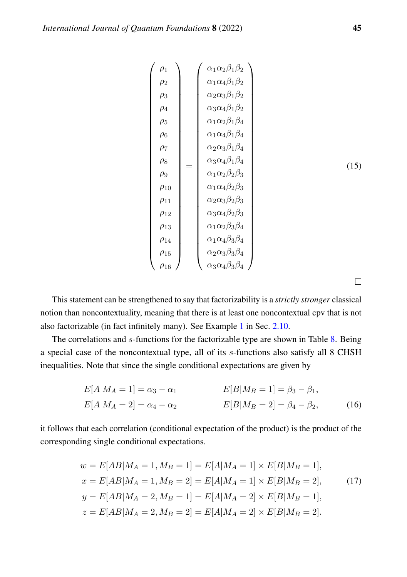<span id="page-14-0"></span>
$$
\begin{pmatrix}\n\rho_1 \\
\rho_2 \\
\rho_3 \\
\rho_4 \\
\rho_5 \\
\rho_6 \\
\rho_7 \\
\rho_8 \\
\rho_9 \\
\rho_{10} \\
\rho_{12} \\
\rho_{13} \\
\rho_{14} \\
\rho_{15}\n\end{pmatrix} = \begin{pmatrix}\n\alpha_1 \alpha_2 \beta_1 \beta_2 \\
\alpha_2 \alpha_3 \beta_1 \beta_2 \\
\alpha_3 \alpha_4 \beta_1 \beta_2 \\
\alpha_1 \alpha_2 \beta_1 \beta_4 \\
\alpha_2 \alpha_3 \beta_1 \beta_4 \\
\alpha_3 \alpha_4 \beta_1 \beta_4 \\
\alpha_4 \alpha_2 \beta_2 \beta_3 \\
\alpha_1 \alpha_4 \beta_2 \beta_3 \\
\alpha_2 \alpha_3 \beta_2 \beta_3 \\
\alpha_3 \alpha_4 \beta_2 \beta_3 \\
\alpha_1 \alpha_2 \beta_3 \beta_4 \\
\alpha_1 \alpha_4 \beta_3 \beta_4 \\
\alpha_1 \alpha_4 \beta_3 \beta_4 \\
\alpha_2 \alpha_3 \beta_3 \beta_4 \\
\alpha_3 \alpha_4 \beta_3 \beta_4\n\end{pmatrix}
$$
\n(15)

This statement can be strengthened to say that factorizability is a *strictly stronger* classical notion than noncontextuality, meaning that there is at least one noncontextual cpv that is not also factorizable (in fact infinitely many). See Example [1](#page-23-0) in Sec. [2.10.](#page-23-1)

The correlations and s-functions for the factorizable type are shown in Table [8.](#page-15-1) Being a special case of the noncontextual type, all of its s-functions also satisfy all 8 CHSH inequalities. Note that since the single conditional expectations are given by

$$
E[A|M_A = 1] = \alpha_3 - \alpha_1
$$
  
\n
$$
E[B|M_B = 1] = \beta_3 - \beta_1,
$$
  
\n
$$
E[A|M_A = 2] = \alpha_4 - \alpha_2
$$
  
\n
$$
E[B|M_B = 2] = \beta_4 - \beta_2,
$$
  
\n(16)

it follows that each correlation (conditional expectation of the product) is the product of the corresponding single conditional expectations.

<span id="page-14-1"></span>
$$
w = E[AB|M_A = 1, M_B = 1] = E[A|M_A = 1] \times E[B|M_B = 1],
$$
  
\n
$$
x = E[AB|M_A = 1, M_B = 2] = E[A|M_A = 1] \times E[B|M_B = 2],
$$
  
\n
$$
y = E[AB|M_A = 2, M_B = 1] = E[A|M_A = 2] \times E[B|M_B = 1],
$$
  
\n
$$
z = E[AB|M_A = 2, M_B = 2] = E[A|M_A = 2] \times E[B|M_B = 2].
$$
  
\n(17)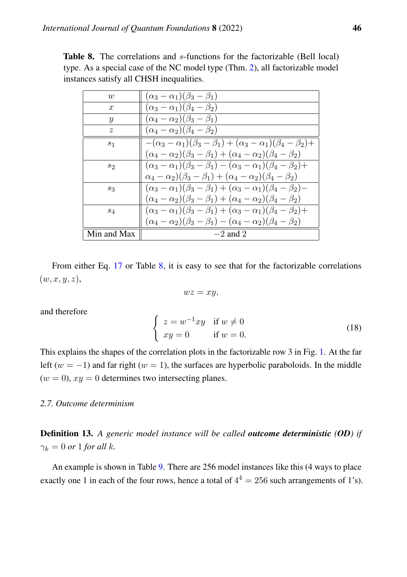<span id="page-15-1"></span>

| <b>Table 8.</b> The correlations and s-functions for the factorizable (Bell local) |  |  |
|------------------------------------------------------------------------------------|--|--|
| type. As a special case of the NC model type (Thm. 2), all factorizable model      |  |  |
| instances satisfy all CHSH inequalities.                                           |  |  |

| w                | $(\alpha_3-\alpha_1)(\beta_3-\beta_1)$                                                  |
|------------------|-----------------------------------------------------------------------------------------|
| $\boldsymbol{x}$ | $(\alpha_3-\alpha_1)(\beta_4-\beta_2)$                                                  |
| Y                | $(\alpha_4-\alpha_2)(\beta_3-\beta_1)$                                                  |
| $\tilde{z}$      | $(\alpha_4-\alpha_2)(\beta_4-\beta_2)$                                                  |
| S <sub>1</sub>   | $-(\alpha_3-\alpha_1)(\beta_3-\beta_1)+(\alpha_3-\alpha_1)(\beta_4-\beta_2)+$           |
|                  | $(\alpha_4 - \alpha_2)(\beta_3 - \beta_1) + (\alpha_4 - \alpha_2)(\beta_4 - \beta_2)$   |
| 82               | $(\alpha_3 - \alpha_1)(\beta_3 - \beta_1) - (\alpha_3 - \alpha_1)(\beta_4 - \beta_2) +$ |
|                  | $(\alpha_4 - \alpha_2)(\beta_3 - \beta_1) + (\alpha_4 - \alpha_2)(\beta_4 - \beta_2)$   |
| 83               | $(\alpha_3 - \alpha_1)(\beta_3 - \beta_1) + (\alpha_3 - \alpha_1)(\beta_4 - \beta_2)$   |
|                  | $(\alpha_4 - \alpha_2)(\beta_3 - \beta_1) + (\alpha_4 - \alpha_2)(\beta_4 - \beta_2)$   |
| $s_4$            | $(\alpha_3 - \alpha_1)(\beta_3 - \beta_1) + (\alpha_3 - \alpha_1)(\beta_4 - \beta_2) +$ |
|                  | $(\alpha_4 - \alpha_2)(\beta_3 - \beta_1) - (\alpha_4 - \alpha_2)(\beta_4 - \beta_2)$   |
| Min and Max      | $-2$ and 2                                                                              |

From either Eq. [17](#page-14-1) or Table [8,](#page-15-1) it is easy to see that for the factorizable correlations  $(w, x, y, z),$ 

$$
wz=xy,
$$

and therefore

$$
\begin{cases}\nz = w^{-1}xy & \text{if } w \neq 0 \\
xy = 0 & \text{if } w = 0.\n\end{cases}
$$
\n(18)

This explains the shapes of the correlation plots in the factorizable row 3 in Fig. [1.](#page-2-0) At the far left ( $w = -1$ ) and far right ( $w = 1$ ), the surfaces are hyperbolic paraboloids. In the middle  $(w = 0)$ ,  $xy = 0$  determines two intersecting planes.

# <span id="page-15-0"></span>*2.7. Outcome determinism*

<span id="page-15-2"></span>Definition 13. *A generic model instance will be called outcome deterministic (OD) if*  $\gamma_k = 0$  *or* 1 *for all k*.

An example is shown in Table [9.](#page-16-0) There are 256 model instances like this (4 ways to place exactly one 1 in each of the four rows, hence a total of  $4^4 = 256$  such arrangements of 1's).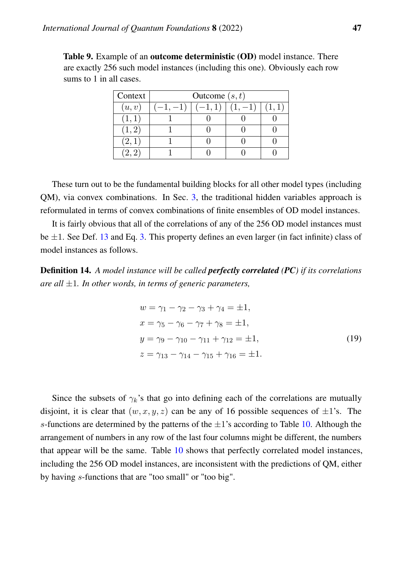<span id="page-16-0"></span>Table 9. Example of an outcome deterministic (OD) model instance. There are exactly 256 such model instances (including this one). Obviously each row sums to 1 in all cases.

| Context | Outcome $(s, t)$ |  |  |      |  |  |  |  |  |  |  |  |
|---------|------------------|--|--|------|--|--|--|--|--|--|--|--|
| (u,v)   | -1,              |  |  | 1,1) |  |  |  |  |  |  |  |  |
| (1,1)   |                  |  |  |      |  |  |  |  |  |  |  |  |
| (1, 2)  |                  |  |  |      |  |  |  |  |  |  |  |  |
| (2,1)   |                  |  |  |      |  |  |  |  |  |  |  |  |
|         |                  |  |  |      |  |  |  |  |  |  |  |  |

These turn out to be the fundamental building blocks for all other model types (including QM), via convex combinations. In Sec. [3,](#page-32-0) the traditional hidden variables approach is reformulated in terms of convex combinations of finite ensembles of OD model instances.

It is fairly obvious that all of the correlations of any of the 256 OD model instances must be  $\pm 1$ . See Def. [13](#page-15-2) and Eq. [3.](#page-7-0) This property defines an even larger (in fact infinite) class of model instances as follows.

Definition 14. *A model instance will be called perfectly correlated (PC) if its correlations are all* ±1*. In other words, in terms of generic parameters,*

$$
w = \gamma_1 - \gamma_2 - \gamma_3 + \gamma_4 = \pm 1,
$$
  
\n
$$
x = \gamma_5 - \gamma_6 - \gamma_7 + \gamma_8 = \pm 1,
$$
  
\n
$$
y = \gamma_9 - \gamma_{10} - \gamma_{11} + \gamma_{12} = \pm 1,
$$
  
\n
$$
z = \gamma_{13} - \gamma_{14} - \gamma_{15} + \gamma_{16} = \pm 1.
$$
\n(19)

Since the subsets of  $\gamma_k$ 's that go into defining each of the correlations are mutually disjoint, it is clear that  $(w, x, y, z)$  can be any of 16 possible sequences of  $\pm 1$ 's. The s-functions are determined by the patterns of the  $\pm 1$ 's according to Table [10.](#page-17-0) Although the arrangement of numbers in any row of the last four columns might be different, the numbers that appear will be the same. Table [10](#page-17-0) shows that perfectly correlated model instances, including the 256 OD model instances, are inconsistent with the predictions of QM, either by having s-functions that are "too small" or "too big".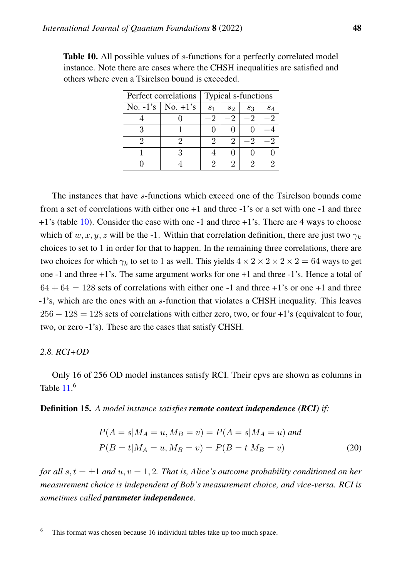| Perfect correlations  | Typical s-functions |       |       |       |  |  |  |
|-----------------------|---------------------|-------|-------|-------|--|--|--|
| No. $-1's$ No. $+1's$ | S <sub>1</sub>      | $s_2$ | $s_3$ | $s_4$ |  |  |  |
|                       |                     |       |       |       |  |  |  |
|                       |                     |       |       |       |  |  |  |
|                       | 2                   |       |       |       |  |  |  |
|                       |                     |       |       |       |  |  |  |
|                       | 2                   |       |       |       |  |  |  |

<span id="page-17-0"></span>Table 10. All possible values of *s*-functions for a perfectly correlated model instance. Note there are cases where the CHSH inequalities are satisfied and others where even a Tsirelson bound is exceeded.

The instances that have s-functions which exceed one of the Tsirelson bounds come from a set of correlations with either one +1 and three -1's or a set with one -1 and three  $+1$ 's (table [10\)](#page-17-0). Consider the case with one  $-1$  and three  $+1$ 's. There are 4 ways to choose which of w, x, y, z will be the -1. Within that correlation definition, there are just two  $\gamma_k$ choices to set to 1 in order for that to happen. In the remaining three correlations, there are two choices for which  $\gamma_k$  to set to 1 as well. This yields  $4 \times 2 \times 2 \times 2 \times 2 = 64$  ways to get one -1 and three +1's. The same argument works for one +1 and three -1's. Hence a total of  $64 + 64 = 128$  sets of correlations with either one -1 and three +1's or one +1 and three -1's, which are the ones with an s-function that violates a CHSH inequality. This leaves  $256 - 128 = 128$  sets of correlations with either zero, two, or four +1's (equivalent to four, two, or zero -1's). These are the cases that satisfy CHSH.

# <span id="page-17-1"></span>*2.8. RCI+OD*

Only 16 of 256 OD model instances satisfy RCI. Their cpvs are shown as columns in Table  $11<sup>6</sup>$ 

Definition 15. *A model instance satisfies remote context independence (RCI) if:*

$$
P(A = s | M_A = u, M_B = v) = P(A = s | M_A = u) \text{ and}
$$
  

$$
P(B = t | M_A = u, M_B = v) = P(B = t | M_B = v)
$$
 (20)

*for all*  $s, t = \pm 1$  *and*  $u, v = 1, 2$ *. That is, Alice's outcome probability conditioned on her measurement choice is independent of Bob's measurement choice, and vice-versa. RCI is sometimes called parameter independence.*

This format was chosen because 16 individual tables take up too much space.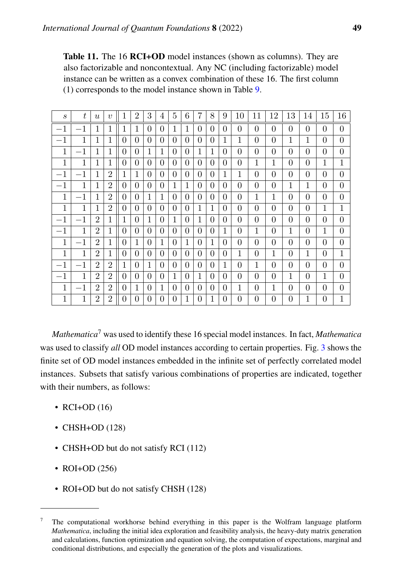<span id="page-18-0"></span>Table 11. The 16 RCI+OD model instances (shown as columns). They are also factorizable and noncontextual. Any NC (including factorizable) model instance can be written as a convex combination of these 16. The first column (1) corresponds to the model instance shown in Table [9.](#page-16-0)

| $\mathcal{S}_{0}$ | $t_{i}$      | $\mathfrak{u}$ | $\eta$         | 1 | $\overline{2}$ | 3        | 4        | 5        | 6        | $\overline{7}$ | 8        | 9        | 10       | 11       | 12           | 13       | 14       | 15       | 16           |
|-------------------|--------------|----------------|----------------|---|----------------|----------|----------|----------|----------|----------------|----------|----------|----------|----------|--------------|----------|----------|----------|--------------|
| $-1$              | $-1$         |                | 1              | 1 | 1              | $\theta$ | $\theta$ |          | 1        | 0              | $\theta$ | $\theta$ | $\theta$ | $\theta$ | $\theta$     | $\theta$ | 0        | $\theta$ | $\theta$     |
| $-1$              | 1            | 1              | 1              | 0 | 0              | $\theta$ | $\Omega$ | $\Omega$ | $\Omega$ | 0              | 0        | 1        | 1        | 0        | $\theta$     | 1        | 1        | $\theta$ | $\Omega$     |
| 1                 | $-1$         | 1              | 1              | 0 | 0              | 1        | 1        | $\Omega$ | 0        | 1              | 1        | $\theta$ | $\Omega$ | $\theta$ | $\theta$     | $\theta$ | 0        | 0        | $\theta$     |
| 1                 | 1            | 1              | 1              | 0 | 0              | $\theta$ | $\Omega$ | $\Omega$ | $\Omega$ | $\theta$       | 0        | $\theta$ | $\theta$ | 1        | $\mathbf{1}$ | $\theta$ | $\theta$ | 1        | 1            |
| $-1$              | $-1$         | 1              | $\overline{2}$ | 1 | 1              | $\theta$ | $\theta$ | $\Omega$ | $\Omega$ | 0              | 0        | 1        | 1        | $\theta$ | $\theta$     | $\theta$ | 0        | $\theta$ | $\theta$     |
| $-1$              | 1            | 1              | $\overline{2}$ | 0 | 0              | $\Omega$ | $\Omega$ | 1        | 1        | 0              | 0        | $\Omega$ | 0        | $\Omega$ | $\theta$     | 1        | 1        | 0        | $\theta$     |
| 1                 | $-1$         | 1              | $\overline{2}$ | 0 | 0              | 1        | 1        | $\Omega$ | $\Omega$ | 0              | 0        | 0        | $\Omega$ | 1        | 1            | $\theta$ | 0        | $\Omega$ | $\theta$     |
| 1                 | 1            | 1              | $\overline{2}$ | 0 | 0              | $\Omega$ | $\Omega$ | $\Omega$ | 0        | 1              | 1        | 0        | $\Omega$ | $\theta$ | $\theta$     | $\theta$ | 0        | 1        | $\mathbf{1}$ |
| $-1$              | $-1$         | $\overline{2}$ | 1              | 1 | $\Omega$       | 1        | $\Omega$ | 1        | $\Omega$ | 1              | 0        | $\theta$ | $\theta$ | $\theta$ | $\theta$     | $\theta$ | 0        | $\theta$ | $\theta$     |
| $^{-1}$           | $\mathbf{1}$ | $\overline{2}$ | $\mathbf{1}$   | 0 | 0              | $\Omega$ | $\Omega$ | $\Omega$ | $\Omega$ | 0              | 0        | 1        | $\Omega$ | 1        | $\theta$     | 1        | 0        | 1        | $\theta$     |
| 1                 | $-1$         | $\overline{2}$ | 1              | 0 | 1              | 0        | 1        | $\Omega$ | 1        | 0              | 1        | 0        | 0        | 0        | $\theta$     | $\theta$ | 0        | 0        | $\theta$     |
| 1                 | 1            | $\overline{2}$ | 1              | 0 | 0              | $\Omega$ | $\Omega$ | $\Omega$ | 0        | 0              | 0        | $\Omega$ | 1        | $\theta$ | 1            | $\theta$ | 1        | 0        | $\mathbf{1}$ |
| $-1$              | $-1$         | $\overline{2}$ | $\overline{2}$ | 1 | 0              | 1        | $\Omega$ | $\Omega$ | 0        | 0              | 0        | 1        | $\Omega$ | 1        | $\theta$     | $\theta$ | 0        | $\Omega$ | $\theta$     |
| $-1$              | 1            | $\overline{2}$ | $\overline{2}$ | 0 | 0              | $\Omega$ | $\Omega$ | 1        | $\Omega$ | 1              | 0        | $\Omega$ | $\Omega$ | $\Omega$ | $\theta$     | 1        | 0        | 1        | $\theta$     |
| 1                 | $-1$         | $\overline{2}$ | $\overline{2}$ | 0 | 1              | $\theta$ | 1        | $\Omega$ | $\Omega$ | $\theta$       | 0        | $\theta$ | 1        | $\theta$ | $\mathbf{1}$ | $\theta$ | 0        | $\theta$ | $\theta$     |
| 1                 | 1            | $\overline{2}$ | $\overline{2}$ | 0 | 0              | $\Omega$ | $\theta$ | $\Omega$ | 1        | 0              | 1        | $\Omega$ | 0        | 0        | $\theta$     | $\theta$ | 1        | $\theta$ | $\mathbf{1}$ |

*Mathematica*<sup>7</sup> was used to identify these 16 special model instances. In fact, *Mathematica* was used to classify *all* OD model instances according to certain properties. Fig. [3](#page-19-0) shows the finite set of OD model instances embedded in the infinite set of perfectly correlated model instances. Subsets that satisfy various combinations of properties are indicated, together with their numbers, as follows:

- RCI+OD  $(16)$
- CHSH+OD (128)
- CHSH+OD but do not satisfy RCI (112)
- ROI+OD (256)
- ROI+OD but do not satisfy CHSH (128)

 $\frac{7}{10}$  The computational workhorse behind everything in this paper is the Wolfram language platform *Mathematica*, including the initial idea exploration and feasibility analysis, the heavy-duty matrix generation and calculations, function optimization and equation solving, the computation of expectations, marginal and conditional distributions, and especially the generation of the plots and visualizations.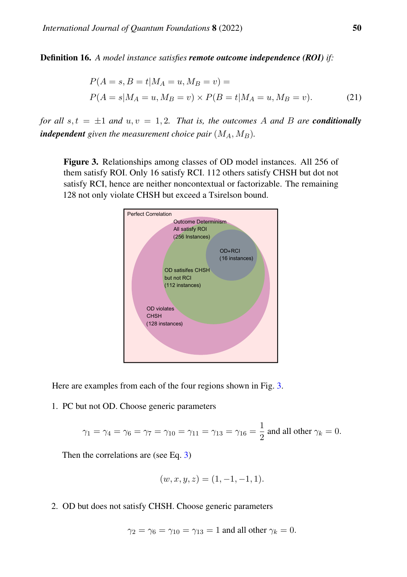Definition 16. *A model instance satisfies remote outcome independence (ROI) if:*

$$
P(A = s, B = t | M_A = u, M_B = v) =
$$
  
 
$$
P(A = s | M_A = u, M_B = v) \times P(B = t | M_A = u, M_B = v).
$$
 (21)

*for all*  $s, t = \pm 1$  *and*  $u, v = 1, 2$ *. That is, the outcomes* A *and* B *are conditionally independent given the measurement choice pair*  $(M_A, M_B)$ *.* 

<span id="page-19-0"></span>Figure 3. Relationships among classes of OD model instances. All 256 of them satisfy ROI. Only 16 satisfy RCI. 112 others satisfy CHSH but dot not satisfy RCI, hence are neither noncontextual or factorizable. The remaining 128 not only violate CHSH but exceed a Tsirelson bound.



Here are examples from each of the four regions shown in Fig. [3.](#page-19-0)

1. PC but not OD. Choose generic parameters

$$
\gamma_1 = \gamma_4 = \gamma_6 = \gamma_7 = \gamma_{10} = \gamma_{11} = \gamma_{13} = \gamma_{16} = \frac{1}{2}
$$
 and all other  $\gamma_k = 0$ .

Then the correlations are (see Eq. [3\)](#page-7-0)

$$
(w, x, y, z) = (1, -1, -1, 1).
$$

2. OD but does not satisfy CHSH. Choose generic parameters

$$
\gamma_2 = \gamma_6 = \gamma_{10} = \gamma_{13} = 1
$$
 and all other  $\gamma_k = 0$ .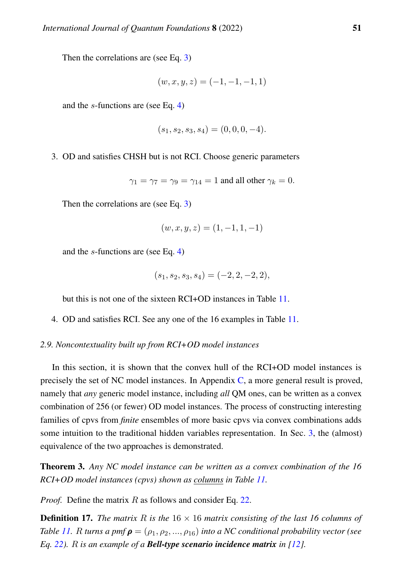Then the correlations are (see Eq. [3\)](#page-7-0)

$$
(w, x, y, z) = (-1, -1, -1, 1)
$$

and the s-functions are (see Eq. [4\)](#page-7-1)

$$
(s_1, s_2, s_3, s_4) = (0, 0, 0, -4).
$$

3. OD and satisfies CHSH but is not RCI. Choose generic parameters

 $\gamma_1 = \gamma_7 = \gamma_9 = \gamma_{14} = 1$  and all other  $\gamma_k = 0$ .

Then the correlations are (see Eq. [3\)](#page-7-0)

$$
(w, x, y, z) = (1, -1, 1, -1)
$$

and the s-functions are (see Eq. [4\)](#page-7-1)

$$
(s_1, s_2, s_3, s_4) = (-2, 2, -2, 2),
$$

but this is not one of the sixteen RCI+OD instances in Table [11.](#page-18-0)

4. OD and satisfies RCI. See any one of the 16 examples in Table [11.](#page-18-0)

#### <span id="page-20-2"></span>*2.9. Noncontextuality built up from RCI+OD model instances*

In this section, it is shown that the convex hull of the RCI+OD model instances is precisely the set of NC model instances. In Appendix [C,](#page-68-0) a more general result is proved, namely that *any* generic model instance, including *all* QM ones, can be written as a convex combination of 256 (or fewer) OD model instances. The process of constructing interesting families of cpvs from *finite* ensembles of more basic cpvs via convex combinations adds some intuition to the traditional hidden variables representation. In Sec. [3,](#page-32-0) the (almost) equivalence of the two approaches is demonstrated.

<span id="page-20-0"></span>Theorem 3. *Any NC model instance can be written as a convex combination of the 16 RCI+OD model instances (cpvs) shown as columns in Table [11.](#page-18-0)*

*Proof.* Define the matrix R as follows and consider Eq. [22.](#page-21-0)

<span id="page-20-1"></span>**Definition 17.** *The matrix*  $R$  *is the*  $16 \times 16$  *matrix consisting of the last* 16 *columns of Table* [11.](#page-18-0) *R turns a pmf*  $\rho = (\rho_1, \rho_2, ..., \rho_{16})$  *into a NC conditional probability vector (see Eq. [22\)](#page-21-0).* R *is an example of a Bell-type scenario incidence matrix in [\[12\]](#page-84-0).*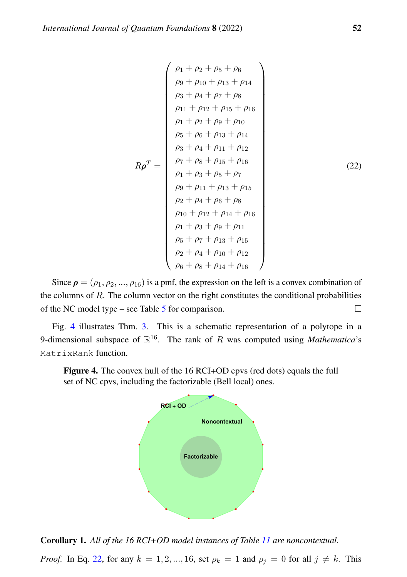<span id="page-21-0"></span>
$$
\rho_1 + \rho_2 + \rho_5 + \rho_6
$$
\n
$$
\rho_9 + \rho_{10} + \rho_{13} + \rho_{14}
$$
\n
$$
\rho_3 + \rho_4 + \rho_7 + \rho_8
$$
\n
$$
\rho_{11} + \rho_{12} + \rho_{15} + \rho_{16}
$$
\n
$$
\rho_1 + \rho_2 + \rho_9 + \rho_{10}
$$
\n
$$
\rho_5 + \rho_6 + \rho_{13} + \rho_{14}
$$
\n
$$
\rho_3 + \rho_4 + \rho_{11} + \rho_{12}
$$
\n
$$
\rho_7 + \rho_8 + \rho_{15} + \rho_{16}
$$
\n
$$
\rho_1 + \rho_3 + \rho_5 + \rho_7
$$
\n
$$
\rho_9 + \rho_{11} + \rho_{13} + \rho_{15}
$$
\n
$$
\rho_2 + \rho_4 + \rho_6 + \rho_8
$$
\n
$$
\rho_{10} + \rho_{12} + \rho_{14} + \rho_{16}
$$
\n
$$
\rho_1 + \rho_3 + \rho_9 + \rho_{11}
$$
\n
$$
\rho_5 + \rho_7 + \rho_{13} + \rho_{15}
$$
\n
$$
\rho_2 + \rho_4 + \rho_{10} + \rho_{12}
$$
\n
$$
\rho_6 + \rho_8 + \rho_{14} + \rho_{16}
$$

Since  $\rho = (\rho_1, \rho_2, ..., \rho_{16})$  is a pmf, the expression on the left is a convex combination of the columns of R. The column vector on the right constitutes the conditional probabilities of the NC model type – see Table [5](#page-11-0) for comparison.  $\Box$ 

Fig. [4](#page-21-1) illustrates Thm. [3.](#page-20-0) This is a schematic representation of a polytope in a 9-dimensional subspace of  $\mathbb{R}^{16}$ . The rank of R was computed using *Mathematica*'s MatrixRank function.

<span id="page-21-1"></span>Figure 4. The convex hull of the 16 RCI+OD cpvs (red dots) equals the full set of NC cpvs, including the factorizable (Bell local) ones.



<span id="page-21-2"></span>Corollary 1. *All of the 16 RCI+OD model instances of Table [11](#page-18-0) are noncontextual.*

*Proof.* In Eq. [22,](#page-21-0) for any  $k = 1, 2, ..., 16$ , set  $\rho_k = 1$  and  $\rho_j = 0$  for all  $j \neq k$ . This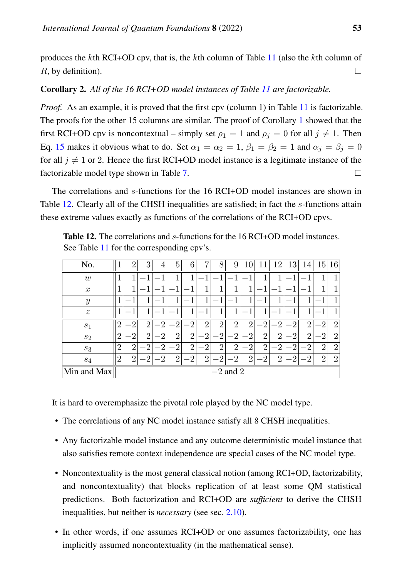produces the kth RCI+OD cpv, that is, the kth column of Table [11](#page-18-0) (also the kth column of R, by definition).  $\Box$ 

# Corollary 2. *All of the 16 RCI+OD model instances of Table [11](#page-18-0) are factorizable.*

*Proof.* As an example, it is proved that the first cpv (column 1) in Table [11](#page-18-0) is factorizable. The proofs for the other 15 columns are similar. The proof of Corollary [1](#page-21-2) showed that the first RCI+OD cpv is noncontextual – simply set  $\rho_1 = 1$  and  $\rho_i = 0$  for all  $j \neq 1$ . Then Eq. [15](#page-14-0) makes it obvious what to do. Set  $\alpha_1 = \alpha_2 = 1$ ,  $\beta_1 = \beta_2 = 1$  and  $\alpha_i = \beta_i = 0$ for all  $j \neq 1$  or 2. Hence the first RCI+OD model instance is a legitimate instance of the factorizable model type shown in Table [7.](#page-13-0)  $\Box$ 

The correlations and s-functions for the 16 RCI+OD model instances are shown in Table [12.](#page-22-0) Clearly all of the CHSH inequalities are satisfied; in fact the s-functions attain these extreme values exactly as functions of the correlations of the RCI+OD cpvs.

| No.              |                | $\overline{2}$ | 3              | 4              | 5              | 6              | 7              | 8              | 9              | 10             |                | 12             | 13             | 14             | 15             | 16             |
|------------------|----------------|----------------|----------------|----------------|----------------|----------------|----------------|----------------|----------------|----------------|----------------|----------------|----------------|----------------|----------------|----------------|
| w                |                |                |                |                |                |                |                |                |                |                |                | 1              |                |                |                |                |
| $\boldsymbol{x}$ |                | 1              |                |                |                |                |                |                | 1              | 1              |                |                |                |                |                |                |
| $\boldsymbol{y}$ |                |                | 1              |                | 1              |                |                |                |                | 1              |                | 1              |                | 1              |                | 1              |
| $\boldsymbol{z}$ |                | 1              | 1              |                | 1              | 1.             | 1              | 1              | 1              | ٠              | 1              | 1<br>-         | 1              | 1              |                | 1              |
| S <sub>1</sub>   | റ              | $\overline{2}$ | $\overline{2}$ | റ              | റ              | $\overline{2}$ | $\overline{2}$ | $\overline{2}$ | $\overline{2}$ | $\overline{2}$ | $\overline{2}$ | $\overline{2}$ | $\overline{2}$ | $\overline{2}$ | $\overline{2}$ | $\overline{2}$ |
| $s_2$            | $\overline{2}$ | $\overline{2}$ | $\overline{2}$ | $\overline{2}$ | $\overline{2}$ | $\overline{2}$ | $\overline{2}$ | $\cdot 2$      | $\overline{2}$ | $\overline{2}$ | $\overline{2}$ | $\overline{2}$ | $\overline{2}$ | $\overline{2}$ | $\overline{2}$ | $\overline{2}$ |
| $s_3$            | $\overline{2}$ | $\overline{2}$ | $\cdot$ 2      | $-2$           | $\overline{2}$ | $\overline{2}$ | $\overline{2}$ | $\overline{2}$ | $\overline{2}$ | $\overline{2}$ | $\overline{2}$ | $\cdot 2$      | റ              | $\overline{2}$ | $\overline{2}$ | $\overline{2}$ |
| $s_4$            | $\overline{2}$ | റ              | റ              | റ              | റ              | റ              | റ              | റ              | റ              | $\overline{2}$ | റ              | $\overline{2}$ | റ              | റ              | $\overline{2}$ | $\overline{2}$ |
| Min and Max      | $-2$ and 2     |                |                |                |                |                |                |                |                |                |                |                |                |                |                |                |

<span id="page-22-0"></span>Table 12. The correlations and s-functions for the 16 RCI+OD model instances. See Table [11](#page-18-0) for the corresponding cpv's.

It is hard to overemphasize the pivotal role played by the NC model type.

- The correlations of any NC model instance satisfy all 8 CHSH inequalities.
- Any factorizable model instance and any outcome deterministic model instance that also satisfies remote context independence are special cases of the NC model type.
- Noncontextuality is the most general classical notion (among RCI+OD, factorizability, and noncontextuality) that blocks replication of at least some QM statistical predictions. Both factorization and RCI+OD are *sufficient* to derive the CHSH inequalities, but neither is *necessary* (see sec. [2.10\)](#page-23-1).
- In other words, if one assumes RCI+OD or one assumes factorizability, one has implicitly assumed noncontextuality (in the mathematical sense).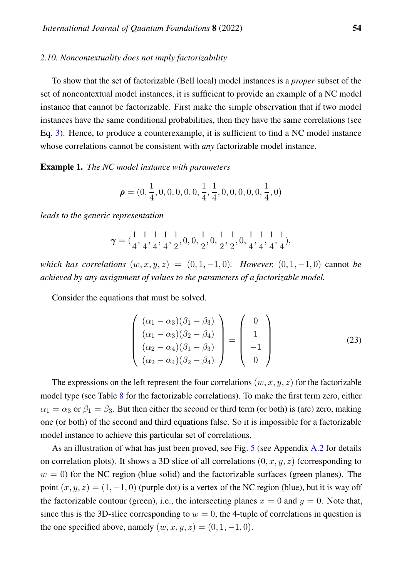# <span id="page-23-1"></span>*2.10. Noncontextuality does not imply factorizability*

To show that the set of factorizable (Bell local) model instances is a *proper* subset of the set of noncontextual model instances, it is sufficient to provide an example of a NC model instance that cannot be factorizable. First make the simple observation that if two model instances have the same conditional probabilities, then they have the same correlations (see Eq. [3\)](#page-7-0). Hence, to produce a counterexample, it is sufficient to find a NC model instance whose correlations cannot be consistent with *any* factorizable model instance.

<span id="page-23-0"></span>Example 1. *The NC model instance with parameters*

$$
\pmb{\rho}=(0,\frac{1}{4},0,0,0,0,0,\frac{1}{4},\frac{1}{4},0,0,0,0,0,\frac{1}{4},0)
$$

*leads to the generic representation*

$$
\pmb{\gamma}=(\frac{1}{4},\frac{1}{4},\frac{1}{4},\frac{1}{4},\frac{1}{2},0,0,\frac{1}{2},0,\frac{1}{2},\frac{1}{2},0,\frac{1}{4},\frac{1}{4},\frac{1}{4},\frac{1}{4}),
$$

*which has correlations*  $(w, x, y, z) = (0, 1, -1, 0)$ *. However,*  $(0, 1, -1, 0)$  cannot *be achieved by any assignment of values to the parameters of a factorizable model.*

Consider the equations that must be solved.

$$
\begin{pmatrix}\n(\alpha_1 - \alpha_3)(\beta_1 - \beta_3) \\
(\alpha_1 - \alpha_3)(\beta_2 - \beta_4) \\
(\alpha_2 - \alpha_4)(\beta_1 - \beta_3) \\
(\alpha_2 - \alpha_4)(\beta_2 - \beta_4)\n\end{pmatrix} = \begin{pmatrix}\n0 \\
1 \\
-1 \\
0\n\end{pmatrix}
$$
\n(23)

The expressions on the left represent the four correlations  $(w, x, y, z)$  for the factorizable model type (see Table [8](#page-15-1) for the factorizable correlations). To make the first term zero, either  $\alpha_1 = \alpha_3$  or  $\beta_1 = \beta_3$ . But then either the second or third term (or both) is (are) zero, making one (or both) of the second and third equations false. So it is impossible for a factorizable model instance to achieve this particular set of correlations.

As an illustration of what has just been proved, see Fig. [5](#page-24-0) (see Appendix [A.2](#page-62-0) for details on correlation plots). It shows a 3D slice of all correlations  $(0, x, y, z)$  (corresponding to  $w = 0$ ) for the NC region (blue solid) and the factorizable surfaces (green planes). The point  $(x, y, z) = (1, -1, 0)$  (purple dot) is a vertex of the NC region (blue), but it is way off the factorizable contour (green), i.e., the intersecting planes  $x = 0$  and  $y = 0$ . Note that, since this is the 3D-slice corresponding to  $w = 0$ , the 4-tuple of correlations in question is the one specified above, namely  $(w, x, y, z) = (0, 1, -1, 0)$ .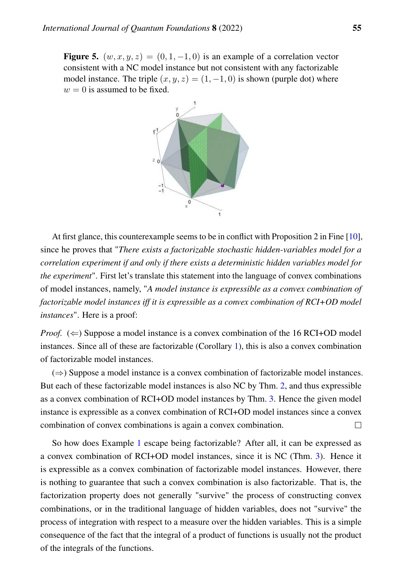<span id="page-24-0"></span>**Figure 5.**  $(w, x, y, z) = (0, 1, -1, 0)$  is an example of a correlation vector consistent with a NC model instance but not consistent with any factorizable model instance. The triple  $(x, y, z) = (1, -1, 0)$  is shown (purple dot) where  $w = 0$  is assumed to be fixed.



At first glance, this counterexample seems to be in conflict with Proposition 2 in Fine [\[10\]](#page-83-8), since he proves that "*There exists a factorizable stochastic hidden-variables model for a correlation experiment if and only if there exists a deterministic hidden variables model for the experiment*". First let's translate this statement into the language of convex combinations of model instances, namely, "*A model instance is expressible as a convex combination of factorizable model instances iff it is expressible as a convex combination of RCI+OD model instances*". Here is a proof:

*Proof.*  $(\Leftarrow)$  Suppose a model instance is a convex combination of the 16 RCI+OD model instances. Since all of these are factorizable (Corollary [1\)](#page-21-2), this is also a convex combination of factorizable model instances.

(⇒) Suppose a model instance is a convex combination of factorizable model instances. But each of these factorizable model instances is also NC by Thm. [2,](#page-13-2) and thus expressible as a convex combination of RCI+OD model instances by Thm. [3.](#page-20-0) Hence the given model instance is expressible as a convex combination of RCI+OD model instances since a convex combination of convex combinations is again a convex combination.  $\Box$ 

So how does Example [1](#page-23-0) escape being factorizable? After all, it can be expressed as a convex combination of RCI+OD model instances, since it is NC (Thm. [3\)](#page-20-0). Hence it is expressible as a convex combination of factorizable model instances. However, there is nothing to guarantee that such a convex combination is also factorizable. That is, the factorization property does not generally "survive" the process of constructing convex combinations, or in the traditional language of hidden variables, does not "survive" the process of integration with respect to a measure over the hidden variables. This is a simple consequence of the fact that the integral of a product of functions is usually not the product of the integrals of the functions.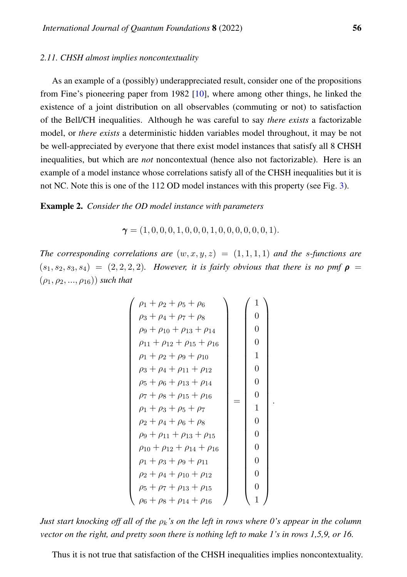# *2.11. CHSH almost implies noncontextuality*

As an example of a (possibly) underappreciated result, consider one of the propositions from Fine's pioneering paper from 1982 [\[10\]](#page-83-8), where among other things, he linked the existence of a joint distribution on all observables (commuting or not) to satisfaction of the Bell/CH inequalities. Although he was careful to say *there exists* a factorizable model, or *there exists* a deterministic hidden variables model throughout, it may be not be well-appreciated by everyone that there exist model instances that satisfy all 8 CHSH inequalities, but which are *not* noncontextual (hence also not factorizable). Here is an example of a model instance whose correlations satisfy all of the CHSH inequalities but it is not NC. Note this is one of the 112 OD model instances with this property (see Fig. [3\)](#page-19-0).

Example 2. *Consider the OD model instance with parameters*

 $\gamma = (1, 0, 0, 0, 1, 0, 0, 0, 1, 0, 0, 0, 0, 0, 0, 1).$ 

*The corresponding correlations are*  $(w, x, y, z) = (1, 1, 1, 1)$  *and the s-functions are*  $(s_1, s_2, s_3, s_4) = (2, 2, 2, 2)$ *. However, it is fairly obvious that there is no pmf*  $\rho =$  $(\rho_1, \rho_2, ..., \rho_{16})$  *such that* 

$$
\begin{pmatrix}\n\rho_1 + \rho_2 + \rho_5 + \rho_6 \\
\rho_3 + \rho_4 + \rho_7 + \rho_8 \\
\rho_9 + \rho_{10} + \rho_{13} + \rho_{14} \\
\rho_{11} + \rho_{12} + \rho_{15} + \rho_{16} \\
\rho_1 + \rho_2 + \rho_9 + \rho_{10} \\
\rho_3 + \rho_4 + \rho_{11} + \rho_{12} \\
\rho_5 + \rho_6 + \rho_{13} + \rho_{14} \\
\rho_7 + \rho_8 + \rho_{15} + \rho_{16} \\
\rho_1 + \rho_3 + \rho_5 + \rho_7 \\
\rho_2 + \rho_4 + \rho_6 + \rho_8 \\
\rho_9 + \rho_{11} + \rho_{13} + \rho_{15} \\
\rho_{10} + \rho_{12} + \rho_{14} + \rho_{16} \\
\rho_1 + \rho_3 + \rho_9 + \rho_{11} \\
\rho_2 + \rho_4 + \rho_{10} + \rho_{12} \\
\rho_5 + \rho_7 + \rho_{13} + \rho_{15} \\
\rho_6 + \rho_8 + \rho_{14} + \rho_{16}\n\end{pmatrix}\n\begin{pmatrix}\n1 \\
0 \\
0 \\
1 \\
0 \\
0 \\
0 \\
0 \\
0 \\
1\n\end{pmatrix}
$$

.

*Just start knocking off all of the*  $\rho_k$ 's on the left in rows where 0's appear in the column *vector on the right, and pretty soon there is nothing left to make 1's in rows 1,5,9, or 16.*

Thus it is not true that satisfaction of the CHSH inequalities implies noncontextuality.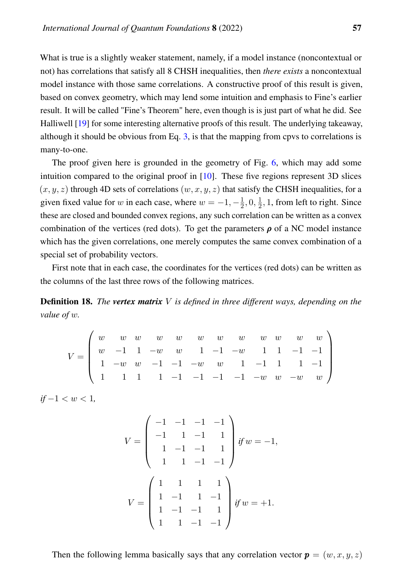What is true is a slightly weaker statement, namely, if a model instance (noncontextual or not) has correlations that satisfy all 8 CHSH inequalities, then *there exists* a noncontextual model instance with those same correlations. A constructive proof of this result is given, based on convex geometry, which may lend some intuition and emphasis to Fine's earlier result. It will be called "Fine's Theorem" here, even though is is just part of what he did. See Halliwell [\[19\]](#page-84-7) for some interesting alternative proofs of this result. The underlying takeaway, although it should be obvious from Eq. [3,](#page-7-0) is that the mapping from cpvs to correlations is many-to-one.

The proof given here is grounded in the geometry of Fig. [6,](#page-27-0) which may add some intuition compared to the original proof in [\[10\]](#page-83-8). These five regions represent 3D slices  $(x, y, z)$  through 4D sets of correlations  $(w, x, y, z)$  that satisfy the CHSH inequalities, for a given fixed value for w in each case, where  $w = -1, -\frac{1}{2}$  $\frac{1}{2}, 0, \frac{1}{2}$  $\frac{1}{2}$ , 1, from left to right. Since these are closed and bounded convex regions, any such correlation can be written as a convex combination of the vertices (red dots). To get the parameters  $\rho$  of a NC model instance which has the given correlations, one merely computes the same convex combination of a special set of probability vectors.

First note that in each case, the coordinates for the vertices (red dots) can be written as the columns of the last three rows of the following matrices.

Definition 18. *The vertex matrix* V *is defined in three different ways, depending on the value of* w*.*

$$
V = \left(\begin{array}{ccccccccc} w & w & w & w & w & w & w & w & w & w & w \\ w & -1 & 1 & -w & w & 1 & -1 & -w & 1 & 1 & -1 & -1 \\ 1 & -w & w & -1 & -1 & -w & w & 1 & -1 & 1 & 1 & -1 \\ 1 & 1 & 1 & 1 & -1 & -1 & -1 & -1 & -w & w & -w & w \end{array}\right)
$$

 $if -1 < w < 1,$ 

$$
V = \begin{pmatrix} -1 & -1 & -1 & -1 \\ -1 & 1 & -1 & 1 \\ 1 & -1 & -1 & 1 \\ 1 & 1 & -1 & -1 \end{pmatrix} \text{ if } w = -1,
$$
  

$$
V = \begin{pmatrix} 1 & 1 & 1 & 1 \\ 1 & -1 & 1 & -1 \\ 1 & -1 & -1 & 1 \\ 1 & 1 & -1 & -1 \end{pmatrix} \text{ if } w = +1.
$$

Then the following lemma basically says that any correlation vector  $p = (w, x, y, z)$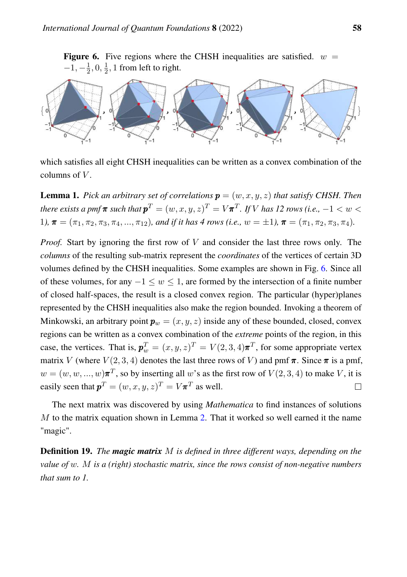<span id="page-27-0"></span>**Figure 6.** Five regions where the CHSH inequalities are satisfied.  $w =$  $-1, -\frac{1}{2}$  $\frac{1}{2}, 0, \frac{1}{2}$  $\frac{1}{2}$ , 1 from left to right.



which satisfies all eight CHSH inequalities can be written as a convex combination of the columns of  $V$ .

<span id="page-27-1"></span>**Lemma 1.** Pick an arbitrary set of correlations  $\mathbf{p} = (w, x, y, z)$  that satisfy CHSH. Then  $\iota$  *there exists a pmf*  $\pi$  *such that*  $\pmb{p}^T = (w, x, y, z)^T = V \pmb{\pi}^T$  *. If*  $V$  *has 12 rows (i.e.,*  $-1 < w < 1$ 1*)*,  $\boldsymbol{\pi} = (\pi_1, \pi_2, \pi_3, \pi_4, ..., \pi_{12})$ *, and if it has 4 rows (i.e.,*  $w = \pm 1$ *)*,  $\boldsymbol{\pi} = (\pi_1, \pi_2, \pi_3, \pi_4)$ *.* 

*Proof.* Start by ignoring the first row of V and consider the last three rows only. The *columns* of the resulting sub-matrix represent the *coordinates* of the vertices of certain 3D volumes defined by the CHSH inequalities. Some examples are shown in Fig. [6.](#page-27-0) Since all of these volumes, for any  $-1 \leq w \leq 1$ , are formed by the intersection of a finite number of closed half-spaces, the result is a closed convex region. The particular (hyper)planes represented by the CHSH inequalities also make the region bounded. Invoking a theorem of Minkowski, an arbitrary point  $p_w = (x, y, z)$  inside any of these bounded, closed, convex regions can be written as a convex combination of the *extreme* points of the region, in this case, the vertices. That is,  $p_w^T = (x, y, z)^T = V(2, 3, 4)\pi^T$ , for some appropriate vertex matrix V (where  $V(2,3,4)$  denotes the last three rows of V) and pmf  $\pi$ . Since  $\pi$  is a pmf,  $w = (w, w, ..., w)\pi^T$ , so by inserting all w's as the first row of  $V(2, 3, 4)$  to make V, it is easily seen that  $p^T = (w, x, y, z)^T = V \pi^T$  as well.  $\Box$ 

The next matrix was discovered by using *Mathematica* to find instances of solutions  $M$  to the matrix equation shown in Lemma [2.](#page-28-0) That it worked so well earned it the name "magic".

Definition 19. *The magic matrix* M *is defined in three different ways, depending on the value of* w*.* M *is a (right) stochastic matrix, since the rows consist of non-negative numbers that sum to 1.*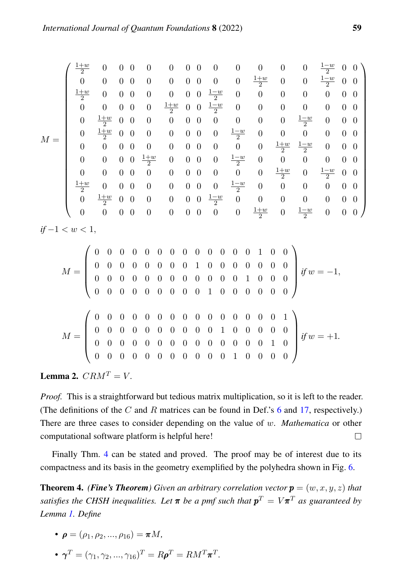$$
M = \left(\begin{array}{cccccccccccccccc} \frac{1+w}{2} & 0 & 0 & 0 & 0 & 0 & 0 & 0 & 0 & 0 & 0 & 0 & \frac{1-w}{2} & 0 & 0\\ 0 & 0 & 0 & 0 & 0 & 0 & 0 & 0 & 0 & \frac{1+w}{2} & 0 & 0 & \frac{1-w}{2} & 0 & 0\\ \frac{1+w}{2} & 0 & 0 & 0 & 0 & 0 & 0 & \frac{1-w}{2} & 0 & 0 & 0 & 0 & 0 & 0 & 0\\ 0 & 0 & 0 & 0 & 0 & \frac{1+w}{2} & 0 & 0 & \frac{1-w}{2} & 0 & 0 & 0 & 0 & 0 & 0 & 0\\ 0 & \frac{1+w}{2} & 0 & 0 & 0 & 0 & 0 & 0 & 0 & 0 & 0 & 0 & \frac{1-w}{2} & 0 & 0 & 0\\ 0 & \frac{1+w}{2} & 0 & 0 & 0 & 0 & 0 & 0 & 0 & 0 & 0 & \frac{1+w}{2} & \frac{1-w}{2} & 0 & 0 & 0\\ 0 & 0 & 0 & 0 & 0 & 0 & 0 & 0 & 0 & 0 & 0 & \frac{1+w}{2} & \frac{1-w}{2} & 0 & 0 & 0\\ 0 & 0 & 0 & 0 & 0 & 0 & 0 & 0 & 0 & 0 & 0 & \frac{1+w}{2} & \frac{1-w}{2} & 0 & 0 & 0 & 0\\ 0 & 0 & 0 & 0 & 0 & 0 & 0 & 0 & 0 & 0 & 0 & \frac{1+w}{2} & 0 & \frac{1-w}{2} & 0 & 0 & 0\\ \frac{1+w}{2} & 0 & 0 & 0 & 0 & 0 & 0 & 0 & 0 & \frac{1-w}{2} & 0 & 0 & 0 & 0 & 0 & 0\\ 0 & \frac{1+w}{2} & 0 & 0 & 0 & 0 & 0 & 0 & 0 & 0 & \frac{1-w}{2} & 0 & 0 & 0 & 0 & 0\\ 0 & 0 & 0 & 0 & 0 & 0 & 0 & 0 & 0 & 0 & 0 & \frac{1+w}{2} & 0 & \frac{1-w}{2} & 0 & 0 & 0\\ \end{array}\right)
$$

*if*  $-1 < w < 1$ .

M = 0 0 0 0 0 0 0 0 0 0 0 0 0 1 0 0 0 0 0 0 0 0 0 0 1 0 0 0 0 0 0 0 0 0 0 0 0 0 0 0 0 0 0 0 1 0 0 0 0 0 0 0 0 0 0 0 0 1 0 0 0 0 0 0 *if* w = −1, M = 0 0 0 0 0 0 0 0 0 0 0 0 0 0 0 1 0 0 0 0 0 0 0 0 0 0 1 0 0 0 0 0 0 0 0 0 0 0 0 0 0 0 0 0 0 0 1 0 0 0 0 0 0 0 0 0 0 0 0 1 0 0 0 0 *if* w = +1*.*

<span id="page-28-0"></span>**Lemma 2.**  $CRM^T = V$ .

*Proof.* This is a straightforward but tedious matrix multiplication, so it is left to the reader. (The definitions of the  $C$  and  $R$  matrices can be found in Def.'s [6](#page-7-3) and [17,](#page-20-1) respectively.) There are three cases to consider depending on the value of w. *Mathematica* or other computational software platform is helpful here!  $\Box$ 

Finally Thm. [4](#page-28-1) can be stated and proved. The proof may be of interest due to its compactness and its basis in the geometry exemplified by the polyhedra shown in Fig. [6.](#page-27-0)

<span id="page-28-1"></span>**Theorem 4.** *(Fine's Theorem)* Given an arbitrary correlation vector  $p = (w, x, y, z)$  that satisfies the CHSH inequalities. Let  $\pi$  be a pmf such that  $p^T = V\pi^T$  as guaranteed by *Lemma [1.](#page-27-1) Define*

- $\bullet$   $\boldsymbol{\rho} = (\rho_1, \rho_2, ..., \rho_{16}) = \boldsymbol{\pi} M,$
- $\bullet \ \boldsymbol{\gamma}^T = (\gamma_1, \gamma_2, ..., \gamma_{16})^T = R \boldsymbol{\rho}^T = R M^T \boldsymbol{\pi}^T.$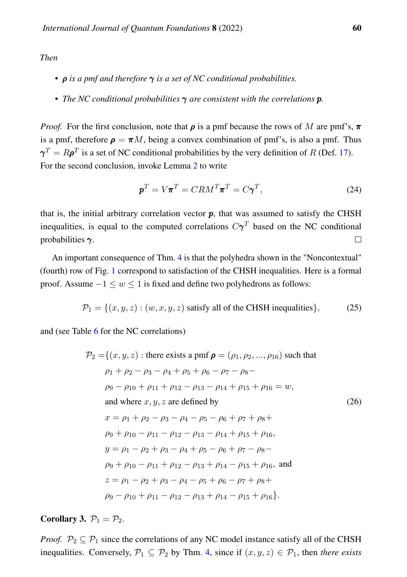# *Then*

- *•* ρ *is a pmf and therefore* γ *is a set of NC conditional probabilities.*
- *• The NC conditional probabilities* γ *are consistent with the correlations* p*.*

*Proof.* For the first conclusion, note that  $\rho$  is a pmf because the rows of M are pmf's,  $\pi$ is a pmf, therefore  $\rho = \pi M$ , being a convex combination of pmf's, is also a pmf. Thus  $\boldsymbol{\gamma}^T = R\boldsymbol{\rho}^T$  is a set of NC conditional probabilities by the very definition of R (Def. [17\)](#page-20-1). For the second conclusion, invoke Lemma [2](#page-28-0) to write

$$
\mathbf{p}^T = V\boldsymbol{\pi}^T = C R M^T \boldsymbol{\pi}^T = C \boldsymbol{\gamma}^T,\tag{24}
$$

that is, the initial arbitrary correlation vector  $p$ , that was assumed to satisfy the CHSH inequalities, is equal to the computed correlations  $C\gamma^T$  based on the NC conditional probabilities  $\gamma$ .  $\Box$ 

An important consequence of Thm. [4](#page-28-1) is that the polyhedra shown in the "Noncontextual" (fourth) row of Fig. [1](#page-2-0) correspond to satisfaction of the CHSH inequalities. Here is a formal proof. Assume  $-1 \le w \le 1$  is fixed and define two polyhedrons as follows:

$$
\mathcal{P}_1 = \{(x, y, z) : (w, x, y, z) \text{ satisfy all of the CHSH inequalities}\},\tag{25}
$$

and (see Table [6](#page-11-1) for the NC correlations)

$$
\mathcal{P}_2 = \{(x, y, z) : \text{there exists a pmf } \rho = (\rho_1, \rho_2, ..., \rho_{16}) \text{ such that} \n\rho_1 + \rho_2 - \rho_3 - \rho_4 + \rho_5 + \rho_6 - \rho_7 - \rho_8 - \n\rho_9 - \rho_{10} + \rho_{11} + \rho_{12} - \rho_{13} - \rho_{14} + \rho_{15} + \rho_{16} = w, \n\text{and where } x, y, z \text{ are defined by} \n x = \rho_1 + \rho_2 - \rho_3 - \rho_4 - \rho_5 - \rho_6 + \rho_7 + \rho_8 + \n\rho_9 + \rho_{10} - \rho_{11} - \rho_{12} - \rho_{13} - \rho_{14} + \rho_{15} + \rho_{16}, \n y = \rho_1 - \rho_2 + \rho_3 - \rho_4 + \rho_5 - \rho_6 + \rho_7 - \rho_8 - \n\rho_9 + \rho_{10} - \rho_{11} + \rho_{12} - \rho_{13} + \rho_{14} - \rho_{15} + \rho_{16}, \text{ and} \n z = \rho_1 - \rho_2 + \rho_3 - \rho_4 - \rho_5 + \rho_6 - \rho_7 + \rho_8 + \n\rho_9 - \rho_{10} + \rho_{11} - \rho_{12} - \rho_{13} + \rho_{14} - \rho_{15} + \rho_{16}.
$$
\n(26)

<span id="page-29-0"></span>Corollary 3.  $\mathcal{P}_1 = \mathcal{P}_2$ .

*Proof.*  $\mathcal{P}_2 \subseteq \mathcal{P}_1$  since the correlations of any NC model instance satisfy all of the CHSH inequalities. Conversely,  $\mathcal{P}_1 \subseteq \mathcal{P}_2$  by Thm. [4,](#page-28-1) since if  $(x, y, z) \in \mathcal{P}_1$ , then *there exists*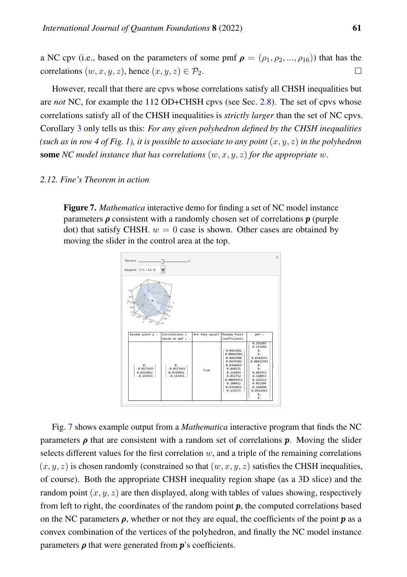a NC cpv (i.e., based on the parameters of some pmf  $\rho = (\rho_1, \rho_2, ..., \rho_{16})$ ) that has the correlations  $(w, x, y, z)$ , hence  $(x, y, z) \in \mathcal{P}_2$ .  $\Box$ 

However, recall that there are cpvs whose correlations satisfy all CHSH inequalities but are *not* NC, for example the 112 OD+CHSH cpvs (see Sec. [2.8\)](#page-17-1). The set of cpvs whose correlations satisfy all of the CHSH inequalities is *strictly larger* than the set of NC cpvs. Corollary [3](#page-29-0) only tells us this: *For any given polyhedron defined by the CHSH inequalities* (such as in row 4 of Fig. [1\)](#page-2-0), it is possible to associate to any point  $(x, y, z)$  in the polyhedron **some** *NC* model instance that has correlations  $(w, x, y, z)$  for the appropriate w.

# <span id="page-30-0"></span>*2.12. Fine's Theorem in action*

Figure 7. *Mathematica* interactive demo for finding a set of NC model instance parameters  $\rho$  consistent with a randomly chosen set of correlations  $p$  (purple dot) that satisfy CHSH.  $w = 0$  case is shown. Other cases are obtained by moving the slider in the control area at the top.



Fig. [7](#page-30-0) shows example output from a *Mathematica* interactive program that finds the NC parameters  $\rho$  that are consistent with a random set of correlations  $p$ . Moving the slider selects different values for the first correlation  $w$ , and a triple of the remaining correlations  $(x, y, z)$  is chosen randomly (constrained so that  $(w, x, y, z)$  satisfies the CHSH inequalities, of course). Both the appropriate CHSH inequality region shape (as a 3D slice) and the random point  $(x, y, z)$  are then displayed, along with tables of values showing, respectively from left to right, the coordinates of the random point  $p$ , the computed correlations based on the NC parameters  $\rho$ , whether or not they are equal, the coefficients of the point  $p$  as a convex combination of the vertices of the polyhedron, and finally the NC model instance parameters  $\rho$  that were generated from  $p$ 's coefficients.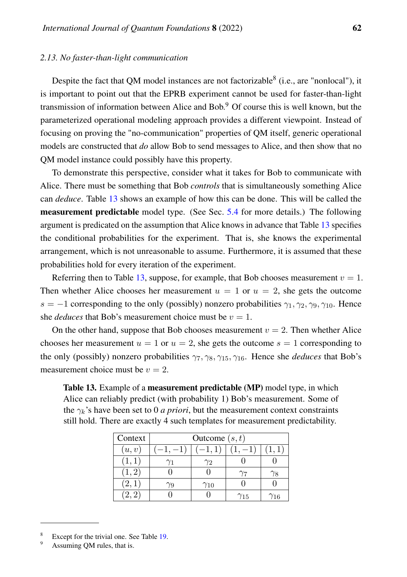# *2.13. No faster-than-light communication*

Despite the fact that QM model instances are not factorizable  $($ i.e., are "nonlocal"), it is important to point out that the EPRB experiment cannot be used for faster-than-light transmission of information between Alice and Bob.<sup>9</sup> Of course this is well known, but the parameterized operational modeling approach provides a different viewpoint. Instead of focusing on proving the "no-communication" properties of QM itself, generic operational models are constructed that *do* allow Bob to send messages to Alice, and then show that no QM model instance could possibly have this property.

To demonstrate this perspective, consider what it takes for Bob to communicate with Alice. There must be something that Bob *controls* that is simultaneously something Alice can *deduce*. Table [13](#page-31-0) shows an example of how this can be done. This will be called the measurement predictable model type. (See Sec. [5.4](#page-48-0) for more details.) The following argument is predicated on the assumption that Alice knows in advance that Table [13](#page-31-0) specifies the conditional probabilities for the experiment. That is, she knows the experimental arrangement, which is not unreasonable to assume. Furthermore, it is assumed that these probabilities hold for every iteration of the experiment.

Referring then to Table [13,](#page-31-0) suppose, for example, that Bob chooses measurement  $v = 1$ . Then whether Alice chooses her measurement  $u = 1$  or  $u = 2$ , she gets the outcome  $s = -1$  corresponding to the only (possibly) nonzero probabilities  $\gamma_1, \gamma_2, \gamma_9, \gamma_{10}$ . Hence she *deduces* that Bob's measurement choice must be  $v = 1$ .

On the other hand, suppose that Bob chooses measurement  $v = 2$ . Then whether Alice chooses her measurement  $u = 1$  or  $u = 2$ , she gets the outcome  $s = 1$  corresponding to the only (possibly) nonzero probabilities  $\gamma_7, \gamma_8, \gamma_{15}, \gamma_{16}$ . Hence she *deduces* that Bob's measurement choice must be  $v = 2$ .

<span id="page-31-0"></span>Table 13. Example of a measurement predictable (MP) model type, in which Alice can reliably predict (with probability 1) Bob's measurement. Some of the  $\gamma_k$ 's have been set to 0 *a priori*, but the measurement context constraints still hold. There are exactly 4 such templates for measurement predictability.

| Context | Outcome $(s, t)$ |               |               |     |  |  |  |  |  |
|---------|------------------|---------------|---------------|-----|--|--|--|--|--|
| (u, v)  |                  | $-1,1]$       |               |     |  |  |  |  |  |
| (1,1)   |                  | Y2            |               |     |  |  |  |  |  |
| (1, 2)  |                  |               |               |     |  |  |  |  |  |
| (2,1)   |                  | $\gamma_{10}$ |               |     |  |  |  |  |  |
| 2, 2    |                  |               | $\gamma_{15}$ | /16 |  |  |  |  |  |

<sup>8</sup> Except for the trivial one. See Table [19.](#page-42-0)

Assuming QM rules, that is.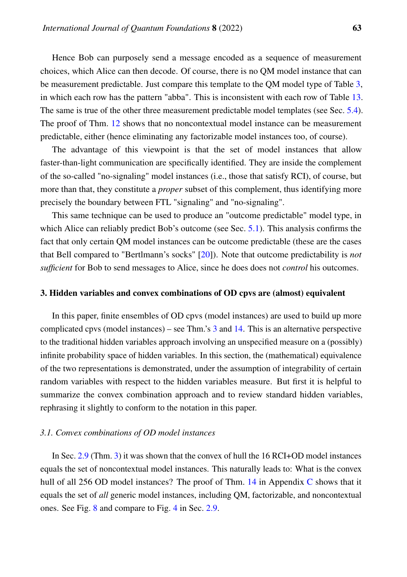Hence Bob can purposely send a message encoded as a sequence of measurement choices, which Alice can then decode. Of course, there is no QM model instance that can be measurement predictable. Just compare this template to the QM model type of Table [3,](#page-9-0) in which each row has the pattern "abba". This is inconsistent with each row of Table [13.](#page-31-0) The same is true of the other three measurement predictable model templates (see Sec. [5.4\)](#page-48-0). The proof of Thm. [12](#page-50-0) shows that no noncontextual model instance can be measurement predictable, either (hence eliminating any factorizable model instances too, of course).

The advantage of this viewpoint is that the set of model instances that allow faster-than-light communication are specifically identified. They are inside the complement of the so-called "no-signaling" model instances (i.e., those that satisfy RCI), of course, but more than that, they constitute a *proper* subset of this complement, thus identifying more precisely the boundary between FTL "signaling" and "no-signaling".

This same technique can be used to produce an "outcome predictable" model type, in which Alice can reliably predict Bob's outcome (see Sec. [5.1\)](#page-43-0). This analysis confirms the fact that only certain QM model instances can be outcome predictable (these are the cases that Bell compared to "Bertlmann's socks" [\[20\]](#page-84-8)). Note that outcome predictability is *not sufficient* for Bob to send messages to Alice, since he does does not *control* his outcomes.

#### <span id="page-32-0"></span>3. Hidden variables and convex combinations of OD cpvs are (almost) equivalent

In this paper, finite ensembles of OD cpvs (model instances) are used to build up more complicated cpvs (model instances) – see Thm.'s [3](#page-20-0) and [14.](#page-68-1) This is an alternative perspective to the traditional hidden variables approach involving an unspecified measure on a (possibly) infinite probability space of hidden variables. In this section, the (mathematical) equivalence of the two representations is demonstrated, under the assumption of integrability of certain random variables with respect to the hidden variables measure. But first it is helpful to summarize the convex combination approach and to review standard hidden variables, rephrasing it slightly to conform to the notation in this paper.

#### *3.1. Convex combinations of OD model instances*

In Sec. [2.9](#page-20-2) (Thm. [3\)](#page-20-0) it was shown that the convex of hull the 16 RCI+OD model instances equals the set of noncontextual model instances. This naturally leads to: What is the convex hull of all 256 OD model instances? The proof of Thm. [14](#page-68-1) in Appendix [C](#page-68-0) shows that it equals the set of *all* generic model instances, including QM, factorizable, and noncontextual ones. See Fig. [8](#page-33-0) and compare to Fig. [4](#page-21-1) in Sec. [2.9.](#page-20-2)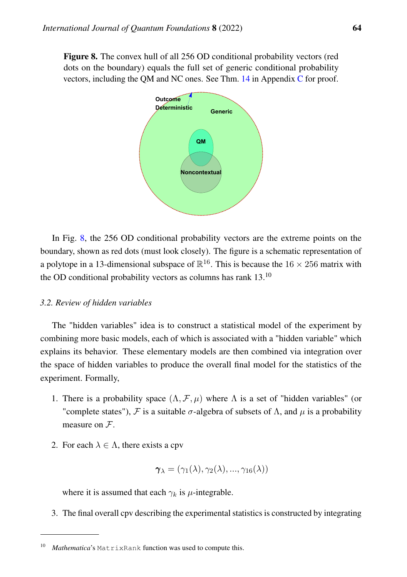<span id="page-33-0"></span>Figure 8. The convex hull of all 256 OD conditional probability vectors (red dots on the boundary) equals the full set of generic conditional probability vectors, including the QM and NC ones. See Thm. [14](#page-68-1) in Appendix [C](#page-68-0) for proof.



In Fig. [8,](#page-33-0) the 256 OD conditional probability vectors are the extreme points on the boundary, shown as red dots (must look closely). The figure is a schematic representation of a polytope in a 13-dimensional subspace of  $\mathbb{R}^{16}$ . This is because the 16  $\times$  256 matrix with the OD conditional probability vectors as columns has rank 13.<sup>10</sup>

# *3.2. Review of hidden variables*

The "hidden variables" idea is to construct a statistical model of the experiment by combining more basic models, each of which is associated with a "hidden variable" which explains its behavior. These elementary models are then combined via integration over the space of hidden variables to produce the overall final model for the statistics of the experiment. Formally,

- 1. There is a probability space  $(\Lambda, \mathcal{F}, \mu)$  where  $\Lambda$  is a set of "hidden variables" (or "complete states"), F is a suitable  $\sigma$ -algebra of subsets of  $\Lambda$ , and  $\mu$  is a probability measure on  $\mathcal{F}$ .
- 2. For each  $\lambda \in \Lambda$ , there exists a cpv

$$
\boldsymbol{\gamma}_{\lambda}=(\gamma_{1}(\lambda),\gamma_{2}(\lambda),...,\gamma_{16}(\lambda))
$$

where it is assumed that each  $\gamma_k$  is  $\mu$ -integrable.

3. The final overall cpv describing the experimental statistics is constructed by integrating

<sup>10</sup> *Mathematica*'s MatrixRank function was used to compute this.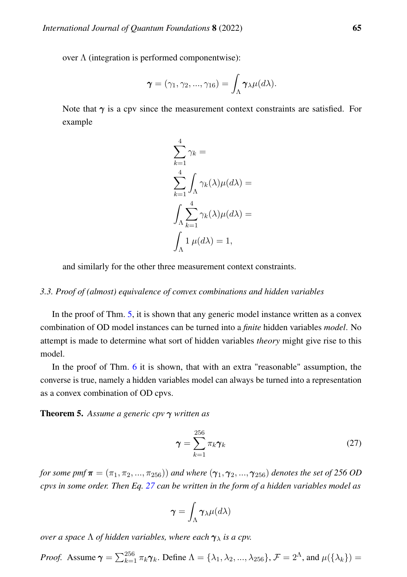over  $\Lambda$  (integration is performed componentwise):

$$
\boldsymbol{\gamma}=(\gamma_1,\gamma_2,...,\gamma_{16})=\int_{\Lambda}\boldsymbol{\gamma}_{\lambda}\mu(d\lambda).
$$

Note that  $\gamma$  is a cpv since the measurement context constraints are satisfied. For example

$$
\sum_{k=1}^{4} \gamma_k =
$$
  

$$
\sum_{k=1}^{4} \int_{\Lambda} \gamma_k(\lambda) \mu(d\lambda) =
$$
  

$$
\int_{\Lambda} \sum_{k=1}^{4} \gamma_k(\lambda) \mu(d\lambda) =
$$
  

$$
\int_{\Lambda} 1 \mu(d\lambda) = 1,
$$

and similarly for the other three measurement context constraints.

# *3.3. Proof of (almost) equivalence of convex combinations and hidden variables*

In the proof of Thm. [5,](#page-34-0) it is shown that any generic model instance written as a convex combination of OD model instances can be turned into a *finite* hidden variables *model*. No attempt is made to determine what sort of hidden variables *theory* might give rise to this model.

In the proof of Thm. [6](#page-35-0) it is shown, that with an extra "reasonable" assumption, the converse is true, namely a hidden variables model can always be turned into a representation as a convex combination of OD cpvs.

<span id="page-34-0"></span>Theorem 5. *Assume a generic cpv* γ *written as*

<span id="page-34-1"></span>
$$
\gamma = \sum_{k=1}^{256} \pi_k \gamma_k \tag{27}
$$

*for some pmf*  $\pi = (\pi_1, \pi_2, ..., \pi_{256})$  *and where*  $(\gamma_1, \gamma_2, ..., \gamma_{256})$  *denotes the set of 256 OD cpvs in some order. Then Eq. [27](#page-34-1) can be written in the form of a hidden variables model as*

$$
\boldsymbol{\gamma} = \int_{\Lambda} \boldsymbol{\gamma}_{\lambda} \mu(d\lambda)
$$

*over a space*  $\Lambda$  *of hidden variables, where each*  $\gamma_{\lambda}$  *is a cpv.* 

*Proof.* Assume 
$$
\gamma = \sum_{k=1}^{256} \pi_k \gamma_k
$$
. Define  $\Lambda = {\lambda_1, \lambda_2, ..., \lambda_{256}}$ ,  $\mathcal{F} = 2^{\Lambda}$ , and  $\mu({\lambda_k}) =$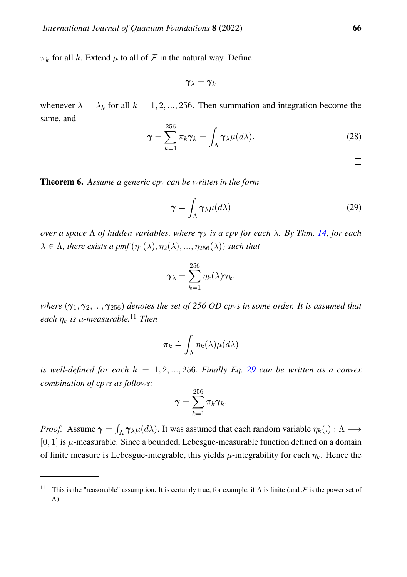$\pi_k$  for all k. Extend  $\mu$  to all of F in the natural way. Define

$$
\pmb{\gamma}_\lambda = \pmb{\gamma}_k
$$

whenever  $\lambda = \lambda_k$  for all  $k = 1, 2, ..., 256$ . Then summation and integration become the same, and  $256$ 

$$
\gamma = \sum_{k=1}^{256} \pi_k \gamma_k = \int_{\Lambda} \gamma_{\lambda} \mu(d\lambda).
$$
 (28)

 $\Box$ 

<span id="page-35-0"></span>Theorem 6. *Assume a generic cpv can be written in the form*

<span id="page-35-1"></span>
$$
\gamma = \int_{\Lambda} \gamma_{\lambda} \mu(d\lambda) \tag{29}
$$

*over a space* Λ *of hidden variables, where* γ<sup>λ</sup> *is a cpv for each* λ*. By Thm. [14,](#page-68-1) for each*  $\lambda \in \Lambda$ , there exists a pmf  $(\eta_1(\lambda), \eta_2(\lambda), ..., \eta_{256}(\lambda))$  such that

$$
\boldsymbol{\gamma}_{\lambda} = \sum_{k=1}^{256} \eta_k(\lambda) \boldsymbol{\gamma}_k,
$$

*where*  $(\gamma_1, \gamma_2, ..., \gamma_{256})$  *denotes the set of 256 OD cpvs in some order. It is assumed that each*  $\eta_k$  *is*  $\mu$ *-measurable.*<sup>11</sup> *Then* 

$$
\pi_k \doteq \int_{\Lambda} \eta_k(\lambda) \mu(d\lambda)
$$

*is well-defined for each*  $k = 1, 2, ..., 256$ . *Finally Eq. [29](#page-35-1) can be written as a convex combination of cpvs as follows:*

$$
\boldsymbol{\gamma} = \sum_{k=1}^{256} \pi_k \boldsymbol{\gamma}_k.
$$

*Proof.* Assume  $\gamma = \int_{\Lambda} \gamma_{\lambda} \mu(d\lambda)$ . It was assumed that each random variable  $\eta_k(.) : \Lambda \longrightarrow$  $[0, 1]$  is  $\mu$ -measurable. Since a bounded, Lebesgue-measurable function defined on a domain of finite measure is Lebesgue-integrable, this yields  $\mu$ -integrability for each  $\eta_k$ . Hence the

<sup>&</sup>lt;sup>11</sup> This is the "reasonable" assumption. It is certainly true, for example, if  $\Lambda$  is finite (and  $\mathcal F$  is the power set of Λ).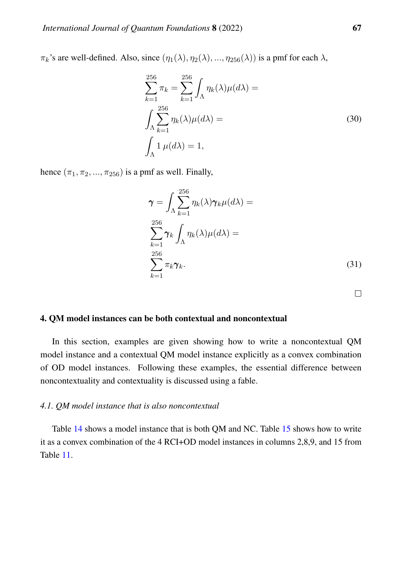$\pi_k$ 's are well-defined. Also, since  $(\eta_1(\lambda), \eta_2(\lambda), ..., \eta_{256}(\lambda))$  is a pmf for each  $\lambda$ ,

$$
\sum_{k=1}^{256} \pi_k = \sum_{k=1}^{256} \int_{\Lambda} \eta_k(\lambda) \mu(d\lambda) =
$$
  

$$
\int_{\Lambda} \sum_{k=1}^{256} \eta_k(\lambda) \mu(d\lambda) =
$$
  

$$
\int_{\Lambda} 1 \mu(d\lambda) = 1,
$$
 (30)

hence  $(\pi_1, \pi_2, ..., \pi_{256})$  is a pmf as well. Finally,

$$
\gamma = \int_{\Lambda} \sum_{k=1}^{256} \eta_k(\lambda) \gamma_k \mu(d\lambda) =
$$
  

$$
\sum_{k=1}^{256} \gamma_k \int_{\Lambda} \eta_k(\lambda) \mu(d\lambda) =
$$
  

$$
\sum_{k=1}^{256} \pi_k \gamma_k.
$$
 (31)

 $\Box$ 

#### 4. QM model instances can be both contextual and noncontextual

In this section, examples are given showing how to write a noncontextual QM model instance and a contextual QM model instance explicitly as a convex combination of OD model instances. Following these examples, the essential difference between noncontextuality and contextuality is discussed using a fable.

## <span id="page-36-0"></span>*4.1. QM model instance that is also noncontextual*

Table [14](#page-37-0) shows a model instance that is both QM and NC. Table [15](#page-37-1) shows how to write it as a convex combination of the 4 RCI+OD model instances in columns 2,8,9, and 15 from Table [11.](#page-18-0)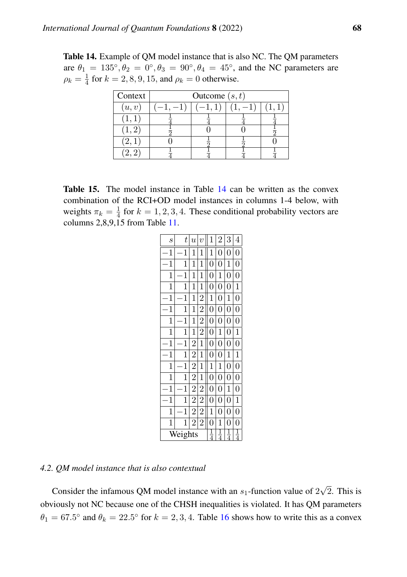<span id="page-37-0"></span>Table 14. Example of QM model instance that is also NC. The QM parameters are  $\theta_1 = 135^\circ, \theta_2 = 0^\circ, \theta_3 = 90^\circ, \theta_4 = 45^\circ$ , and the NC parameters are  $\rho_k=\frac{1}{4}$  $\frac{1}{4}$  for  $k = 2, 8, 9, 15$ , and  $\rho_k = 0$  otherwise.

| Context |          | Outcome $(s, t)$ |  |  |  |  |  |  |  |  |  |
|---------|----------|------------------|--|--|--|--|--|--|--|--|--|
| (u, v)  | $-1, -1$ |                  |  |  |  |  |  |  |  |  |  |
|         |          |                  |  |  |  |  |  |  |  |  |  |
|         |          |                  |  |  |  |  |  |  |  |  |  |
|         |          |                  |  |  |  |  |  |  |  |  |  |
|         |          |                  |  |  |  |  |  |  |  |  |  |

<span id="page-37-1"></span>Table 15. The model instance in Table [14](#page-37-0) can be written as the convex combination of the RCI+OD model instances in columns 1-4 below, with weights  $\pi_k = \frac{1}{4}$  $\frac{1}{4}$  for  $k = 1, 2, 3, 4$ . These conditional probability vectors are columns 2,8,9,15 from Table [11.](#page-18-0)

| $\boldsymbol{s}$ | t            | $\overline{u}$ | $\overline{v}$ | 1              | $\overline{2}$ | 3              | $\overline{4}$ |
|------------------|--------------|----------------|----------------|----------------|----------------|----------------|----------------|
| 1                | 1            | 1              | 1              | $\mathbf{1}$   | 0              | 0              | 0              |
| 1                | 1            | 1              | 1              | $\overline{0}$ | 0              | 1              | $\overline{0}$ |
| $\mathbf 1$      | 1            | 1              | $\mathbf{1}$   | $\overline{0}$ | 1              | $\overline{0}$ | $\overline{0}$ |
| 1                | 1            | 1              | 1              | $\overline{0}$ | $\overline{0}$ | 0              | $\mathbf{1}$   |
| $\mathbf{1}$     | $\mathbf{1}$ | $\mathbf{1}$   | $\overline{2}$ | $\mathbf{1}$   | $\overline{0}$ | $\mathbf{1}$   | $\overline{0}$ |
| 1                | 1            | $\mathbf{1}$   | $\overline{2}$ | $\overline{0}$ | 0              | $\overline{0}$ | 0              |
| $\mathbf 1$      | 1            | $\mathbf{1}$   | $\overline{2}$ | $\overline{0}$ | 0              | 0              | $\overline{0}$ |
| $\mathbf 1$      | 1            | 1              | $\overline{2}$ | $\overline{0}$ | 1              | 0              | 1              |
| 1                | 1            | $\overline{2}$ | 1              | $\overline{0}$ | 0              | 0              | $\overline{0}$ |
| 1                | 1            | $\overline{2}$ | 1              | $\overline{0}$ | 0              | $\mathbf{1}$   | $\mathbf{1}$   |
| 1                | 1            | $\overline{2}$ | 1              | $\mathbf{1}$   | 1              | $\overline{0}$ | $\overline{0}$ |
| 1                | 1            | $\overline{2}$ | 1              | $\overline{0}$ | $\overline{0}$ | $\overline{0}$ | $\overline{0}$ |
| 1                | 1            | $\overline{2}$ | $\overline{2}$ | $\overline{0}$ | 0              | 1              | $\overline{0}$ |
| 1                | $\mathbf 1$  | $\overline{2}$ | $\overline{2}$ | $\overline{0}$ | 0              | 0              | $\mathbf{1}$   |
| 1                | 1            | $\overline{2}$ | $\overline{2}$ | 1              | 0              | 0              | $\overline{0}$ |
| $\mathbf 1$      | 1            | $\overline{2}$ | $\overline{2}$ | $\overline{0}$ | 1              | $\overline{0}$ | $\overline{0}$ |
|                  | Weights      | $\frac{1}{4}$  | $\frac{1}{4}$  | $\frac{1}{4}$  | $\frac{1}{4}$  |                |                |

<span id="page-37-2"></span>*4.2. QM model instance that is also contextual*

Consider the infamous QM model instance with an  $s_1$ -function value of 2 √ 2. This is obviously not NC because one of the CHSH inequalities is violated. It has QM parameters  $\theta_1 = 67.5^{\circ}$  and  $\theta_k = 22.5^{\circ}$  for  $k = 2, 3, 4$ . Table [16](#page-38-0) shows how to write this as a convex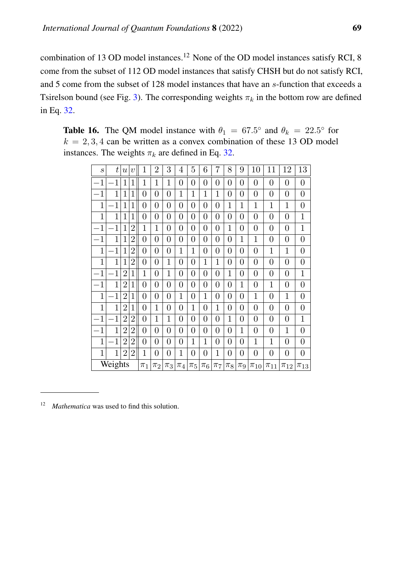combination of 13 OD model instances.<sup>12</sup> None of the OD model instances satisfy RCI, 8 come from the subset of 112 OD model instances that satisfy CHSH but do not satisfy RCI, and 5 come from the subset of 128 model instances that have an s-function that exceeds a Tsirelson bound (see Fig. [3\)](#page-19-0). The corresponding weights  $\pi_k$  in the bottom row are defined in Eq. [32.](#page-39-0)

<span id="page-38-0"></span>

| <b>Table 16.</b> The QM model instance with $\theta_1 = 67.5^{\circ}$ and $\theta_k = 22.5^{\circ}$ for |
|---------------------------------------------------------------------------------------------------------|
| $k = 2, 3, 4$ can be written as a convex combination of these 13 OD model                               |
| instances. The weights $\pi_k$ are defined in Eq. 32.                                                   |

| $\mathcal{S}_{\mathcal{S}}$ | t              | $\boldsymbol{u}$ | $\boldsymbol{v}$ | 1                | 2              | 3                | 4                | 5                | 6                | 7              | 8                | 9              | 10               | 11             | 12             | 13               |
|-----------------------------|----------------|------------------|------------------|------------------|----------------|------------------|------------------|------------------|------------------|----------------|------------------|----------------|------------------|----------------|----------------|------------------|
| $\mathbf{1}$                | $\mathbf{1}$   | 1                | 1                | 1                | 1              | 1                | 0                | 0                | 0                | 0              | 0                | $\overline{0}$ | $\boldsymbol{0}$ | 0              | 0              | $\overline{0}$   |
| 1                           | $\mathbf 1$    | 1                | $\mathbf{1}$     | 0                | 0              | $\overline{0}$   | $\mathbf 1$      | $\mathbf 1$      | 1                | 1              | $\overline{0}$   | $\overline{0}$ | $\boldsymbol{0}$ | 0              | 0              | $\boldsymbol{0}$ |
| 1                           | 1              | 1                | 1                | 0                | $\overline{0}$ | $\overline{0}$   | 0                | 0                | $\boldsymbol{0}$ | 0              | 1                | 1              | 1                | 1              | 1              | $\boldsymbol{0}$ |
| 1                           | 1              | 1                | 1                | 0                | 0              | 0                | 0                | 0                | 0                | 0              | 0                | 0              | $\boldsymbol{0}$ | 0              | 0              | $\mathbf 1$      |
| $\mathbf{1}$                | 1              | 1                | $\overline{2}$   | 1                | $\mathbf{1}$   | $\overline{0}$   | 0                | 0                | 0                | 0              | 1                | $\overline{0}$ | $\boldsymbol{0}$ | 0              | 0              | $\mathbf 1$      |
| $\mathbf{1}$                | $\mathbf{1}$   | 1                | $\overline{2}$   | $\overline{0}$   | $\overline{0}$ | $\boldsymbol{0}$ | $\boldsymbol{0}$ | $\boldsymbol{0}$ | $\boldsymbol{0}$ | 0              | $\overline{0}$   | $\mathbf{1}$   | $\mathbf 1$      | 0              | 0              | $\boldsymbol{0}$ |
| 1                           | $\mathbf{1}$   | 1                | $\overline{2}$   | $\boldsymbol{0}$ | 0              | $\boldsymbol{0}$ | 1                | 1                | 0                | 0              | $\boldsymbol{0}$ | $\overline{0}$ | $\boldsymbol{0}$ | $\mathbf 1$    | 1              | $\boldsymbol{0}$ |
| 1                           | 1              | 1                | $\overline{2}$   | $\overline{0}$   | 0              | $\mathbf{1}$     | 0                | $\overline{0}$   | $\mathbf 1$      | $\mathbf 1$    | $\overline{0}$   | $\overline{0}$ | $\boldsymbol{0}$ | $\overline{0}$ | $\overline{0}$ | $\overline{0}$   |
| 1                           | $\mathbf{1}$   | $\overline{2}$   | 1                | 1                | 0              | 1                | 0                | 0                | $\overline{0}$   | 0              | 1                | $\overline{0}$ | $\overline{0}$   | 0              | 0              | $\mathbf{1}$     |
| 1                           | 1              | $\overline{2}$   | $\mathbf{1}$     | 0                | 0              | $\overline{0}$   | 0                | 0                | 0                | 0              | $\overline{0}$   | 1              | $\overline{0}$   | $\mathbf 1$    | 0              | $\overline{0}$   |
| 1                           | $\overline{1}$ | $\overline{2}$   | $\mathbf{1}$     | 0                | 0              | $\overline{0}$   | 1                | 0                | 1                | $\overline{0}$ | $\overline{0}$   | $\overline{0}$ | 1                | $\overline{0}$ | 1              | $\overline{0}$   |
| 1                           | 1              | $\overline{2}$   | $\mathbf{1}$     | 0                | $\mathbf{1}$   | $\overline{0}$   | 0                | $\mathbf 1$      | $\overline{0}$   | 1              | $\boldsymbol{0}$ | $\overline{0}$ | $\boldsymbol{0}$ | $\overline{0}$ | 0              | $\boldsymbol{0}$ |
| $\mathbf{1}$                | $\mathbf 1$    | $\overline{2}$   | $\overline{2}$   | 0                | 1              | $\mathbf{1}$     | 0                | 0                | $\boldsymbol{0}$ | $\overline{0}$ | 1                | $\overline{0}$ | $\overline{0}$   | $\overline{0}$ | 0              | $\mathbf{1}$     |
| 1                           | 1              | $\overline{2}$   | $\overline{2}$   | 0                | $\overline{0}$ | $\overline{0}$   | 0                | 0                | $\boldsymbol{0}$ | 0              | $\overline{0}$   | 1              | $\boldsymbol{0}$ | 0              | 1              | $\overline{0}$   |
| 1                           | 1              | $\overline{2}$   | $\overline{2}$   | $\overline{0}$   | 0              | $\overline{0}$   | 0                | 1                | 1                | 0              | $\overline{0}$   | $\overline{0}$ | 1                | 1              | 0              | $\overline{0}$   |
| $\mathbf{1}$                | $\mathbf{1}$   | $\overline{2}$   | $\overline{2}$   | $\mathbf 1$      | 0              | $\overline{0}$   | 1                | 0                | $\overline{0}$   | $\mathbf 1$    | $\overline{0}$   | $\overline{0}$ | $\boldsymbol{0}$ | 0              | 0              | $\boldsymbol{0}$ |
|                             | Weights        |                  |                  | $\pi_1$          | $\pi_2$        | $\pi_3$          | $\pi_4$          | $\pi_5$          | $\pi_6$          | $\pi_7$        | $\pi_8$          | $\pi_9$        | $\pi_{10}$       | $\pi_{11}$     | $\pi_{12}$     | $\pi_{13}$       |

<sup>&</sup>lt;sup>12</sup> *Mathematica* was used to find this solution.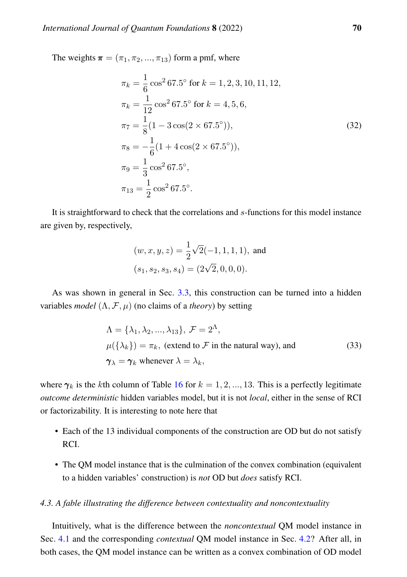The weights  $\boldsymbol{\pi} = (\pi_1, \pi_2, ..., \pi_{13})$  form a pmf, where

<span id="page-39-0"></span>
$$
\pi_k = \frac{1}{6} \cos^2 67.5^\circ \text{ for } k = 1, 2, 3, 10, 11, 12,
$$
  
\n
$$
\pi_k = \frac{1}{12} \cos^2 67.5^\circ \text{ for } k = 4, 5, 6,
$$
  
\n
$$
\pi_7 = \frac{1}{8} (1 - 3 \cos(2 \times 67.5^\circ)),
$$
  
\n
$$
\pi_8 = -\frac{1}{6} (1 + 4 \cos(2 \times 67.5^\circ)),
$$
  
\n
$$
\pi_9 = \frac{1}{3} \cos^2 67.5^\circ,
$$
  
\n
$$
\pi_{13} = \frac{1}{2} \cos^2 67.5^\circ.
$$
\n(32)

It is straightforward to check that the correlations and s-functions for this model instance are given by, respectively,

$$
(w, x, y, z) = \frac{1}{2}\sqrt{2}(-1, 1, 1, 1),
$$
 and  

$$
(s_1, s_2, s_3, s_4) = (2\sqrt{2}, 0, 0, 0).
$$

As was shown in general in Sec. [3.3,](#page-34-0) this construction can be turned into a hidden variables *model*  $(\Lambda, \mathcal{F}, \mu)$  (no claims of a *theory*) by setting

$$
\Lambda = {\lambda_1, \lambda_2, ..., \lambda_{13}}, \mathcal{F} = 2^{\Lambda},
$$
  
\n
$$
\mu({\lambda_k}) = \pi_k, \text{ (extend to } \mathcal{F} \text{ in the natural way), and}
$$
  
\n
$$
\gamma_{\lambda} = \gamma_k \text{ whenever } \lambda = \lambda_k,
$$
\n(33)

where  $\gamma_k$  is the kth column of Table [16](#page-38-0) for  $k = 1, 2, ..., 13$ . This is a perfectly legitimate *outcome deterministic* hidden variables model, but it is not *local*, either in the sense of RCI or factorizability. It is interesting to note here that

- Each of the 13 individual components of the construction are OD but do not satisfy RCI.
- The QM model instance that is the culmination of the convex combination (equivalent to a hidden variables' construction) is *not* OD but *does* satisfy RCI.

#### <span id="page-39-1"></span>*4.3. A fable illustrating the difference between contextuality and noncontextuality*

Intuitively, what is the difference between the *noncontextual* QM model instance in Sec. [4.1](#page-36-0) and the corresponding *contextual* QM model instance in Sec. [4.2?](#page-37-2) After all, in both cases, the QM model instance can be written as a convex combination of OD model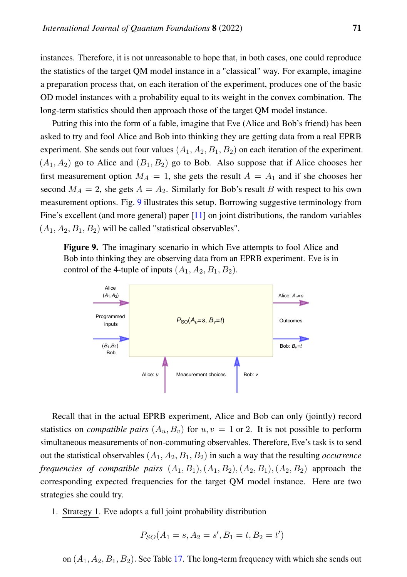instances. Therefore, it is not unreasonable to hope that, in both cases, one could reproduce the statistics of the target QM model instance in a "classical" way. For example, imagine a preparation process that, on each iteration of the experiment, produces one of the basic OD model instances with a probability equal to its weight in the convex combination. The long-term statistics should then approach those of the target QM model instance.

Putting this into the form of a fable, imagine that Eve (Alice and Bob's friend) has been asked to try and fool Alice and Bob into thinking they are getting data from a real EPRB experiment. She sends out four values  $(A_1, A_2, B_1, B_2)$  on each iteration of the experiment.  $(A_1, A_2)$  go to Alice and  $(B_1, B_2)$  go to Bob. Also suppose that if Alice chooses her first measurement option  $M_A = 1$ , she gets the result  $A = A_1$  and if she chooses her second  $M_A = 2$ , she gets  $A = A_2$ . Similarly for Bob's result B with respect to his own measurement options. Fig. [9](#page-40-0) illustrates this setup. Borrowing suggestive terminology from Fine's excellent (and more general) paper [\[11\]](#page-83-0) on joint distributions, the random variables  $(A_1, A_2, B_1, B_2)$  will be called "statistical observables".

<span id="page-40-0"></span>Figure 9. The imaginary scenario in which Eve attempts to fool Alice and Bob into thinking they are observing data from an EPRB experiment. Eve is in control of the 4-tuple of inputs  $(A_1, A_2, B_1, B_2)$ .



Recall that in the actual EPRB experiment, Alice and Bob can only (jointly) record statistics on *compatible pairs*  $(A_u, B_v)$  for  $u, v = 1$  or 2. It is not possible to perform simultaneous measurements of non-commuting observables. Therefore, Eve's task is to send out the statistical observables  $(A_1, A_2, B_1, B_2)$  in such a way that the resulting *occurrence frequencies of compatible pairs*  $(A_1, B_1), (A_1, B_2), (A_2, B_1), (A_2, B_2)$  approach the corresponding expected frequencies for the target QM model instance. Here are two strategies she could try.

1. Strategy 1. Eve adopts a full joint probability distribution

$$
P_{SO}(A_1 = s, A_2 = s', B_1 = t, B_2 = t')
$$

on  $(A_1, A_2, B_1, B_2)$ . See Table [17.](#page-41-0) The long-term frequency with which she sends out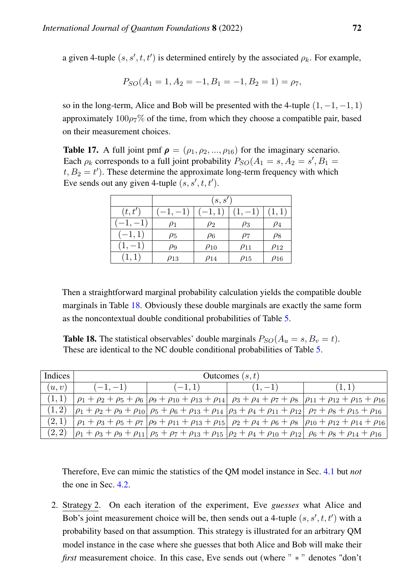a given 4-tuple  $(s, s', t, t')$  is determined entirely by the associated  $\rho_k$ . For example,

$$
P_{SO}(A_1 = 1, A_2 = -1, B_1 = -1, B_2 = 1) = \rho_7,
$$

so in the long-term, Alice and Bob will be presented with the 4-tuple  $(1, -1, -1, 1)$ approximately  $100\rho$ <sub>7</sub>% of the time, from which they choose a compatible pair, based on their measurement choices.

<span id="page-41-0"></span>**Table 17.** A full joint pmf  $\rho = (\rho_1, \rho_2, ..., \rho_{16})$  for the imaginary scenario. Each  $\rho_k$  corresponds to a full joint probability  $P_{SO}(A_1 = s, A_2 = s', B_1 = s')$  $t, B_2 = t'$ ). These determine the approximate long-term frequency with which Eve sends out any given 4-tuple  $(s, s', t, t')$ .

|          |             | (s, s')     |             |             |  |  |  |  |  |  |
|----------|-------------|-------------|-------------|-------------|--|--|--|--|--|--|
| (t,t')   | $(-1,-1)$   |             | $1, -1$     |             |  |  |  |  |  |  |
|          | $\rho_1$    | $\rho_2$    | $\rho_3$    | $\rho_4$    |  |  |  |  |  |  |
| $[-1,1]$ | $\rho_5$    | $\rho_6$    | $\rho_7$    | $\rho_8$    |  |  |  |  |  |  |
|          | ρ9          | $\rho_{10}$ | $\rho_{11}$ | $\rho_{12}$ |  |  |  |  |  |  |
|          | $\rho_{13}$ | $\rho_{14}$ | $\rho_{15}$ | $\rho_{16}$ |  |  |  |  |  |  |

Then a straightforward marginal probability calculation yields the compatible double marginals in Table [18.](#page-41-1) Obviously these double marginals are exactly the same form as the noncontextual double conditional probabilities of Table [5.](#page-11-0)

<span id="page-41-1"></span>**Table 18.** The statistical observables' double marginals  $P_{SO}(A_u = s, B_v = t)$ . These are identical to the NC double conditional probabilities of Table [5.](#page-11-0)

| Indices | Outcomes $(s, t)$ |          |           |                                                                                                                                                                            |  |  |  |  |  |  |  |  |
|---------|-------------------|----------|-----------|----------------------------------------------------------------------------------------------------------------------------------------------------------------------------|--|--|--|--|--|--|--|--|
| (u, v)  | $(-1,-1)$         | $(-1,1)$ | $(1, -1)$ |                                                                                                                                                                            |  |  |  |  |  |  |  |  |
|         |                   |          |           | $\rho_1 + \rho_2 + \rho_5 + \rho_6$   $\rho_9 + \rho_{10} + \rho_{13} + \rho_{14}$   $\rho_3 + \rho_4 + \rho_7 + \rho_8$   $\rho_{11} + \rho_{12} + \rho_{15} + \rho_{16}$ |  |  |  |  |  |  |  |  |
|         |                   |          |           | $\rho_1 + \rho_2 + \rho_3 + \rho_{10} \rho_5 + \rho_6 + \rho_{13} + \rho_{14} \rho_3 + \rho_4 + \rho_{11} + \rho_{12} \rho_7 + \rho_8 + \rho_{15} + \rho_{16}$             |  |  |  |  |  |  |  |  |
| (2,1)   |                   |          |           | $\rho_1 + \rho_3 + \rho_5 + \rho_7  \rho_9 + \rho_{11} + \rho_{13} + \rho_{15}  \rho_2 + \rho_4 + \rho_6 + \rho_8  \rho_{10} + \rho_{12} + \rho_{14} + \rho_{16}$          |  |  |  |  |  |  |  |  |
| (2, 2)  |                   |          |           | $ \rho_1 + \rho_3 + \rho_9 + \rho_{11}  \rho_5 + \rho_7 + \rho_{13} + \rho_{15}   \rho_2 + \rho_4 + \rho_{10} + \rho_{12}   \rho_6 + \rho_8 + \rho_{14} + \rho_{16}$       |  |  |  |  |  |  |  |  |

Therefore, Eve can mimic the statistics of the QM model instance in Sec. [4.1](#page-36-0) but *not* the one in Sec. [4.2.](#page-37-2)

2. Strategy 2. On each iteration of the experiment, Eve *guesses* what Alice and Bob's joint measurement choice will be, then sends out a 4-tuple  $(s, s', t, t')$  with a probability based on that assumption. This strategy is illustrated for an arbitrary QM model instance in the case where she guesses that both Alice and Bob will make their *first* measurement choice. In this case, Eve sends out (where " \* " denotes "don't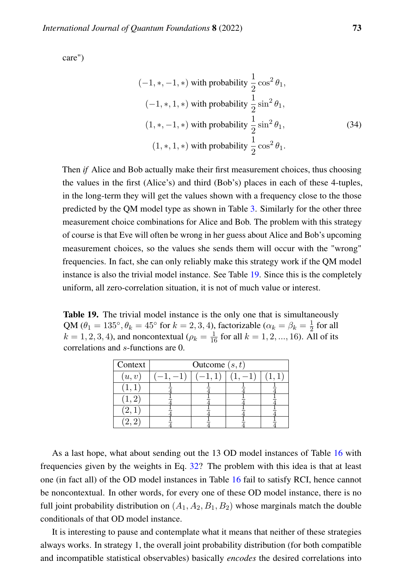care")

$$
(-1, *, -1, *)
$$
 with probability  $\frac{1}{2} \cos^2 \theta_1$ ,  
\n
$$
(-1, *, 1, *)
$$
 with probability  $\frac{1}{2} \sin^2 \theta_1$ ,  
\n
$$
(1, *, -1, *)
$$
 with probability  $\frac{1}{2} \sin^2 \theta_1$ ,  
\n
$$
(1, *, 1, *)
$$
 with probability  $\frac{1}{2} \cos^2 \theta_1$ .  
\n(34)

Then *if* Alice and Bob actually make their first measurement choices, thus choosing the values in the first (Alice's) and third (Bob's) places in each of these 4-tuples, in the long-term they will get the values shown with a frequency close to the those predicted by the QM model type as shown in Table [3.](#page-9-0) Similarly for the other three measurement choice combinations for Alice and Bob. The problem with this strategy of course is that Eve will often be wrong in her guess about Alice and Bob's upcoming measurement choices, so the values she sends them will occur with the "wrong" frequencies. In fact, she can only reliably make this strategy work if the QM model instance is also the trivial model instance. See Table [19.](#page-42-0) Since this is the completely uniform, all zero-correlation situation, it is not of much value or interest.

<span id="page-42-0"></span>Table 19. The trivial model instance is the only one that is simultaneously QM ( $\theta_1 = 135^\circ$ ,  $\theta_k = 45^\circ$  for  $k = 2, 3, 4$ ), factorizable ( $\alpha_k = \beta_k = \frac{1}{2}$  $\frac{1}{2}$  for all  $k = 1, 2, 3, 4$ ), and noncontextual ( $\rho_k = \frac{1}{16}$  for all  $k = 1, 2, ..., 16$ ). All of its correlations and s-functions are 0.

| Context            | Outcome $(s, t)$ |  |  |  |  |  |  |  |  |
|--------------------|------------------|--|--|--|--|--|--|--|--|
| (u, v)             |                  |  |  |  |  |  |  |  |  |
|                    |                  |  |  |  |  |  |  |  |  |
| $\left(1,2\right)$ |                  |  |  |  |  |  |  |  |  |
| $^{\prime}2,1$     |                  |  |  |  |  |  |  |  |  |
|                    |                  |  |  |  |  |  |  |  |  |

As a last hope, what about sending out the 13 OD model instances of Table [16](#page-38-0) with frequencies given by the weights in Eq. [32?](#page-39-0) The problem with this idea is that at least one (in fact all) of the OD model instances in Table [16](#page-38-0) fail to satisfy RCI, hence cannot be noncontextual. In other words, for every one of these OD model instance, there is no full joint probability distribution on  $(A_1, A_2, B_1, B_2)$  whose marginals match the double conditionals of that OD model instance.

It is interesting to pause and contemplate what it means that neither of these strategies always works. In strategy 1, the overall joint probability distribution (for both compatible and incompatible statistical observables) basically *encodes* the desired correlations into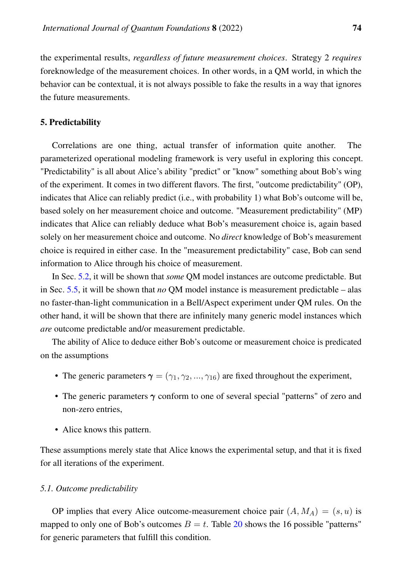the experimental results, *regardless of future measurement choices*. Strategy 2 *requires* foreknowledge of the measurement choices. In other words, in a QM world, in which the behavior can be contextual, it is not always possible to fake the results in a way that ignores the future measurements.

#### 5. Predictability

Correlations are one thing, actual transfer of information quite another. The parameterized operational modeling framework is very useful in exploring this concept. "Predictability" is all about Alice's ability "predict" or "know" something about Bob's wing of the experiment. It comes in two different flavors. The first, "outcome predictability" (OP), indicates that Alice can reliably predict (i.e., with probability 1) what Bob's outcome will be, based solely on her measurement choice and outcome. "Measurement predictability" (MP) indicates that Alice can reliably deduce what Bob's measurement choice is, again based solely on her measurement choice and outcome. No *direct* knowledge of Bob's measurement choice is required in either case. In the "measurement predictability" case, Bob can send information to Alice through his choice of measurement.

In Sec. [5.2,](#page-44-0) it will be shown that *some* QM model instances are outcome predictable. But in Sec. [5.5,](#page-49-0) it will be shown that *no* QM model instance is measurement predictable – alas no faster-than-light communication in a Bell/Aspect experiment under QM rules. On the other hand, it will be shown that there are infinitely many generic model instances which *are* outcome predictable and/or measurement predictable.

The ability of Alice to deduce either Bob's outcome or measurement choice is predicated on the assumptions

- The generic parameters  $\gamma = (\gamma_1, \gamma_2, ..., \gamma_{16})$  are fixed throughout the experiment,
- The generic parameters  $\gamma$  conform to one of several special "patterns" of zero and non-zero entries,
- Alice knows this pattern.

These assumptions merely state that Alice knows the experimental setup, and that it is fixed for all iterations of the experiment.

#### *5.1. Outcome predictability*

OP implies that every Alice outcome-measurement choice pair  $(A, M_A) = (s, u)$  is mapped to only one of Bob's outcomes  $B = t$ . Table [20](#page-44-1) shows the 16 possible "patterns" for generic parameters that fulfill this condition.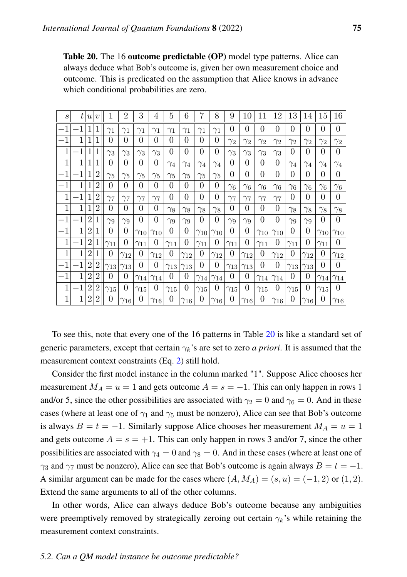<span id="page-44-1"></span>Table 20. The 16 outcome predictable (OP) model type patterns. Alice can always deduce what Bob's outcome is, given her own measurement choice and outcome. This is predicated on the assumption that Alice knows in advance which conditional probabilities are zero.

| $\mathcal{S}_{0}$ | ŧ            | $\left  u \right $ | $\boldsymbol{v}$ | 1              | $\overline{2}$ | 3             | 4             | 5             | 6              | 7             | 8              | 9             | 10            | 11             | 12            | 13            | 14            | 15            | 16            |
|-------------------|--------------|--------------------|------------------|----------------|----------------|---------------|---------------|---------------|----------------|---------------|----------------|---------------|---------------|----------------|---------------|---------------|---------------|---------------|---------------|
| $^{-1}$           | 1            |                    |                  | $\gamma_1$     | $\gamma_1$     | $\gamma_1$    | $\gamma_1$    | $\gamma_1$    | $\gamma_1$     | $\gamma_1$    | $\gamma_1$     | $\theta$      | $\theta$      | $\theta$       | $\theta$      | $\theta$      | 0             | 0             | $\theta$      |
| $^{-1}$           | 1            | 1                  |                  | 0              | 0              | $\theta$      | $\theta$      | 0             | $\theta$       | 0             | $\theta$       | $\gamma_2$    | $\gamma_2$    | $\gamma_2$     | $\gamma_2$    | $\gamma_2$    | $\gamma_2$    | $\gamma_2$    | $\gamma_2$    |
| 1                 | $\mathbf{1}$ | $\mathbf{1}$       | 1                | $\gamma_3$     | $\gamma_3$     | $\gamma_3$    | $\gamma_3$    | $\theta$      | $\overline{0}$ | 0             | $\overline{0}$ | $\gamma_3$    | $\gamma_3$    | $\gamma_3$     | $\gamma_3$    | $\theta$      | 0             | 0             | $\theta$      |
| $\mathbf{1}$      | 1            | $\mathbf{1}$       |                  | 0              | 0              | $\theta$      | $\theta$      | $\gamma_4$    | $\gamma_4$     | $\gamma_4$    | $\gamma_4$     | $\theta$      | $\theta$      | $\theta$       | $\theta$      | $\gamma_4$    | $\gamma_4$    | $\gamma_4$    | $\gamma_4$    |
| $^{-1}$           | 1            | 1                  | 2                | $\gamma_5$     | $\gamma_5$     | $\gamma_5$    | $\gamma_5$    | $\gamma_5$    | $\gamma_5$     | $\gamma_5$    | $\gamma_5$     | $\theta$      | $\theta$      | $\theta$       | $\theta$      | 0             | 0             | 0             | $\Omega$      |
| $^{-1}$           | $\mathbf{1}$ | 1                  | $\overline{2}$   | $\overline{0}$ | 0              | $\theta$      | 0             | 0             | $\theta$       | 0             | $\overline{0}$ | $\gamma_6$    | $\gamma_6$    | $\gamma_6$     | $\gamma_6$    | $\gamma_6$    | $\gamma_6$    | $\gamma_6$    | $\gamma_6$    |
| 1                 | 1            | 1                  | 2                | $\gamma_7$     | $\gamma_7$     | $\gamma_7$    | $\gamma_7$    | 0             | $\theta$       | 0             | 0              | $\gamma_7$    | $\gamma_7$    | $\gamma_7$     | $\gamma_7$    | 0             | 0             | 0             | 0             |
| 1                 | 1            | 1                  | $\overline{2}$   | $\theta$       | 0              | $\theta$      | 0             | $\gamma_8$    | $\gamma_8$     | $\gamma_8$    | $\gamma_8$     | $\Omega$      | 0             | 0              | $\theta$      | $\gamma_8$    | $\gamma_8$    | $\gamma_8$    | $\gamma_8$    |
| $^{-1}$           | 1            | $\overline{2}$     |                  | $\gamma_9$     | $\gamma_9$     | $\Omega$      | $\theta$      | $\gamma_9$    | $\gamma_9$     | 0             | $\overline{0}$ | $\gamma_9$    | $\gamma_9$    | $\theta$       | $\theta$      | $\gamma_9$    | $\gamma_9$    | 0             | $\theta$      |
| $^{-1}$           | 1            | $\overline{2}$     |                  | $\theta$       | 0              | $\gamma_{10}$ | $\gamma_{10}$ | 0             | $\theta$       | $\gamma_{10}$ | $\gamma_{10}$  | $\Omega$      | 0             | $\gamma_{10}$  | $\gamma_{10}$ | 0             | 0             | $\gamma_{10}$ | $\gamma_{10}$ |
| 1                 | 1            | $\overline{2}$     |                  | $\gamma_{11}$  | 0              | $\gamma_{11}$ | 0             | $\gamma_{11}$ | $\theta$       | $\gamma_{11}$ | $\overline{0}$ | $\gamma_{11}$ | 0             | $\gamma_{11}$  | 0             | $\gamma_{11}$ | 0             | $\gamma_{11}$ | 0             |
| $\mathbf{1}$      | $\mathbf{1}$ | $\overline{2}$     |                  | 0              | $\gamma_{12}$  | $\theta$      | $\gamma_{12}$ | 0             | $\gamma_{12}$  | 0             | $\gamma_{12}$  | 0             | $\gamma_{12}$ | $\overline{0}$ | $\gamma_{12}$ | $\theta$      | $\gamma_{12}$ | 0             | $\gamma_{12}$ |
| $^{-1}$           | 1            | $\overline{2}$     | 2                | $\gamma_{13}$  | $\gamma_{13}$  | $\theta$      | $\theta$      | $\gamma_{13}$ | $\gamma_{13}$  | 0             | 0              | $\gamma_{13}$ | $\gamma_{13}$ | $\Omega$       | 0             | $\gamma_{13}$ | $\gamma_{13}$ | 0             | $\Omega$      |
| $^{-1}$           | $\mathbf 1$  | $\overline{2}$     | $\overline{2}$   | $\Omega$       | 0              | $\gamma_{14}$ | $\gamma_{14}$ | 0             | $\theta$       | $\gamma_{14}$ | $\gamma_{14}$  | 0             | 0             | $\gamma_{14}$  | $\gamma_{14}$ | $\theta$      | 0             | $\gamma_{14}$ | $\gamma_{14}$ |
| 1                 | $\mathbf{1}$ | $\overline{2}$     | 2                | $\gamma_{15}$  | 0              | $\gamma_{15}$ | 0             | $\gamma_{15}$ | 0              | $\gamma_{15}$ | $\theta$       | $\gamma_{15}$ | $\theta$      | $\gamma_{15}$  | $\theta$      | $\gamma_{15}$ | 0             | $\gamma_{15}$ | 0             |
| $\mathbf{1}$      | $\mathbf{1}$ | $\overline{2}$     | 2                | 0              | $\gamma_{16}$  | $\theta$      | $\gamma_{16}$ | 0             | $\gamma_{16}$  | 0             | $\gamma_{16}$  | $\theta$      | $\gamma_{16}$ | $\theta$       | $\gamma_{16}$ | $\theta$      | $\gamma_{16}$ | 0             | $\gamma_{16}$ |

To see this, note that every one of the 16 patterns in Table [20](#page-44-1) is like a standard set of generic parameters, except that certain  $\gamma_k$ 's are set to zero *a priori*. It is assumed that the measurement context constraints (Eq. [2\)](#page-6-0) still hold.

Consider the first model instance in the column marked "1". Suppose Alice chooses her measurement  $M_A = u = 1$  and gets outcome  $A = s = -1$ . This can only happen in rows 1 and/or 5, since the other possibilities are associated with  $\gamma_2 = 0$  and  $\gamma_6 = 0$ . And in these cases (where at least one of  $\gamma_1$  and  $\gamma_5$  must be nonzero), Alice can see that Bob's outcome is always  $B = t = -1$ . Similarly suppose Alice chooses her measurement  $M_A = u = 1$ and gets outcome  $A = s = +1$ . This can only happen in rows 3 and/or 7, since the other possibilities are associated with  $\gamma_4 = 0$  and  $\gamma_8 = 0$ . And in these cases (where at least one of  $\gamma_3$  and  $\gamma_7$  must be nonzero), Alice can see that Bob's outcome is again always  $B = t = -1$ . A similar argument can be made for the cases where  $(A, M_A) = (s, u) = (-1, 2)$  or  $(1, 2)$ . Extend the same arguments to all of the other columns.

In other words, Alice can always deduce Bob's outcome because any ambiguities were preemptively removed by strategically zeroing out certain  $\gamma_k$ 's while retaining the measurement context constraints.

## <span id="page-44-0"></span>*5.2. Can a QM model instance be outcome predictable?*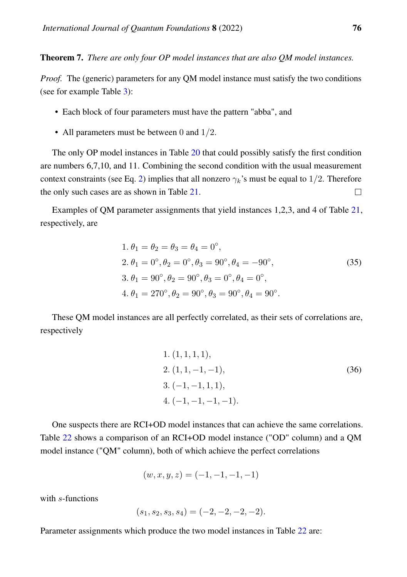Theorem 7. *There are only four OP model instances that are also QM model instances.*

*Proof.* The (generic) parameters for any QM model instance must satisfy the two conditions (see for example Table [3\)](#page-9-0):

- Each block of four parameters must have the pattern "abba", and
- All parameters must be between 0 and  $1/2$ .

The only OP model instances in Table [20](#page-44-1) that could possibly satisfy the first condition are numbers 6,7,10, and 11. Combining the second condition with the usual measurement context constraints (see Eq. [2\)](#page-6-0) implies that all nonzero  $\gamma_k$ 's must be equal to 1/2. Therefore the only such cases are as shown in Table [21.](#page-46-0)  $\Box$ 

Examples of QM parameter assignments that yield instances 1,2,3, and 4 of Table [21,](#page-46-0) respectively, are

1. 
$$
\theta_1 = \theta_2 = \theta_3 = \theta_4 = 0^\circ
$$
,  
\n2.  $\theta_1 = 0^\circ, \theta_2 = 0^\circ, \theta_3 = 90^\circ, \theta_4 = -90^\circ$ ,  
\n3.  $\theta_1 = 90^\circ, \theta_2 = 90^\circ, \theta_3 = 0^\circ, \theta_4 = 0^\circ$ ,  
\n4.  $\theta_1 = 270^\circ, \theta_2 = 90^\circ, \theta_3 = 90^\circ, \theta_4 = 90^\circ$ .  
\n(35)

These QM model instances are all perfectly correlated, as their sets of correlations are, respectively

1. 
$$
(1, 1, 1, 1),
$$
  
\n2.  $(1, 1, -1, -1),$   
\n3.  $(-1, -1, 1, 1),$   
\n4.  $(-1, -1, -1, -1).$  (36)

One suspects there are RCI+OD model instances that can achieve the same correlations. Table [22](#page-47-0) shows a comparison of an RCI+OD model instance ("OD" column) and a QM model instance ("QM" column), both of which achieve the perfect correlations

$$
(w, x, y, z) = (-1, -1, -1, -1)
$$

with s-functions

$$
(s_1, s_2, s_3, s_4) = (-2, -2, -2, -2).
$$

Parameter assignments which produce the two model instances in Table [22](#page-47-0) are: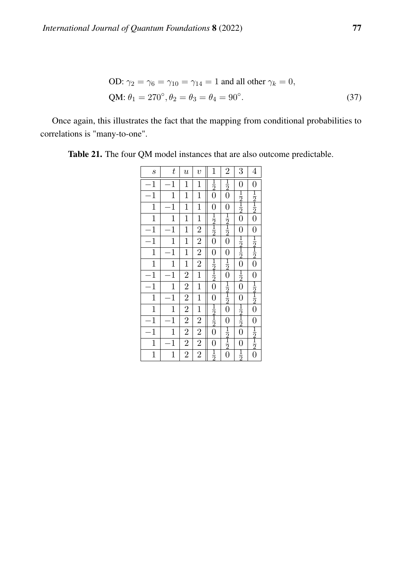OD: 
$$
\gamma_2 = \gamma_6 = \gamma_{10} = \gamma_{14} = 1
$$
 and all other  $\gamma_k = 0$ ,  
QM:  $\theta_1 = 270^\circ$ ,  $\theta_2 = \theta_3 = \theta_4 = 90^\circ$ . (37)

Once again, this illustrates the fact that the mapping from conditional probabilities to correlations is "many-to-one".

| $\boldsymbol{s}$ | t              | $\boldsymbol{\mathit{u}}$ | $\boldsymbol{v}$ | $\mathbf{1}$                                            | $\overline{2}$                                          | 3                                                       | $\overline{4}$                                          |
|------------------|----------------|---------------------------|------------------|---------------------------------------------------------|---------------------------------------------------------|---------------------------------------------------------|---------------------------------------------------------|
| $\mathbf{1}$     | $\mathbf{1}$   | $\mathbf{1}$              | $\mathbf{1}$     | $\frac{1}{2}$                                           | $\frac{1}{2}$                                           | $\boldsymbol{0}$                                        | $\boldsymbol{0}$                                        |
| $\mathbf{1}$     | $\mathbf{1}$   | $\mathbf 1$               | $\mathbf{1}$     | $\overline{0}$                                          | $\overline{0}$                                          | $\frac{1}{2}$ $\frac{1}{2}$ $\frac{1}{2}$ $0$           | $\frac{1}{2}$ $\frac{1}{2}$ $\frac{1}{2}$ $\frac{1}{0}$ |
| $\mathbf{1}$     | $\mathbf{1}$   | $\mathbf 1$               | $\mathbf{1}$     | $\overline{0}$                                          | $\overline{0}$                                          |                                                         |                                                         |
| $\mathbf{1}$     | $\mathbf{1}$   | $\mathbf{1}$              | $\overline{1}$   | $\frac{1}{2}$ $\frac{1}{2}$ $\frac{1}{2}$               | $\frac{1}{2}$ $\frac{1}{2}$ $\frac{1}{2}$ $\frac{1}{0}$ |                                                         |                                                         |
| $\mathbf 1$      | $\mathbf{1}$   | $\mathbf{1}$              | $\overline{2}$   |                                                         |                                                         | $\overline{0}$                                          | $\overline{0}$                                          |
| $\mathbf{1}$     | $\mathbf{1}$   | $\mathbf{1}$              | $\overline{2}$   |                                                         |                                                         | $\frac{1}{2}$ $\frac{1}{2}$ $\frac{1}{2}$ $\frac{1}{2}$ | $\frac{1}{2}$ $\frac{1}{2}$ $\frac{1}{2}$               |
| $\overline{1}$   | $\overline{1}$ | $\mathbf{1}$              | $\overline{2}$   | $\overline{0}$                                          | $\overline{0}$                                          |                                                         |                                                         |
| $\mathbf{1}$     | $\mathbf{1}$   | $\mathbf 1$               | $\overline{2}$   | $\frac{1}{2}$ $\frac{1}{2}$ $\frac{1}{2}$ $\frac{1}{0}$ | $\frac{1}{2}$                                           |                                                         |                                                         |
| $\mathbf{1}$     | $\mathbf{1}$   | $\overline{2}$            | $\mathbf{1}$     |                                                         | $\overline{0}$                                          | $\frac{1}{2}$ 0                                         |                                                         |
| $\mathbf{1}$     | $\mathbf{1}$   | $\overline{2}$            | $\overline{1}$   |                                                         | $\frac{1}{2}$ $\frac{1}{2}$                             |                                                         | $\frac{1}{2}$ $\frac{1}{2}$ $\frac{1}{2}$ $\frac{1}{2}$ |
| $\mathbf{1}$     | $\mathbf{1}$   | $\overline{2}$            | $\overline{1}$   | $\overline{0}$                                          |                                                         | $\overline{0}$                                          |                                                         |
| $\mathbf{1}$     | $\mathbf{1}$   | $\overline{2}$            | $\mathbf{1}$     |                                                         | $\bar{0}$                                               |                                                         |                                                         |
| $\mathbf{1}$     | $\mathbf{1}$   | $\overline{2}$            | $\overline{c}$   | $\frac{1}{2}$ $\frac{1}{2}$                             | $\overline{0}$                                          | $\frac{1}{2}$ $\frac{1}{2}$ $\frac{1}{2}$ $\frac{1}{2}$ |                                                         |
| $\mathbf{1}$     | $\mathbf{1}$   | $\overline{2}$            | $\overline{2}$   | $\overline{0}$                                          |                                                         |                                                         |                                                         |
| $\mathbf{1}$     | $\mathbf{1}$   | $\overline{2}$            | $\overline{2}$   | $\boldsymbol{0}$                                        | $\frac{1}{2}$ $\frac{1}{2}$ $\frac{1}{2}$ $\frac{1}{0}$ | $\overline{0}$                                          | $0$ $\frac{1}{2}$ $\frac{2}{2}$ $\frac{2}{0}$           |
| $\overline{1}$   | $\mathbf{1}$   | $\overline{2}$            | $\overline{2}$   | $\frac{1}{2}$                                           |                                                         | $\frac{1}{2}$                                           |                                                         |

<span id="page-46-0"></span>Table 21. The four QM model instances that are also outcome predictable.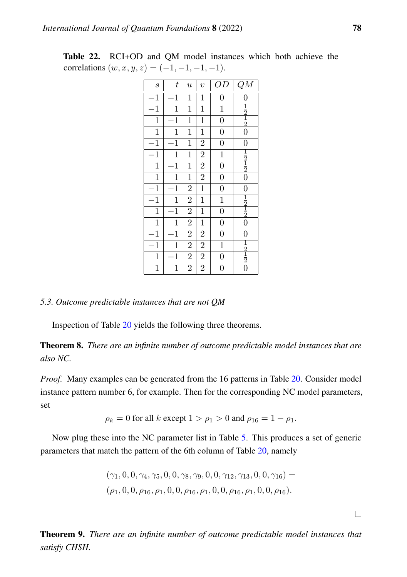| $\boldsymbol{s}$ | t            | $\boldsymbol{u}$        | $\overline{v}$ | OD             | $\overline{QM}$                           |
|------------------|--------------|-------------------------|----------------|----------------|-------------------------------------------|
| $\mathbf{1}$     | $\mathbf{1}$ | $\mathbf{1}$            | $\mathbf{1}$   | $\overline{0}$ | $\overline{0}$                            |
| $\mathbf{1}$     | $\mathbf{1}$ | $\mathbf{1}$            | $\mathbf{1}$   | $\mathbf{1}$   |                                           |
| $\mathbf{1}$     | $\mathbf{1}$ | $\mathbf{1}$            | $\mathbf{1}$   | $\overline{0}$ | $rac{1}{2}$ $rac{1}{2}$                   |
| $\mathbf{1}$     | $\mathbf{1}$ | $\mathbf{1}$            | $\mathbf{1}$   | $\overline{0}$ | $\overline{0}$                            |
| $\mathbf{1}$     | $\mathbf{1}$ | $\mathbf{1}$            | $\overline{c}$ | $\overline{0}$ | $\overline{0}$                            |
| $\mathbf{1}$     | $\mathbf{1}$ | $\mathbf{1}$            | $\overline{2}$ | $\overline{1}$ |                                           |
| $\mathbf{1}$     | $\mathbf{1}$ | $\mathbf{1}$            | $\overline{2}$ | $\overline{0}$ | $\frac{1}{2}$ $\frac{1}{2}$               |
| $\mathbf{1}$     | $\mathbf{1}$ | $\mathbf{1}$            | $\overline{2}$ | $\overline{0}$ | $\overline{0}$                            |
| $\mathbf{1}$     | $\mathbf{1}$ | $\overline{c}$          | $\mathbf{1}$   | $\overline{0}$ | $\overline{0}$                            |
| $\mathbf{1}$     | $\mathbf 1$  | $\overline{\mathbf{c}}$ | $\mathbf{1}$   | $\mathbf{1}$   | $\frac{1}{2}$ $\frac{1}{2}$               |
| $\mathbf{1}$     | $\mathbf{1}$ | $\overline{2}$          | $\mathbf{1}$   | $\overline{0}$ |                                           |
| $\mathbf{1}$     | $\mathbf{1}$ | $\overline{2}$          | $\mathbf{1}$   | $\overline{0}$ | $\overline{0}$                            |
| $\mathbf{1}$     | $\mathbf{1}$ | $\overline{\mathbf{c}}$ | $\overline{2}$ | $\overline{0}$ | $\overline{0}$                            |
| $\mathbf{1}$     | $\mathbf{1}$ | $\overline{2}$          | $\overline{2}$ | $\mathbf{1}$   | $\frac{1}{2}$ $\frac{1}{2}$ $\frac{1}{2}$ |
| $\mathbf{1}$     | $\mathbf{1}$ | $\overline{2}$          | $\overline{c}$ | $\overline{0}$ |                                           |
| $\mathbf{1}$     | $\mathbf 1$  | $\overline{c}$          | $\overline{2}$ | $\overline{0}$ |                                           |

<span id="page-47-0"></span>Table 22. RCI+OD and QM model instances which both achieve the correlations  $(w, x, y, z) = (-1, -1, -1, -1).$ 

## *5.3. Outcome predictable instances that are not QM*

Inspection of Table [20](#page-44-1) yields the following three theorems.

<span id="page-47-1"></span>Theorem 8. *There are an infinite number of outcome predictable model instances that are also NC.*

*Proof.* Many examples can be generated from the 16 patterns in Table [20.](#page-44-1) Consider model instance pattern number 6, for example. Then for the corresponding NC model parameters, set

$$
\rho_k = 0
$$
 for all k except  $1 > \rho_1 > 0$  and  $\rho_{16} = 1 - \rho_1$ .

Now plug these into the NC parameter list in Table [5.](#page-11-0) This produces a set of generic parameters that match the pattern of the 6th column of Table [20,](#page-44-1) namely

$$
(\gamma_1, 0, 0, \gamma_4, \gamma_5, 0, 0, \gamma_8, \gamma_9, 0, 0, \gamma_{12}, \gamma_{13}, 0, 0, \gamma_{16}) =
$$
  

$$
(\rho_1, 0, 0, \rho_{16}, \rho_1, 0, 0, \rho_{16}, \rho_1, 0, 0, \rho_{16}, \rho_1, 0, 0, \rho_{16}).
$$

Theorem 9. *There are an infinite number of outcome predictable model instances that satisfy CHSH.*

 $\Box$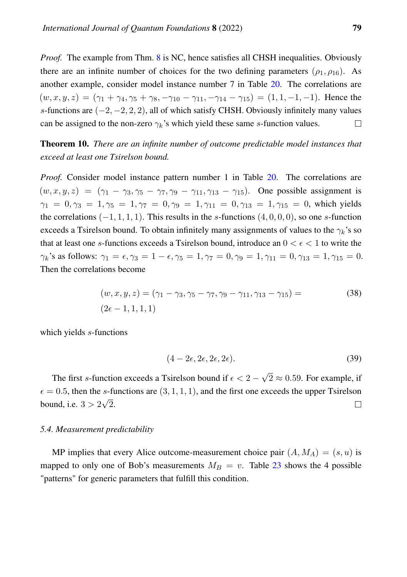*Proof.* The example from Thm. [8](#page-47-1) is NC, hence satisfies all CHSH inequalities. Obviously there are an infinite number of choices for the two defining parameters ( $\rho_1$ ,  $\rho_{16}$ ). As another example, consider model instance number 7 in Table [20.](#page-44-1) The correlations are  $(w, x, y, z) = (\gamma_1 + \gamma_4, \gamma_5 + \gamma_8, -\gamma_{10} - \gamma_{11}, -\gamma_{14} - \gamma_{15}) = (1, 1, -1, -1)$ . Hence the s-functions are  $(-2, -2, 2, 2)$ , all of which satisfy CHSH. Obviously infinitely many values can be assigned to the non-zero  $\gamma_k$ 's which yield these same s-function values.  $\Box$ 

Theorem 10. *There are an infinite number of outcome predictable model instances that exceed at least one Tsirelson bound.*

*Proof.* Consider model instance pattern number 1 in Table [20.](#page-44-1) The correlations are  $(w, x, y, z) = (\gamma_1 - \gamma_3, \gamma_5 - \gamma_7, \gamma_9 - \gamma_{11}, \gamma_{13} - \gamma_{15})$ . One possible assignment is  $\gamma_1 = 0, \gamma_3 = 1, \gamma_5 = 1, \gamma_7 = 0, \gamma_9 = 1, \gamma_{11} = 0, \gamma_{13} = 1, \gamma_{15} = 0$ , which yields the correlations  $(-1, 1, 1, 1)$ . This results in the s-functions  $(4, 0, 0, 0)$ , so one s-function exceeds a Tsirelson bound. To obtain infinitely many assignments of values to the  $\gamma_k$ 's so that at least one s-functions exceeds a Tsirelson bound, introduce an  $0 < \epsilon < 1$  to write the  $\gamma_k$ 's as follows:  $\gamma_1 = \epsilon, \gamma_3 = 1 - \epsilon, \gamma_5 = 1, \gamma_7 = 0, \gamma_9 = 1, \gamma_{11} = 0, \gamma_{13} = 1, \gamma_{15} = 0.$ Then the correlations become

$$
(w, x, y, z) = (\gamma_1 - \gamma_3, \gamma_5 - \gamma_7, \gamma_9 - \gamma_{11}, \gamma_{13} - \gamma_{15}) =
$$
\n
$$
(2\epsilon - 1, 1, 1, 1)
$$
\n(38)

which yields s-functions

$$
(4 - 2\epsilon, 2\epsilon, 2\epsilon, 2\epsilon). \tag{39}
$$

√ The first s-function exceeds a Tsirelson bound if  $\epsilon < 2$  –  $2 \approx 0.59$ . For example, if  $\epsilon = 0.5$ , then the s-functions are  $(3, 1, 1, 1)$ , and the first one exceeds the upper Tsirelson √ bound, i.e.  $3 > 2$ 2.  $\Box$ 

#### *5.4. Measurement predictability*

MP implies that every Alice outcome-measurement choice pair  $(A, M_A) = (s, u)$  is mapped to only one of Bob's measurements  $M_B = v$ . Table [23](#page-49-1) shows the 4 possible "patterns" for generic parameters that fulfill this condition.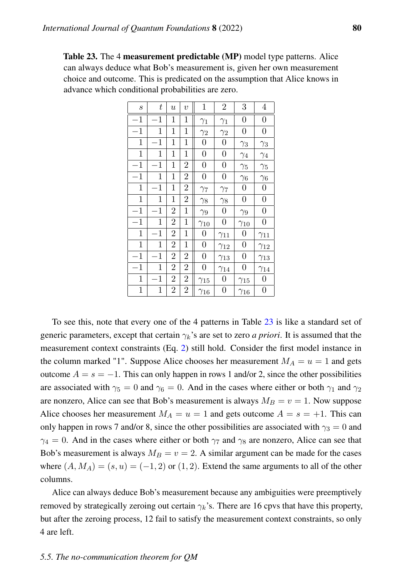<span id="page-49-1"></span>Table 23. The 4 measurement predictable (MP) model type patterns. Alice can always deduce what Bob's measurement is, given her own measurement choice and outcome. This is predicated on the assumption that Alice knows in advance which conditional probabilities are zero.

| $\boldsymbol{S}$ | $\, t \,$    | $\boldsymbol{u}$ | $\overline{v}$ | $\mathbf{1}$     | $\overline{2}$   | 3                | $\overline{4}$   |
|------------------|--------------|------------------|----------------|------------------|------------------|------------------|------------------|
| $^{-1}$          | $\mathbf{1}$ | $\mathbf{1}$     | 1              | $\gamma_1$       | $\gamma_1$       | $\overline{0}$   | $\overline{0}$   |
| $^{-1}$          | 1            | $\mathbf 1$      | 1              | $\gamma_2$       | $\gamma_2$       | $\boldsymbol{0}$ | $\boldsymbol{0}$ |
| $\mathbf{1}$     | 1            | 1                | 1              | $\boldsymbol{0}$ | $\boldsymbol{0}$ | $\gamma_3$       | $\gamma_3$       |
| $\mathbf{1}$     | $\mathbf 1$  | $\mathbf 1$      | 1              | $\overline{0}$   | $\overline{0}$   | $\gamma_4$       | $\gamma_4$       |
| $^{-1}$          | 1            | 1                | $\overline{2}$ | $\boldsymbol{0}$ | $\overline{0}$   | $\gamma_5$       | $\gamma_5$       |
| $^{-1}$          | 1            | $\mathbf 1$      | $\overline{2}$ | $\boldsymbol{0}$ | $\boldsymbol{0}$ | $\gamma_6$       | $\gamma_6$       |
| $\mathbf 1$      | $\mathbf{1}$ | $\mathbf 1$      | $\overline{2}$ | $\gamma_7$       | $\gamma_7$       | $\boldsymbol{0}$ | $\boldsymbol{0}$ |
| 1                | 1            | $\mathbf 1$      | $\overline{2}$ | $\gamma_8$       | $\gamma_8$       | $\boldsymbol{0}$ | $\overline{0}$   |
| $-1$             | $\mathbf{1}$ | $\overline{2}$   | $\mathbf 1$    | $\gamma_9$       | $\boldsymbol{0}$ | $\gamma_9$       | $\boldsymbol{0}$ |
| $^{-1}$          | 1            | $\overline{2}$   | 1              | $\gamma_{10}$    | $\overline{0}$   | $\gamma_{10}$    | $\overline{0}$   |
| $\mathbf 1$      | $\mathbf{1}$ | $\overline{2}$   | 1              | $\boldsymbol{0}$ | $\gamma_{11}$    | $\boldsymbol{0}$ | $\gamma_{11}$    |
| $\mathbf{1}$     | 1            | $\overline{2}$   | $\mathbf 1$    | $\boldsymbol{0}$ | $\gamma_{12}$    | $\boldsymbol{0}$ | $\gamma_{12}$    |
| $^{-1}$          | $\mathbf{1}$ | $\overline{2}$   | $\overline{2}$ | $\boldsymbol{0}$ | $\gamma_{13}$    | $\boldsymbol{0}$ | $\gamma_{13}$    |
| $^{-1}$          | 1            | $\overline{2}$   | $\overline{2}$ | $\boldsymbol{0}$ | $\gamma_{14}$    | $\overline{0}$   | $\gamma_{14}$    |
| $\mathbf{1}$     | $\mathbf{1}$ | $\overline{2}$   | $\overline{2}$ | $\gamma_{15}$    | $\boldsymbol{0}$ | $\gamma_{15}$    | $\boldsymbol{0}$ |
| $\mathbf{1}$     | 1            | $\overline{2}$   | $\overline{2}$ | $\gamma_{16}$    | $\boldsymbol{0}$ | $\gamma_{16}$    | $\boldsymbol{0}$ |

To see this, note that every one of the 4 patterns in Table [23](#page-49-1) is like a standard set of generic parameters, except that certain  $\gamma_k$ 's are set to zero *a priori*. It is assumed that the measurement context constraints (Eq. [2\)](#page-6-0) still hold. Consider the first model instance in the column marked "1". Suppose Alice chooses her measurement  $M_A = u = 1$  and gets outcome  $A = s = -1$ . This can only happen in rows 1 and/or 2, since the other possibilities are associated with  $\gamma_5 = 0$  and  $\gamma_6 = 0$ . And in the cases where either or both  $\gamma_1$  and  $\gamma_2$ are nonzero, Alice can see that Bob's measurement is always  $M_B = v = 1$ . Now suppose Alice chooses her measurement  $M_A = u = 1$  and gets outcome  $A = s = +1$ . This can only happen in rows 7 and/or 8, since the other possibilities are associated with  $\gamma_3 = 0$  and  $\gamma_4 = 0$ . And in the cases where either or both  $\gamma_7$  and  $\gamma_8$  are nonzero, Alice can see that Bob's measurement is always  $M_B = v = 2$ . A similar argument can be made for the cases where  $(A, M_A) = (s, u) = (-1, 2)$  or  $(1, 2)$ . Extend the same arguments to all of the other columns.

<span id="page-49-0"></span>Alice can always deduce Bob's measurement because any ambiguities were preemptively removed by strategically zeroing out certain  $\gamma_k$ 's. There are 16 cpvs that have this property, but after the zeroing process, 12 fail to satisfy the measurement context constraints, so only 4 are left.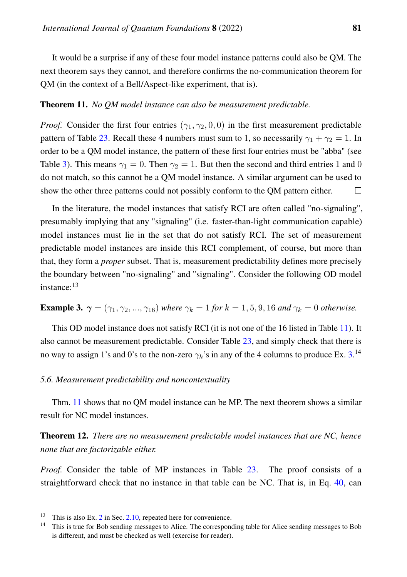It would be a surprise if any of these four model instance patterns could also be QM. The next theorem says they cannot, and therefore confirms the no-communication theorem for QM (in the context of a Bell/Aspect-like experiment, that is).

#### <span id="page-50-1"></span>Theorem 11. *No QM model instance can also be measurement predictable.*

*Proof.* Consider the first four entries ( $\gamma_1$ ,  $\gamma_2$ , 0, 0) in the first measurement predictable pattern of Table [23.](#page-49-1) Recall these 4 numbers must sum to 1, so necessarily  $\gamma_1 + \gamma_2 = 1$ . In order to be a QM model instance, the pattern of these first four entries must be "abba" (see Table [3\)](#page-9-0). This means  $\gamma_1 = 0$ . Then  $\gamma_2 = 1$ . But then the second and third entries 1 and 0 do not match, so this cannot be a QM model instance. A similar argument can be used to show the other three patterns could not possibly conform to the QM pattern either.  $\Box$ 

In the literature, the model instances that satisfy RCI are often called "no-signaling", presumably implying that any "signaling" (i.e. faster-than-light communication capable) model instances must lie in the set that do not satisfy RCI. The set of measurement predictable model instances are inside this RCI complement, of course, but more than that, they form a *proper* subset. That is, measurement predictability defines more precisely the boundary between "no-signaling" and "signaling". Consider the following OD model instance:<sup>13</sup>

<span id="page-50-0"></span>**Example 3.**  $\gamma = (\gamma_1, \gamma_2, ..., \gamma_{16})$  *where*  $\gamma_k = 1$  *for*  $k = 1, 5, 9, 16$  *and*  $\gamma_k = 0$  *otherwise.* 

This OD model instance does not satisfy RCI (it is not one of the 16 listed in Table [11\)](#page-18-0). It also cannot be measurement predictable. Consider Table [23,](#page-49-1) and simply check that there is no way to assign 1's and 0's to the non-zero  $\gamma_k$ 's in any of the 4 columns to produce Ex. [3.](#page-50-0)<sup>14</sup>

## *5.6. Measurement predictability and noncontextuality*

Thm. [11](#page-50-1) shows that no QM model instance can be MP. The next theorem shows a similar result for NC model instances.

<span id="page-50-2"></span>Theorem 12. *There are no measurement predictable model instances that are NC, hence none that are factorizable either.*

*Proof.* Consider the table of MP instances in Table [23.](#page-49-1) The proof consists of a straightforward check that no instance in that table can be NC. That is, in Eq. [40,](#page-51-0) can

<sup>&</sup>lt;sup>13</sup> This is also Ex. [2](#page-25-0) in Sec. [2.10,](#page-23-0) repeated here for convenience.

<sup>&</sup>lt;sup>14</sup> This is true for Bob sending messages to Alice. The corresponding table for Alice sending messages to Bob is different, and must be checked as well (exercise for reader).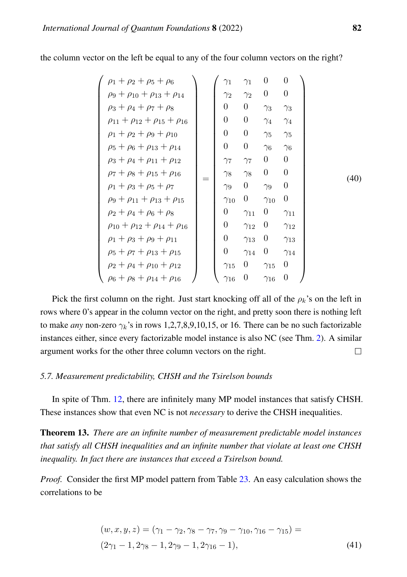<span id="page-51-0"></span>

| $\rho_1 + \rho_2 + \rho_5 + \rho_6$             |  | $\gamma_1$       | $\gamma_1$       | $\overline{0}$   | $\theta$         |      |
|-------------------------------------------------|--|------------------|------------------|------------------|------------------|------|
| $\rho_9 + \rho_{10} + \rho_{13} + \rho_{14}$    |  | $\gamma_2$       | $\gamma_2$       | $\overline{0}$   | $\theta$         |      |
| $\rho_3 + \rho_4 + \rho_7 + \rho_8$             |  | 0                | $\boldsymbol{0}$ | $\gamma_3$       | $\gamma_3$       |      |
| $\rho_{11} + \rho_{12} + \rho_{15} + \rho_{16}$ |  | $\boldsymbol{0}$ | $\boldsymbol{0}$ | $\gamma_4$       | $\gamma_4$       |      |
| $\rho_1 + \rho_2 + \rho_9 + \rho_{10}$          |  | $\theta$         | $\boldsymbol{0}$ | $\gamma_5$       | $\gamma_5$       |      |
| $\rho_5 + \rho_6 + \rho_{13} + \rho_{14}$       |  | $\theta$         | $\boldsymbol{0}$ | $\gamma_6$       | $\gamma_6$       |      |
| $\rho_3 + \rho_4 + \rho_{11} + \rho_{12}$       |  | $\gamma_7$       | $\gamma$         | $\overline{0}$   | $\theta$         |      |
| $\rho_7 + \rho_8 + \rho_{15} + \rho_{16}$       |  | $\gamma_8$       | $\gamma_8$       | $\boldsymbol{0}$ | $\theta$         | (40) |
| $\rho_1 + \rho_3 + \rho_5 + \rho_7$             |  | $\gamma_9$       | $\boldsymbol{0}$ | $\gamma_9$       | $\boldsymbol{0}$ |      |
| $\rho_9 + \rho_{11} + \rho_{13} + \rho_{15}$    |  | $\gamma_{10}$    | $\theta$         | $\gamma_{10}$    | $\boldsymbol{0}$ |      |
| $\rho_2 + \rho_4 + \rho_6 + \rho_8$             |  | $\boldsymbol{0}$ | $\gamma_{11}$    | $\boldsymbol{0}$ | $\gamma_{11}$    |      |
| $\rho_{10} + \rho_{12} + \rho_{14} + \rho_{16}$ |  | $\theta$         | $\gamma_{12}$    | $\overline{0}$   | $\gamma_{12}$    |      |
| $\rho_1 + \rho_3 + \rho_9 + \rho_{11}$          |  | $\theta$         | $\gamma_{13}$    | $\boldsymbol{0}$ | $\gamma_{13}$    |      |
| $\rho_5 + \rho_7 + \rho_{13} + \rho_{15}$       |  | $\theta$         | $\gamma_{14}$    | $\boldsymbol{0}$ | $\gamma_{14}$    |      |
| $\rho_2 + \rho_4 + \rho_{10} + \rho_{12}$       |  | $\gamma_{15}$    | $\overline{0}$   | $\gamma_{15}$    | $\theta$         |      |
| $\rho_6 + \rho_8 + \rho_{14} + \rho_{16}$       |  | $\gamma_{16}$    | 0                | $\gamma_{16}$    | 0                |      |

the column vector on the left be equal to any of the four column vectors on the right?

Pick the first column on the right. Just start knocking off all of the  $\rho_k$ 's on the left in rows where 0's appear in the column vector on the right, and pretty soon there is nothing left to make *any* non-zero  $\gamma_k$ 's in rows 1,2,7,8,9,10,15, or 16. There can be no such factorizable instances either, since every factorizable model instance is also NC (see Thm. [2\)](#page-13-0). A similar argument works for the other three column vectors on the right.  $\Box$ 

## *5.7. Measurement predictability, CHSH and the Tsirelson bounds*

In spite of Thm. [12,](#page-50-2) there are infinitely many MP model instances that satisfy CHSH. These instances show that even NC is not *necessary* to derive the CHSH inequalities.

Theorem 13. *There are an infinite number of measurement predictable model instances that satisfy all CHSH inequalities and an infinite number that violate at least one CHSH inequality. In fact there are instances that exceed a Tsirelson bound.*

*Proof.* Consider the first MP model pattern from Table [23.](#page-49-1) An easy calculation shows the correlations to be

$$
(w, x, y, z) = (\gamma_1 - \gamma_2, \gamma_8 - \gamma_7, \gamma_9 - \gamma_{10}, \gamma_{16} - \gamma_{15}) =
$$
  

$$
(2\gamma_1 - 1, 2\gamma_8 - 1, 2\gamma_9 - 1, 2\gamma_{16} - 1),
$$
 (41)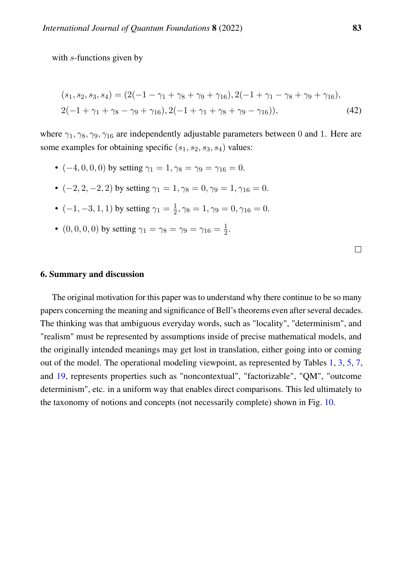with s-functions given by

$$
(s_1, s_2, s_3, s_4) = (2(-1 - \gamma_1 + \gamma_8 + \gamma_9 + \gamma_{16}), 2(-1 + \gamma_1 - \gamma_8 + \gamma_9 + \gamma_{16}),
$$
  
2(-1 + \gamma\_1 + \gamma\_8 - \gamma\_9 + \gamma\_{16}), 2(-1 + \gamma\_1 + \gamma\_8 + \gamma\_9 - \gamma\_{16})), (42)

where  $\gamma_1$ ,  $\gamma_8$ ,  $\gamma_9$ ,  $\gamma_{16}$  are independently adjustable parameters between 0 and 1. Here are some examples for obtaining specific  $(s_1, s_2, s_3, s_4)$  values:

- $(-4, 0, 0, 0)$  by setting  $\gamma_1 = 1, \gamma_8 = \gamma_9 = \gamma_{16} = 0$ .
- $(-2, 2, -2, 2)$  by setting  $\gamma_1 = 1, \gamma_8 = 0, \gamma_9 = 1, \gamma_{16} = 0.$
- $(-1, -3, 1, 1)$  by setting  $\gamma_1 = \frac{1}{2}$  $\frac{1}{2}, \gamma_8 = 1, \gamma_9 = 0, \gamma_{16} = 0.$
- $(0, 0, 0, 0)$  by setting  $\gamma_1 = \gamma_8 = \gamma_9 = \gamma_{16} = \frac{1}{2}$  $rac{1}{2}$ .

|  | <b>6. Summary and discussion</b> |  |  |  |
|--|----------------------------------|--|--|--|
|--|----------------------------------|--|--|--|

The original motivation for this paper was to understand why there continue to be so many papers concerning the meaning and significance of Bell's theorems even after several decades. The thinking was that ambiguous everyday words, such as "locality", "determinism", and "realism" must be represented by assumptions inside of precise mathematical models, and the originally intended meanings may get lost in translation, either going into or coming out of the model. The operational modeling viewpoint, as represented by Tables [1,](#page-5-0) [3,](#page-9-0) [5,](#page-11-0) [7,](#page-13-1) and [19,](#page-42-0) represents properties such as "noncontextual", "factorizable", "QM", "outcome determinism", etc. in a uniform way that enables direct comparisons. This led ultimately to the taxonomy of notions and concepts (not necessarily complete) shown in Fig. [10.](#page-53-0)

 $\Box$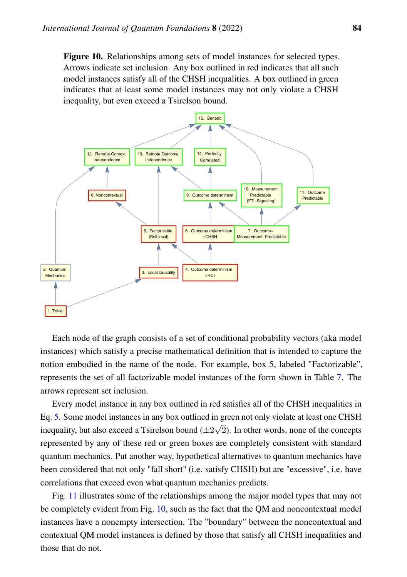<span id="page-53-0"></span>Figure 10. Relationships among sets of model instances for selected types. Arrows indicate set inclusion. Any box outlined in red indicates that all such model instances satisfy all of the CHSH inequalities. A box outlined in green indicates that at least some model instances may not only violate a CHSH inequality, but even exceed a Tsirelson bound.



Each node of the graph consists of a set of conditional probability vectors (aka model instances) which satisfy a precise mathematical definition that is intended to capture the notion embodied in the name of the node. For example, box 5, labeled "Factorizable", represents the set of all factorizable model instances of the form shown in Table [7.](#page-13-1) The arrows represent set inclusion.

Every model instance in any box outlined in red satisfies all of the CHSH inequalities in Eq. [5.](#page-7-0) Some model instances in any box outlined in green not only violate at least one CHSH inequality, but also exceed a Tsirelson bound  $(\pm 2)$ √ 2). In other words, none of the concepts represented by any of these red or green boxes are completely consistent with standard quantum mechanics. Put another way, hypothetical alternatives to quantum mechanics have been considered that not only "fall short" (i.e. satisfy CHSH) but are "excessive", i.e. have correlations that exceed even what quantum mechanics predicts.

Fig. [11](#page-54-0) illustrates some of the relationships among the major model types that may not be completely evident from Fig. [10,](#page-53-0) such as the fact that the QM and noncontextual model instances have a nonempty intersection. The "boundary" between the noncontextual and contextual QM model instances is defined by those that satisfy all CHSH inequalities and those that do not.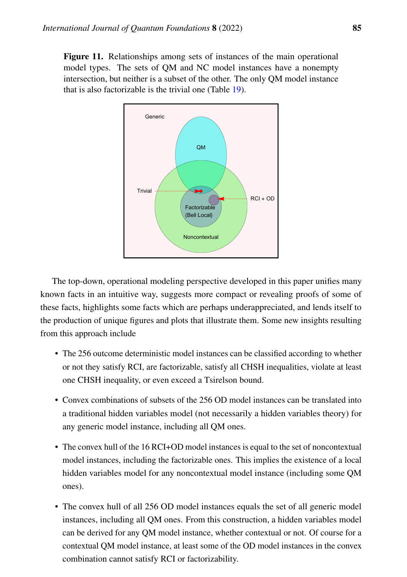<span id="page-54-0"></span>Figure 11. Relationships among sets of instances of the main operational model types. The sets of QM and NC model instances have a nonempty intersection, but neither is a subset of the other. The only QM model instance that is also factorizable is the trivial one (Table [19\)](#page-42-0).



The top-down, operational modeling perspective developed in this paper unifies many known facts in an intuitive way, suggests more compact or revealing proofs of some of these facts, highlights some facts which are perhaps underappreciated, and lends itself to the production of unique figures and plots that illustrate them. Some new insights resulting from this approach include

- The 256 outcome deterministic model instances can be classified according to whether or not they satisfy RCI, are factorizable, satisfy all CHSH inequalities, violate at least one CHSH inequality, or even exceed a Tsirelson bound.
- Convex combinations of subsets of the 256 OD model instances can be translated into a traditional hidden variables model (not necessarily a hidden variables theory) for any generic model instance, including all QM ones.
- The convex hull of the 16 RCI+OD model instances is equal to the set of noncontextual model instances, including the factorizable ones. This implies the existence of a local hidden variables model for any noncontextual model instance (including some QM ones).
- The convex hull of all 256 OD model instances equals the set of all generic model instances, including all QM ones. From this construction, a hidden variables model can be derived for any QM model instance, whether contextual or not. Of course for a contextual QM model instance, at least some of the OD model instances in the convex combination cannot satisfy RCI or factorizability.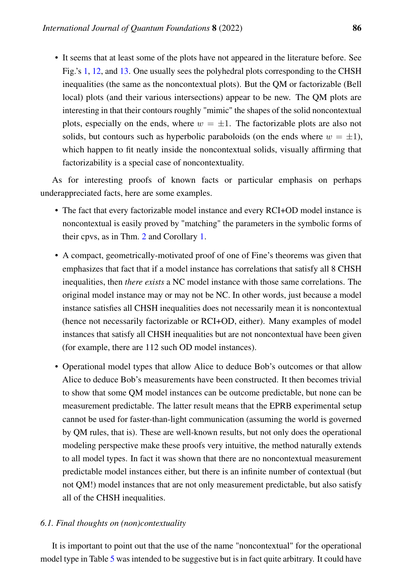• It seems that at least some of the plots have not appeared in the literature before. See Fig.'s [1,](#page-2-0) [12,](#page-62-0) and [13.](#page-64-0) One usually sees the polyhedral plots corresponding to the CHSH inequalities (the same as the noncontextual plots). But the QM or factorizable (Bell local) plots (and their various intersections) appear to be new. The QM plots are interesting in that their contours roughly "mimic" the shapes of the solid noncontextual plots, especially on the ends, where  $w = \pm 1$ . The factorizable plots are also not solids, but contours such as hyperbolic paraboloids (on the ends where  $w = \pm 1$ ), which happen to fit neatly inside the noncontextual solids, visually affirming that factorizability is a special case of noncontextuality.

As for interesting proofs of known facts or particular emphasis on perhaps underappreciated facts, here are some examples.

- The fact that every factorizable model instance and every RCI+OD model instance is noncontextual is easily proved by "matching" the parameters in the symbolic forms of their cpvs, as in Thm. [2](#page-13-0) and Corollary [1.](#page-21-0)
- A compact, geometrically-motivated proof of one of Fine's theorems was given that emphasizes that fact that if a model instance has correlations that satisfy all 8 CHSH inequalities, then *there exists* a NC model instance with those same correlations. The original model instance may or may not be NC. In other words, just because a model instance satisfies all CHSH inequalities does not necessarily mean it is noncontextual (hence not necessarily factorizable or RCI+OD, either). Many examples of model instances that satisfy all CHSH inequalities but are not noncontextual have been given (for example, there are 112 such OD model instances).
- Operational model types that allow Alice to deduce Bob's outcomes or that allow Alice to deduce Bob's measurements have been constructed. It then becomes trivial to show that some QM model instances can be outcome predictable, but none can be measurement predictable. The latter result means that the EPRB experimental setup cannot be used for faster-than-light communication (assuming the world is governed by QM rules, that is). These are well-known results, but not only does the operational modeling perspective make these proofs very intuitive, the method naturally extends to all model types. In fact it was shown that there are no noncontextual measurement predictable model instances either, but there is an infinite number of contextual (but not QM!) model instances that are not only measurement predictable, but also satisfy all of the CHSH inequalities.

#### *6.1. Final thoughts on (non)contextuality*

It is important to point out that the use of the name "noncontextual" for the operational model type in Table [5](#page-11-0) was intended to be suggestive but is in fact quite arbitrary. It could have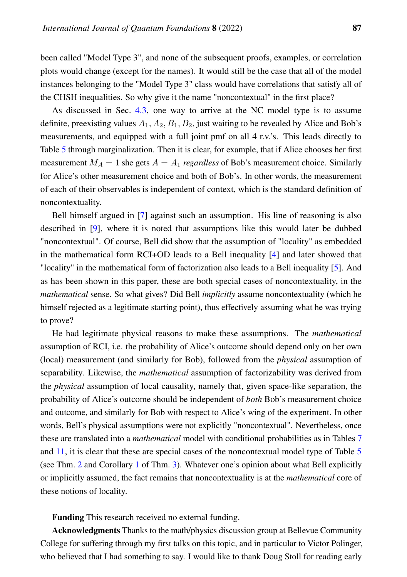been called "Model Type 3", and none of the subsequent proofs, examples, or correlation plots would change (except for the names). It would still be the case that all of the model instances belonging to the "Model Type 3" class would have correlations that satisfy all of the CHSH inequalities. So why give it the name "noncontextual" in the first place?

As discussed in Sec. [4.3,](#page-39-1) one way to arrive at the NC model type is to assume definite, preexisting values  $A_1, A_2, B_1, B_2$ , just waiting to be revealed by Alice and Bob's measurements, and equipped with a full joint pmf on all 4 r.v.'s. This leads directly to Table [5](#page-11-0) through marginalization. Then it is clear, for example, that if Alice chooses her first measurement  $M_A = 1$  she gets  $A = A_1$  *regardless* of Bob's measurement choice. Similarly for Alice's other measurement choice and both of Bob's. In other words, the measurement of each of their observables is independent of context, which is the standard definition of noncontextuality.

Bell himself argued in [\[7\]](#page-83-1) against such an assumption. His line of reasoning is also described in [\[9\]](#page-83-2), where it is noted that assumptions like this would later be dubbed "noncontextual". Of course, Bell did show that the assumption of "locality" as embedded in the mathematical form RCI+OD leads to a Bell inequality [\[4\]](#page-83-3) and later showed that "locality" in the mathematical form of factorization also leads to a Bell inequality [\[5\]](#page-83-4). And as has been shown in this paper, these are both special cases of noncontextuality, in the *mathematical* sense. So what gives? Did Bell *implicitly* assume noncontextuality (which he himself rejected as a legitimate starting point), thus effectively assuming what he was trying to prove?

He had legitimate physical reasons to make these assumptions. The *mathematical* assumption of RCI, i.e. the probability of Alice's outcome should depend only on her own (local) measurement (and similarly for Bob), followed from the *physical* assumption of separability. Likewise, the *mathematical* assumption of factorizability was derived from the *physical* assumption of local causality, namely that, given space-like separation, the probability of Alice's outcome should be independent of *both* Bob's measurement choice and outcome, and similarly for Bob with respect to Alice's wing of the experiment. In other words, Bell's physical assumptions were not explicitly "noncontextual". Nevertheless, once these are translated into a *mathematical* model with conditional probabilities as in Tables [7](#page-13-1) and [11,](#page-18-0) it is clear that these are special cases of the noncontextual model type of Table [5](#page-11-0) (see Thm. [2](#page-13-0) and Corollary [1](#page-21-0) of Thm. [3\)](#page-20-0). Whatever one's opinion about what Bell explicitly or implicitly assumed, the fact remains that noncontextuality is at the *mathematical* core of these notions of locality.

Funding This research received no external funding.

Acknowledgments Thanks to the math/physics discussion group at Bellevue Community College for suffering through my first talks on this topic, and in particular to Victor Polinger, who believed that I had something to say. I would like to thank Doug Stoll for reading early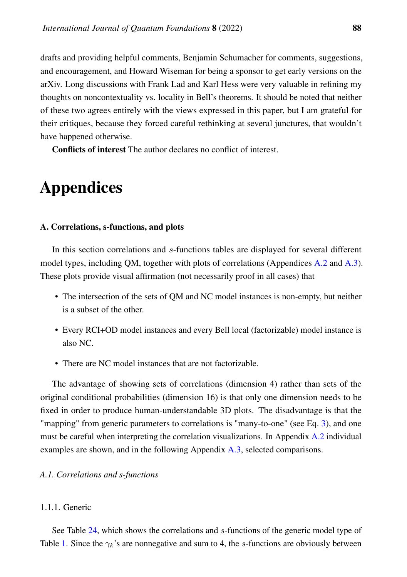drafts and providing helpful comments, Benjamin Schumacher for comments, suggestions, and encouragement, and Howard Wiseman for being a sponsor to get early versions on the arXiv. Long discussions with Frank Lad and Karl Hess were very valuable in refining my thoughts on noncontextuality vs. locality in Bell's theorems. It should be noted that neither of these two agrees entirely with the views expressed in this paper, but I am grateful for their critiques, because they forced careful rethinking at several junctures, that wouldn't have happened otherwise.

Conflicts of interest The author declares no conflict of interest.

# Appendices

#### A. Correlations, s-functions, and plots

In this section correlations and s-functions tables are displayed for several different model types, including QM, together with plots of correlations (Appendices [A.2](#page-62-1) and [A.3\)](#page-63-0). These plots provide visual affirmation (not necessarily proof in all cases) that

- The intersection of the sets of QM and NC model instances is non-empty, but neither is a subset of the other.
- Every RCI+OD model instances and every Bell local (factorizable) model instance is also NC.
- There are NC model instances that are not factorizable.

The advantage of showing sets of correlations (dimension 4) rather than sets of the original conditional probabilities (dimension 16) is that only one dimension needs to be fixed in order to produce human-understandable 3D plots. The disadvantage is that the "mapping" from generic parameters to correlations is "many-to-one" (see Eq. [3\)](#page-7-1), and one must be careful when interpreting the correlation visualizations. In Appendix [A.2](#page-62-1) individual examples are shown, and in the following Appendix [A.3,](#page-63-0) selected comparisons.

#### *A.1. Correlations and s-functions*

## 1.1.1. Generic

See Table [24,](#page-58-0) which shows the correlations and s-functions of the generic model type of Table [1.](#page-5-0) Since the  $\gamma_k$ 's are nonnegative and sum to 4, the s-functions are obviously between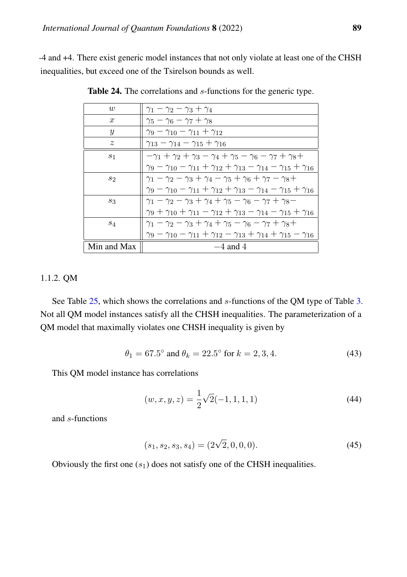<span id="page-58-0"></span>-4 and +4. There exist generic model instances that not only violate at least one of the CHSH inequalities, but exceed one of the Tsirelson bounds as well.

| w                | $\gamma_1-\gamma_2-\gamma_3+\gamma_4$                                                                        |
|------------------|--------------------------------------------------------------------------------------------------------------|
| $\boldsymbol{x}$ | $\gamma_5 - \gamma_6 - \gamma_7 + \gamma_8$                                                                  |
| Y                | $\gamma_9 - \gamma_{10} - \gamma_{11} + \gamma_{12}$                                                         |
| $\boldsymbol{z}$ | $\gamma_{13} - \gamma_{14} - \gamma_{15} + \gamma_{16}$                                                      |
| S <sub>1</sub>   | $-\gamma_1 + \gamma_2 + \gamma_3 - \gamma_4 + \gamma_5 - \gamma_6 - \gamma_7 + \gamma_8 +$                   |
|                  | $\gamma_9 - \gamma_{10} - \gamma_{11} + \gamma_{12} + \gamma_{13} - \gamma_{14} - \gamma_{15} + \gamma_{16}$ |
| $s_2$            | $\gamma_1 - \gamma_2 - \gamma_3 + \gamma_4 - \gamma_5 + \gamma_6 + \gamma_7 - \gamma_8 +$                    |
|                  | $\gamma_9 - \gamma_{10} - \gamma_{11} + \gamma_{12} + \gamma_{13} - \gamma_{14} - \gamma_{15} + \gamma_{16}$ |
| 83               | $\gamma_1 - \gamma_2 - \gamma_3 + \gamma_4 + \gamma_5 - \gamma_6 - \gamma_7 + \gamma_8 -$                    |
|                  | $\gamma_9 + \gamma_{10} + \gamma_{11} - \gamma_{12} + \gamma_{13} - \gamma_{14} - \gamma_{15} + \gamma_{16}$ |
| $s_4$            | $\gamma_1 - \gamma_2 - \gamma_3 + \gamma_4 + \gamma_5 - \gamma_6 - \gamma_7 + \gamma_8 +$                    |
|                  | $\gamma_9 - \gamma_{10} - \gamma_{11} + \gamma_{12} - \gamma_{13} + \gamma_{14} + \gamma_{15} - \gamma_{16}$ |
| Min and Max      | $-4$ and 4                                                                                                   |

Table 24. The correlations and s-functions for the generic type.

# 1.1.2. QM

See Table [25,](#page-59-0) which shows the correlations and s-functions of the QM type of Table [3.](#page-9-0) Not all QM model instances satisfy all the CHSH inequalities. The parameterization of a QM model that maximally violates one CHSH inequality is given by

$$
\theta_1 = 67.5^{\circ} \text{ and } \theta_k = 22.5^{\circ} \text{ for } k = 2, 3, 4. \tag{43}
$$

This QM model instance has correlations

$$
(w, x, y, z) = \frac{1}{2}\sqrt{2}(-1, 1, 1, 1)
$$
\n(44)

and s-functions

$$
(s_1, s_2, s_3, s_4) = (2\sqrt{2}, 0, 0, 0). \tag{45}
$$

Obviously the first one  $(s_1)$  does not satisfy one of the CHSH inequalities.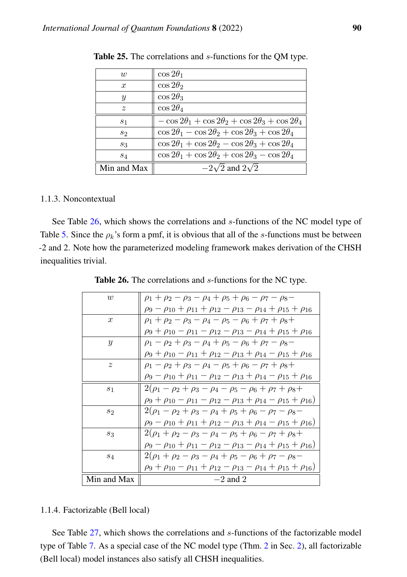| w                | $\cos 2\theta_1$                                                     |
|------------------|----------------------------------------------------------------------|
| $\boldsymbol{x}$ | $\cos 2\theta_2$                                                     |
| $\boldsymbol{y}$ | $\cos 2\theta_3$                                                     |
| $\tilde{z}$      | $\cos 2\theta_4$                                                     |
| S <sub>1</sub>   | $-\cos 2\theta_1 + \cos 2\theta_2 + \cos 2\theta_3 + \cos 2\theta_4$ |
| $s_2$            | $\cos 2\theta_1 - \cos 2\theta_2 + \cos 2\theta_3 + \cos 2\theta_4$  |
| $s_3$            | $\cos 2\theta_1 + \cos 2\theta_2 - \cos 2\theta_3 + \cos 2\theta_4$  |
| $^{s_4}$         | $\cos 2\theta_1 + \cos 2\theta_2 + \cos 2\theta_3 - \cos 2\theta_4$  |
| Min and Max      | $-2\sqrt{2}$ and $2\sqrt{2}$                                         |

<span id="page-59-0"></span>Table 25. The correlations and s-functions for the QM type.

## 1.1.3. Noncontextual

See Table [26,](#page-59-1) which shows the correlations and s-functions of the NC model type of Table [5.](#page-11-0) Since the  $\rho_k$ 's form a pmf, it is obvious that all of the s-functions must be between -2 and 2. Note how the parameterized modeling framework makes derivation of the CHSH inequalities trivial.

<span id="page-59-1"></span>

| w                | $\rho_1 + \rho_2 - \rho_3 - \rho_4 + \rho_5 + \rho_6 - \rho_7 - \rho_8 -$                    |
|------------------|----------------------------------------------------------------------------------------------|
|                  | $\rho_9 - \rho_{10} + \rho_{11} + \rho_{12} - \rho_{13} - \rho_{14} + \rho_{15} + \rho_{16}$ |
| $\boldsymbol{x}$ | $\rho_1 + \rho_2 - \rho_3 - \rho_4 - \rho_5 - \rho_6 + \rho_7 + \rho_8 +$                    |
|                  | $\rho_9 + \rho_{10} - \rho_{11} - \rho_{12} - \rho_{13} - \rho_{14} + \rho_{15} + \rho_{16}$ |
| $\mathcal{Y}$    | $\rho_1 - \rho_2 + \rho_3 - \rho_4 + \rho_5 - \rho_6 + \rho_7 - \rho_8 -$                    |
|                  | $\rho_9 + \rho_{10} - \rho_{11} + \rho_{12} - \rho_{13} + \rho_{14} - \rho_{15} + \rho_{16}$ |
| $\tilde{z}$      | $\rho_1 - \rho_2 + \rho_3 - \rho_4 - \rho_5 + \rho_6 - \rho_7 + \rho_8 +$                    |
|                  | $\rho_9 - \rho_{10} + \rho_{11} - \rho_{12} - \rho_{13} + \rho_{14} - \rho_{15} + \rho_{16}$ |
| s <sub>1</sub>   | $2(\rho_1 - \rho_2 + \rho_3 - \rho_4 - \rho_5 - \rho_6 + \rho_7 + \rho_8 +$                  |
|                  | $\rho_9 + \rho_{10} - \rho_{11} - \rho_{12} - \rho_{13} + \rho_{14} - \rho_{15} + \rho_{16}$ |
| $s_2$            | $2(\rho_1 - \rho_2 + \rho_3 - \rho_4 + \rho_5 + \rho_6 - \rho_7 - \rho_8 -$                  |
|                  | $\rho_9 - \rho_{10} + \rho_{11} + \rho_{12} - \rho_{13} + \rho_{14} - \rho_{15} + \rho_{16}$ |
| $s_3$            | $2(\rho_1+\rho_2-\rho_3-\rho_4-\rho_5+\rho_6-\rho_7+\rho_8+$                                 |
|                  | $\rho_9 - \rho_{10} + \rho_{11} - \rho_{12} - \rho_{13} - \rho_{14} + \rho_{15} + \rho_{16}$ |
| $S_4$            | $2(\rho_1+\rho_2-\rho_3-\rho_4+\rho_5-\rho_6+\rho_7-\rho_8-$                                 |
|                  | $\rho_9 + \rho_{10} - \rho_{11} + \rho_{12} - \rho_{13} - \rho_{14} + \rho_{15} + \rho_{16}$ |
| Min and Max      | $-2$ and 2                                                                                   |

Table 26. The correlations and s-functions for the NC type.

#### 1.1.4. Factorizable (Bell local)

See Table [27,](#page-60-0) which shows the correlations and s-functions of the factorizable model type of Table [7.](#page-13-1) As a special case of the NC model type (Thm. [2](#page-13-0) in Sec. [2\)](#page-4-0), all factorizable (Bell local) model instances also satisfy all CHSH inequalities.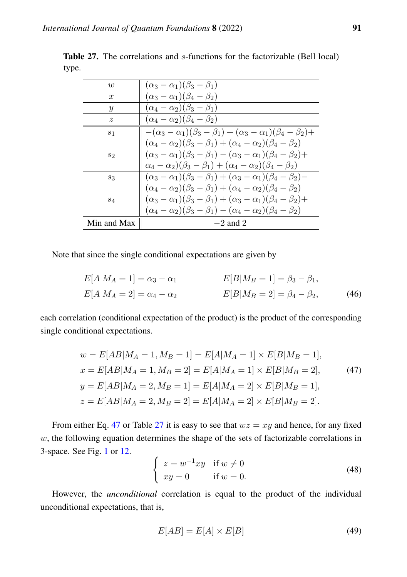| $\overline{w}$   | $(\alpha_3-\alpha_1)(\beta_3-\beta_1)$                                                  |
|------------------|-----------------------------------------------------------------------------------------|
| $\boldsymbol{x}$ | $(\alpha_3-\alpha_1)(\beta_4-\beta_2)$                                                  |
| $\boldsymbol{y}$ | $(\alpha_4-\alpha_2)(\beta_3-\beta_1)$                                                  |
| $\tilde{z}$      | $(\alpha_4-\alpha_2)(\beta_4-\beta_2)$                                                  |
| S <sub>1</sub>   | $-(\alpha_3-\alpha_1)(\beta_3-\beta_1)+(\alpha_3-\alpha_1)(\beta_4-\beta_2)+$           |
|                  | $(\alpha_4 - \alpha_2)(\beta_3 - \beta_1) + (\alpha_4 - \alpha_2)(\beta_4 - \beta_2)$   |
| $s_2$            | $(\alpha_3 - \alpha_1)(\beta_3 - \beta_1) - (\alpha_3 - \alpha_1)(\beta_4 - \beta_2) +$ |
|                  | $(\alpha_4 - \alpha_2)(\beta_3 - \beta_1) + (\alpha_4 - \alpha_2)(\beta_4 - \beta_2)$   |
| $S_3$            | $(\alpha_3 - \alpha_1)(\beta_3 - \beta_1) + (\alpha_3 - \alpha_1)(\beta_4 - \beta_2)$   |
|                  | $(\alpha_4 - \alpha_2)(\beta_3 - \beta_1) + (\alpha_4 - \alpha_2)(\beta_4 - \beta_2)$   |
| $s_4$            | $(\alpha_3 - \alpha_1)(\beta_3 - \beta_1) + (\alpha_3 - \alpha_1)(\beta_4 - \beta_2) +$ |
|                  | $(\alpha_4 - \alpha_2)(\beta_3 - \beta_1) - (\alpha_4 - \alpha_2)(\beta_4 - \beta_2)$   |
| Min and Max      | $-2$ and 2                                                                              |

<span id="page-60-0"></span>Table 27. The correlations and s-functions for the factorizable (Bell local) type.

Note that since the single conditional expectations are given by

$$
E[A|M_A = 1] = \alpha_3 - \alpha_1
$$
  
\n
$$
E[B|M_B = 1] = \beta_3 - \beta_1,
$$
  
\n
$$
E[A|M_A = 2] = \alpha_4 - \alpha_2
$$
  
\n
$$
E[B|M_B = 2] = \beta_4 - \beta_2,
$$
\n(46)

each correlation (conditional expectation of the product) is the product of the corresponding single conditional expectations.

$$
w = E[AB|M_A = 1, M_B = 1] = E[A|M_A = 1] \times E[B|M_B = 1],
$$
  
\n
$$
x = E[AB|M_A = 1, M_B = 2] = E[A|M_A = 1] \times E[B|M_B = 2],
$$
  
\n
$$
y = E[AB|M_A = 2, M_B = 1] = E[A|M_A = 2] \times E[B|M_B = 1],
$$
  
\n
$$
z = E[AB|M_A = 2, M_B = 2] = E[A|M_A = 2] \times E[B|M_B = 2].
$$
  
\n(47)

From either Eq. [47](#page-60-1) or Table [27](#page-60-0) it is easy to see that  $wz = xy$  and hence, for any fixed  $w$ , the following equation determines the shape of the sets of factorizable correlations in 3-space. See Fig. [1](#page-2-0) or [12.](#page-62-0)

<span id="page-60-1"></span>
$$
\begin{cases}\nz = w^{-1}xy & \text{if } w \neq 0 \\
xy = 0 & \text{if } w = 0.\n\end{cases}
$$
\n(48)

However, the *unconditional* correlation is equal to the product of the individual unconditional expectations, that is,

$$
E[AB] = E[A] \times E[B] \tag{49}
$$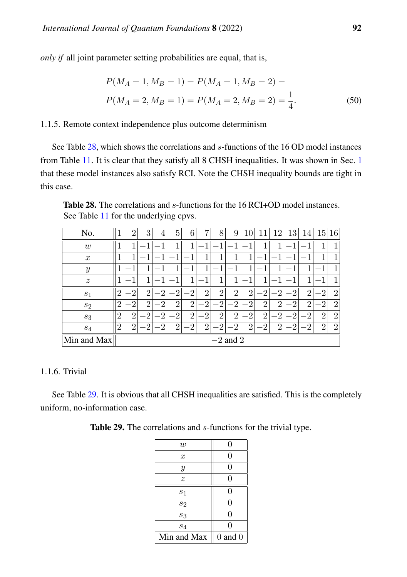*only if* all joint parameter setting probabilities are equal, that is,

$$
P(M_A = 1, M_B = 1) = P(M_A = 1, M_B = 2) =
$$
  

$$
P(M_A = 2, M_B = 1) = P(M_A = 2, M_B = 2) = \frac{1}{4}.
$$
 (50)

## 1.1.5. Remote context independence plus outcome determinism

See Table [28,](#page-61-0) which shows the correlations and s-functions of the 16 OD model instances from Table [11.](#page-18-0) It is clear that they satisfy all 8 CHSH inequalities. It was shown in Sec. [1](#page-1-0) that these model instances also satisfy RCI. Note the CHSH inequality bounds are tight in this case.

<span id="page-61-0"></span>Table 28. The correlations and s-functions for the 16 RCI+OD model instances. See Table [11](#page-18-0) for the underlying cpvs.

| No.              |                | $\overline{2}$ | 3              | 4              | 5              | 6              | ⇁              | 8              | 9              | 10             |                | 12             | 13        | 14             | 15             | 16               |
|------------------|----------------|----------------|----------------|----------------|----------------|----------------|----------------|----------------|----------------|----------------|----------------|----------------|-----------|----------------|----------------|------------------|
| w                |                |                |                |                |                |                |                |                |                |                |                | 1              |           |                |                |                  |
| $\boldsymbol{x}$ | 1              | 1              | 1              | 1              |                |                |                | 1              | 1              | 1              | -1             | 1              | 1         |                | 1              |                  |
| $\boldsymbol{y}$ | 1              |                |                |                |                |                |                |                |                |                |                | 1              | ٦         | 1              |                |                  |
| $\boldsymbol{z}$ | 1              |                | 1              |                |                |                |                | 1              |                |                | 1              |                |           | 1              |                |                  |
| s <sub>1</sub>   | 9              | ി              | $\overline{2}$ | ິ              | റ              | റ              | $\overline{2}$ | $\overline{2}$ | $\overline{2}$ | $\overline{2}$ | റ              | റ              | റ         | $\overline{2}$ | $\Omega$       | $\overline{2}$   |
| $\sqrt{s_{2}}$   | $\overline{2}$ | $\overline{2}$ | $\overline{2}$ | $\overline{2}$ | $\overline{2}$ | $\overline{2}$ | റ              | ി              | 6              | റ              | $\overline{2}$ | $\overline{2}$ | $\cdot 2$ | $\overline{2}$ | റ              | $\overline{2}$   |
| $s_3$            | $\overline{2}$ | $\overline{2}$ | $\overline{2}$ | ി              | $\overline{2}$ | $\overline{2}$ | $\overline{2}$ | $\overline{2}$ | റ              | $\overline{2}$ | റ<br>∠         | റ<br>∠         | റ<br>↵    | $\overline{2}$ | $\overline{2}$ | $\overline{2}$   |
| $s_4$            | $\overline{2}$ | $\overline{2}$ | റ              | റ              | റ<br>∠         | റ              | $\Omega$<br>↵  | റ              | റ              | $\overline{2}$ | റ              | റ              | ച         | $\overline{2}$ | $\overline{2}$ | $\boldsymbol{2}$ |
| Min and Max      | $-2$ and 2     |                |                |                |                |                |                |                |                |                |                |                |           |                |                |                  |

## 1.1.6. Trivial

<span id="page-61-1"></span>See Table [29.](#page-61-1) It is obvious that all CHSH inequalities are satisfied. This is the completely uniform, no-information case.

|  |  | <b>Table 29.</b> The correlations and <i>s</i> -functions for the trivial type. |  |  |
|--|--|---------------------------------------------------------------------------------|--|--|
|  |  |                                                                                 |  |  |

| $\boldsymbol{w}$ | 0           |
|------------------|-------------|
| $\boldsymbol{x}$ | 0           |
| $\boldsymbol{y}$ | 0           |
| $\boldsymbol{z}$ | 0           |
| $s_1$            | 0           |
| $s_2$            | 0           |
| $s_3$            | 0           |
| $S_4$            | 0           |
| Min and Max      | $0$ and $0$ |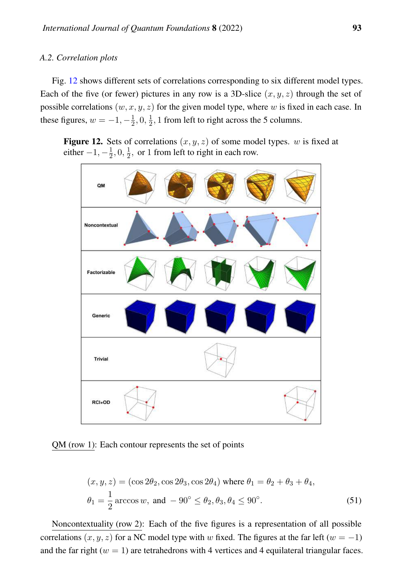## <span id="page-62-1"></span>*A.2. Correlation plots*

Fig. [12](#page-62-0) shows different sets of correlations corresponding to six different model types. Each of the five (or fewer) pictures in any row is a 3D-slice  $(x, y, z)$  through the set of possible correlations  $(w, x, y, z)$  for the given model type, where w is fixed in each case. In these figures,  $w = -1, -\frac{1}{2}$  $\frac{1}{2}, 0, \frac{1}{2}$  $\frac{1}{2}$ , 1 from left to right across the 5 columns.

<span id="page-62-0"></span>Figure 12. Sets of correlations  $(x, y, z)$  of some model types. w is fixed at either  $-1, -\frac{1}{2}$  $\frac{1}{2}, 0, \frac{1}{2}$  $\frac{1}{2}$ , or 1 from left to right in each row.



QM (row 1): Each contour represents the set of points

$$
(x, y, z) = (\cos 2\theta_2, \cos 2\theta_3, \cos 2\theta_4) \text{ where } \theta_1 = \theta_2 + \theta_3 + \theta_4,
$$
  

$$
\theta_1 = \frac{1}{2} \arccos w, \text{ and } -90^\circ \le \theta_2, \theta_3, \theta_4 \le 90^\circ.
$$
 (51)

Noncontextuality (row 2): Each of the five figures is a representation of all possible correlations  $(x, y, z)$  for a NC model type with w fixed. The figures at the far left ( $w = -1$ ) and the far right ( $w = 1$ ) are tetrahedrons with 4 vertices and 4 equilateral triangular faces.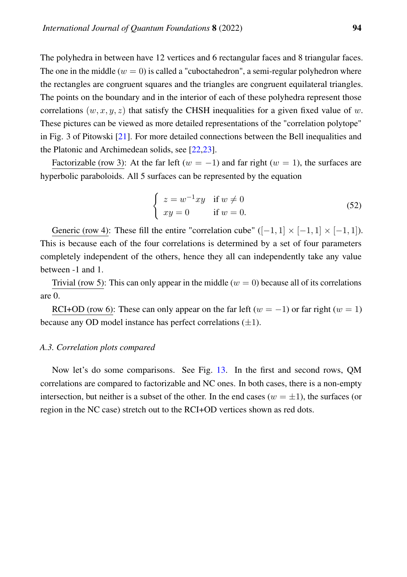The polyhedra in between have 12 vertices and 6 rectangular faces and 8 triangular faces. The one in the middle  $(w = 0)$  is called a "cuboctahedron", a semi-regular polyhedron where the rectangles are congruent squares and the triangles are congruent equilateral triangles. The points on the boundary and in the interior of each of these polyhedra represent those correlations  $(w, x, y, z)$  that satisfy the CHSH inequalities for a given fixed value of w. These pictures can be viewed as more detailed representations of the "correlation polytope" in Fig. 3 of Pitowski [\[21\]](#page-84-0). For more detailed connections between the Bell inequalities and the Platonic and Archimedean solids, see [\[22](#page-84-1)[,23\]](#page-84-2).

Factorizable (row 3): At the far left ( $w = -1$ ) and far right ( $w = 1$ ), the surfaces are hyperbolic paraboloids. All 5 surfaces can be represented by the equation

$$
\begin{cases}\n z = w^{-1}xy & \text{if } w \neq 0 \\
 xy = 0 & \text{if } w = 0.\n\end{cases}
$$
\n(52)

Generic (row 4): These fill the entire "correlation cube"  $([-1, 1] \times [-1, 1] \times [-1, 1]$ ). This is because each of the four correlations is determined by a set of four parameters completely independent of the others, hence they all can independently take any value between -1 and 1.

Trivial (row 5): This can only appear in the middle ( $w = 0$ ) because all of its correlations are 0.

RCI+OD (row 6): These can only appear on the far left ( $w = -1$ ) or far right ( $w = 1$ ) because any OD model instance has perfect correlations  $(\pm 1)$ .

#### <span id="page-63-0"></span>*A.3. Correlation plots compared*

Now let's do some comparisons. See Fig. [13.](#page-64-0) In the first and second rows, QM correlations are compared to factorizable and NC ones. In both cases, there is a non-empty intersection, but neither is a subset of the other. In the end cases ( $w = \pm 1$ ), the surfaces (or region in the NC case) stretch out to the RCI+OD vertices shown as red dots.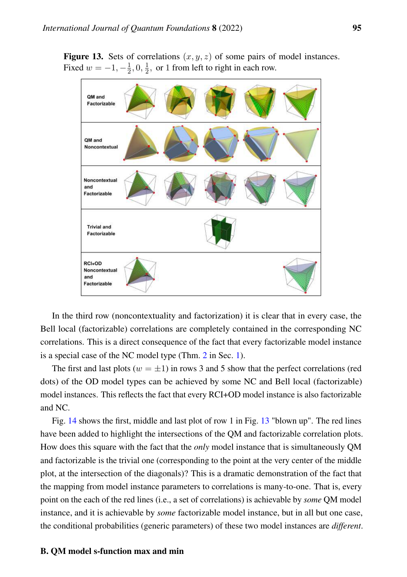<span id="page-64-0"></span>**Figure 13.** Sets of correlations  $(x, y, z)$  of some pairs of model instances. Fixed  $w = -1, -\frac{1}{2}$  $\frac{1}{2}, 0, \frac{1}{2}$  $\frac{1}{2}$ , or 1 from left to right in each row.



In the third row (noncontextuality and factorization) it is clear that in every case, the Bell local (factorizable) correlations are completely contained in the corresponding NC correlations. This is a direct consequence of the fact that every factorizable model instance is a special case of the NC model type (Thm. [2](#page-13-0) in Sec. [1\)](#page-1-0).

The first and last plots ( $w = \pm 1$ ) in rows 3 and 5 show that the perfect correlations (red dots) of the OD model types can be achieved by some NC and Bell local (factorizable) model instances. This reflects the fact that every RCI+OD model instance is also factorizable and NC.

Fig. [14](#page-65-0) shows the first, middle and last plot of row 1 in Fig. [13](#page-64-0) "blown up". The red lines have been added to highlight the intersections of the QM and factorizable correlation plots. How does this square with the fact that the *only* model instance that is simultaneously QM and factorizable is the trivial one (corresponding to the point at the very center of the middle plot, at the intersection of the diagonals)? This is a dramatic demonstration of the fact that the mapping from model instance parameters to correlations is many-to-one. That is, every point on the each of the red lines (i.e., a set of correlations) is achievable by *some* QM model instance, and it is achievable by *some* factorizable model instance, but in all but one case, the conditional probabilities (generic parameters) of these two model instances are *different*.

#### B. QM model s-function max and min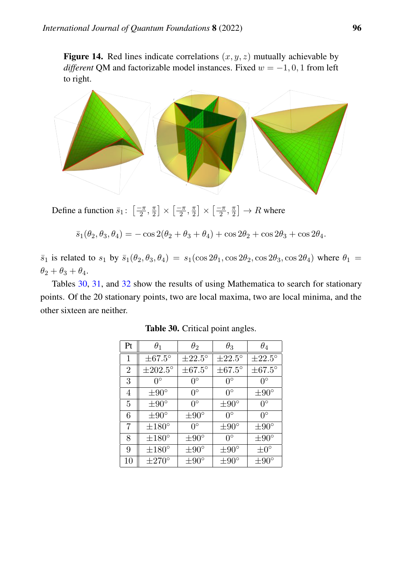<span id="page-65-0"></span>Figure 14. Red lines indicate correlations  $(x, y, z)$  mutually achievable by *different* QM and factorizable model instances. Fixed  $w = -1, 0, 1$  from left to right.



Define a function  $\bar{s}_1$ :  $\left[\frac{-\pi}{2}\right]$  $\frac{-\pi}{2}, \frac{\pi}{2}$  $\frac{\pi}{2}$   $\times$   $\left[\frac{-\pi}{2}\right]$  $\frac{-\pi}{2}, \frac{\pi}{2}$  $\frac{\pi}{2}$   $\times$   $\left[\frac{-\pi}{2}\right]$  $\frac{-\pi}{2}, \frac{\pi}{2}$  $\frac{\pi}{2}$   $\rightarrow$   $R$  where

 $\bar{s}_1(\theta_2, \theta_3, \theta_4) = -\cos 2(\theta_2 + \theta_3 + \theta_4) + \cos 2\theta_2 + \cos 2\theta_3 + \cos 2\theta_4.$ 

 $\bar{s}_1$  is related to  $s_1$  by  $\bar{s}_1(\theta_2, \theta_3, \theta_4) = s_1(\cos 2\theta_1, \cos 2\theta_2, \cos 2\theta_3, \cos 2\theta_4)$  where  $\theta_1$  $\theta_2 + \theta_3 + \theta_4.$ 

<span id="page-65-1"></span>Tables [30,](#page-65-1) [31,](#page-66-0) and [32](#page-66-1) show the results of using Mathematica to search for stationary points. Of the 20 stationary points, two are local maxima, two are local minima, and the other sixteen are neither.

| Pt             | $\theta_1$          | $\theta_2$         | $\theta_3$         | $\theta_4$         |
|----------------|---------------------|--------------------|--------------------|--------------------|
| 1              | $\pm 67.5^{\circ}$  | $\pm 22.5^\circ$   | $\pm 22.5^\circ$   | $\pm 22.5^\circ$   |
| $\overline{2}$ | $\pm 202.5^{\circ}$ | $\pm 67.5^{\circ}$ | $\pm 67.5^{\circ}$ | $\pm 67.5^{\circ}$ |
| 3              | $0^{\circ}$         | $0^{\circ}$        | $0^{\circ}$        | $0^{\circ}$        |
| 4              | $\pm 90^\circ$      | $0^{\circ}$        | $0^{\circ}$        | $\pm 90^\circ$     |
| 5              | $\pm 90^\circ$      | $0^{\circ}$        | $\pm 90^{\circ}$   | $0^{\circ}$        |
| 6              | $\pm 90^\circ$      | $\pm 90^\circ$     | $0^{\circ}$        | $0^{\circ}$        |
| 7              | $\pm 180^\circ$     | $0^{\circ}$        | $\pm 90^{\circ}$   | $\pm 90^\circ$     |
| 8              | $\pm 180^\circ$     | $\pm 90^\circ$     | $0^{\circ}$        | $\pm 90^\circ$     |
| 9              | $\pm 180^\circ$     | $\pm 90^{\circ}$   | $\pm 90^{\circ}$   | $\pm 0^{\circ}$    |
| 10             | $\pm 270^\circ$     | $\pm 90^\circ$     | $\pm 90^\circ$     | $\pm 90^\circ$     |

Table 30. Critical point angles.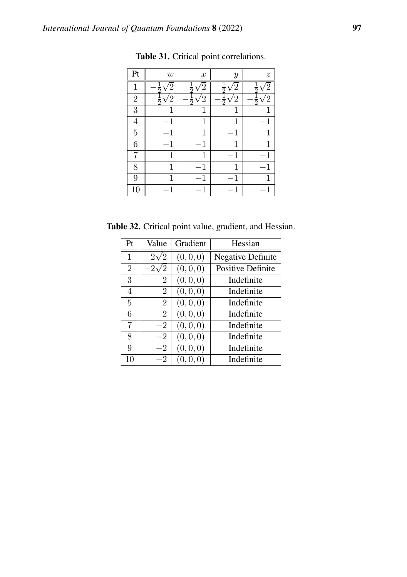<span id="page-66-0"></span>

| Pt             | $\boldsymbol{w}$ | $\boldsymbol{x}$ | $\boldsymbol{y}$ | $\boldsymbol{z}$ |
|----------------|------------------|------------------|------------------|------------------|
| 1              |                  |                  |                  |                  |
| $\overline{2}$ |                  |                  |                  |                  |
| 3              | 1                | 1                | 1                |                  |
| $\overline{4}$ | 1                | 1                | $\mathbf{1}$     | 1                |
| $\overline{5}$ | 1                | 1                | -1               | 1                |
| 6              | 1                | 1                | 1                | 1                |
| 7              | 1                | 1                | $^{-1}$          |                  |
| 8              | 1                | 1                | 1                | 1                |
| 9              | 1                | 1                | 1                | 1                |
| 10             | 1                | -1               | $-1$             |                  |

Table 31. Critical point correlations.

<span id="page-66-1"></span>Table 32. Critical point value, gradient, and Hessian.

| Pt               | Value          | Gradient  | Hessian                  |
|------------------|----------------|-----------|--------------------------|
| $\mathbf{1}$     | $2\sqrt{2}$    | (0,0,0)   | <b>Negative Definite</b> |
| $\overline{2}$   | $-2\sqrt{2}$   | (0, 0, 0) | Positive Definite        |
| $\boldsymbol{3}$ | $\overline{2}$ | (0,0,0)   | Indefinite               |
| 4                | $\overline{2}$ | (0, 0, 0) | Indefinite               |
| 5                | $\overline{2}$ | (0, 0, 0) | Indefinite               |
| 6                | $\overline{2}$ | (0,0,0)   | Indefinite               |
| 7                | $-2$           | (0,0,0)   | Indefinite               |
| 8                | $-2$           | (0, 0, 0) | Indefinite               |
| 9                | $-2$           | (0,0,0)   | Indefinite               |
| 10               | $-2$           | (0,0,0)   | Indefinite               |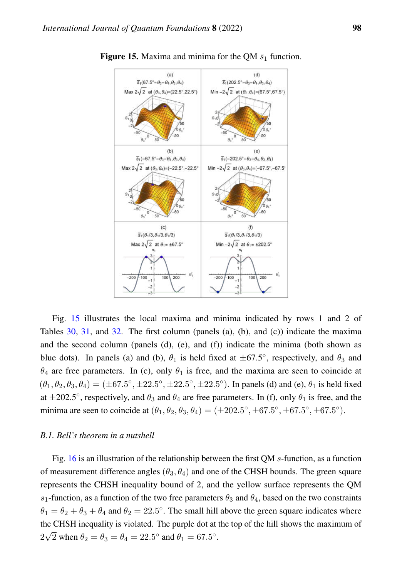

<span id="page-67-0"></span>**Figure 15.** Maxima and minima for the QM  $\bar{s}_1$  function.

Fig. [15](#page-67-0) illustrates the local maxima and minima indicated by rows 1 and 2 of Tables [30,](#page-65-1) [31,](#page-66-0) and [32.](#page-66-1) The first column (panels (a), (b), and (c)) indicate the maxima and the second column (panels  $(d)$ ,  $(e)$ , and  $(f)$ ) indicate the minima (both shown as blue dots). In panels (a) and (b),  $\theta_1$  is held fixed at  $\pm 67.5^{\circ}$ , respectively, and  $\theta_3$  and  $\theta_4$  are free parameters. In (c), only  $\theta_1$  is free, and the maxima are seen to coincide at  $(\theta_1, \theta_2, \theta_3, \theta_4) = (\pm 67.5^{\circ}, \pm 22.5^{\circ}, \pm 22.5^{\circ}, \pm 22.5^{\circ})$ . In panels (d) and (e),  $\theta_1$  is held fixed at  $\pm 202.5^{\circ}$ , respectively, and  $\theta_3$  and  $\theta_4$  are free parameters. In (f), only  $\theta_1$  is free, and the minima are seen to coincide at  $(\theta_1, \theta_2, \theta_3, \theta_4) = (\pm 202.5^{\circ}, \pm 67.5^{\circ}, \pm 67.5^{\circ}, \pm 67.5^{\circ}).$ 

## *B.1. Bell's theorem in a nutshell*

Fig. [16](#page-68-0) is an illustration of the relationship between the first QM s-function, as a function of measurement difference angles  $(\theta_3, \theta_4)$  and one of the CHSH bounds. The green square represents the CHSH inequality bound of 2, and the yellow surface represents the QM  $s_1$ -function, as a function of the two free parameters  $\theta_3$  and  $\theta_4$ , based on the two constraints  $\theta_1 = \theta_2 + \theta_3 + \theta_4$  and  $\theta_2 = 22.5^{\circ}$ . The small hill above the green square indicates where the CHSH inequality is violated. The purple dot at the top of the hill shows the maximum of 2 √  $\overline{2}$  when  $\theta_2 = \theta_3 = \theta_4 = 22.5^{\circ}$  and  $\theta_1 = 67.5^{\circ}$ .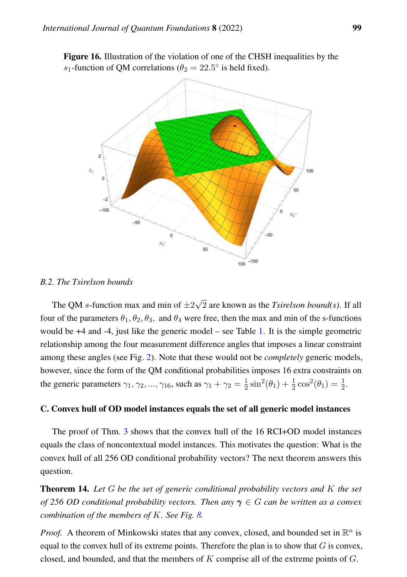<span id="page-68-0"></span>Figure 16. Illustration of the violation of one of the CHSH inequalities by the s<sub>1</sub>-function of QM correlations ( $\theta_2 = 22.5^\circ$  is held fixed).



#### *B.2. The Tsirelson bounds*

The QM s-function max and min of  $\pm 2$ √ 2 are known as the *Tsirelson bound(s)*. If all four of the parameters  $\theta_1, \theta_2, \theta_3$ , and  $\theta_4$  were free, then the max and min of the s-functions would be +4 and -4, just like the generic model – see Table [1.](#page-5-0) It is the simple geometric relationship among the four measurement difference angles that imposes a linear constraint among these angles (see Fig. [2\)](#page-9-1). Note that these would not be *completely* generic models, however, since the form of the QM conditional probabilities imposes 16 extra constraints on the generic parameters  $\gamma_1, \gamma_2, ..., \gamma_{16}$ , such as  $\gamma_1 + \gamma_2 = \frac{1}{2}$  $\frac{1}{2}\sin^2(\theta_1) + \frac{1}{2}\cos^2(\theta_1) = \frac{1}{2}.$ 

## C. Convex hull of OD model instances equals the set of all generic model instances

The proof of Thm. [3](#page-20-0) shows that the convex hull of the 16 RCI+OD model instances equals the class of noncontextual model instances. This motivates the question: What is the convex hull of all 256 OD conditional probability vectors? The next theorem answers this question.

Theorem 14. *Let* G *be the set of generic conditional probability vectors and* K *the set of 256 OD conditional probability vectors. Then any* γ ∈ G *can be written as a convex combination of the members of* K*. See Fig. [8.](#page-33-0)*

*Proof.* A theorem of Minkowski states that any convex, closed, and bounded set in  $\mathbb{R}^n$  is equal to the convex hull of its extreme points. Therefore the plan is to show that  $G$  is convex, closed, and bounded, and that the members of  $K$  comprise all of the extreme points of  $G$ .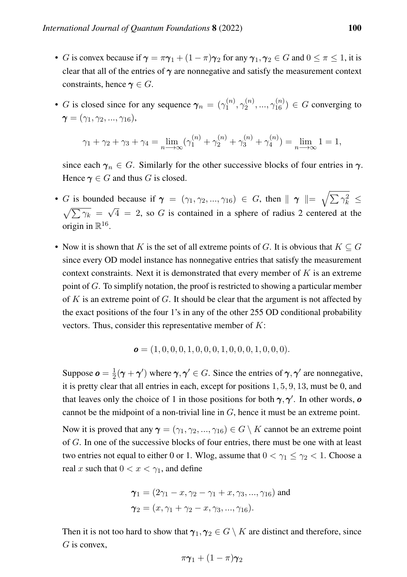- G is convex because if  $\gamma = \pi \gamma_1 + (1 \pi) \gamma_2$  for any  $\gamma_1, \gamma_2 \in G$  and  $0 \le \pi \le 1$ , it is clear that all of the entries of  $\gamma$  are nonnegative and satisfy the measurement context constraints, hence  $\gamma \in G$ .
- G is closed since for any sequence  $\gamma_n = (\gamma_1^{(n)})$  $\gamma_1^{(n)},\gamma_2^{(n)}$  $\chi_2^{(n)}, \ldots, \gamma_{16}^{(n)}) \in G$  converging to  $\gamma = (\gamma_1, \gamma_2, ..., \gamma_{16}),$

$$
\gamma_1 + \gamma_2 + \gamma_3 + \gamma_4 = \lim_{n \to \infty} (\gamma_1^{(n)} + \gamma_2^{(n)} + \gamma_3^{(n)} + \gamma_4^{(n)}) = \lim_{n \to \infty} 1 = 1,
$$

since each  $\gamma_n \in G$ . Similarly for the other successive blocks of four entries in  $\gamma$ . Hence  $\gamma \in G$  and thus G is closed.

- G is bounded because if  $\gamma = (\gamma_1, \gamma_2, ..., \gamma_{16}) \in G$ , then  $\|\gamma\| = \sqrt{\sum \gamma_k^2} \leq$  $\sqrt{\sum \gamma_k} = \sqrt{4} = 2$ , so G is contained in a sphere of radius 2 centered at the origin in  $\mathbb{R}^{16}$ .
- Now it is shown that K is the set of all extreme points of G. It is obvious that  $K \subseteq G$ since every OD model instance has nonnegative entries that satisfy the measurement context constraints. Next it is demonstrated that every member of  $K$  is an extreme point of  $G$ . To simplify notation, the proof is restricted to showing a particular member of K is an extreme point of G. It should be clear that the argument is not affected by the exact positions of the four 1's in any of the other 255 OD conditional probability vectors. Thus, consider this representative member of  $K$ :

$$
\mathbf{o} = (1, 0, 0, 0, 1, 0, 0, 0, 1, 0, 0, 0, 1, 0, 0, 0).
$$

Suppose  $\boldsymbol{o} = \frac{1}{2}$  $\frac{1}{2}(\gamma + \gamma')$  where  $\gamma, \gamma' \in G$ . Since the entries of  $\gamma, \gamma'$  are nonnegative, it is pretty clear that all entries in each, except for positions 1, 5, 9, 13, must be 0, and that leaves only the choice of 1 in those positions for both  $\gamma$ ,  $\gamma'$ . In other words, or cannot be the midpoint of a non-trivial line in  $G$ , hence it must be an extreme point.

Now it is proved that any  $\gamma = (\gamma_1, \gamma_2, ..., \gamma_{16}) \in G \setminus K$  cannot be an extreme point of G. In one of the successive blocks of four entries, there must be one with at least two entries not equal to either 0 or 1. Wlog, assume that  $0 < \gamma_1 \leq \gamma_2 < 1$ . Choose a real x such that  $0 < x < \gamma_1$ , and define

$$
\gamma_1 = (2\gamma_1 - x, \gamma_2 - \gamma_1 + x, \gamma_3, ..., \gamma_{16})
$$
 and  
\n $\gamma_2 = (x, \gamma_1 + \gamma_2 - x, \gamma_3, ..., \gamma_{16}).$ 

Then it is not too hard to show that  $\gamma_1, \gamma_2 \in G \setminus K$  are distinct and therefore, since  $G$  is convex,

$$
\pi\boldsymbol{\gamma}_1+(1-\pi)\boldsymbol{\gamma}_2
$$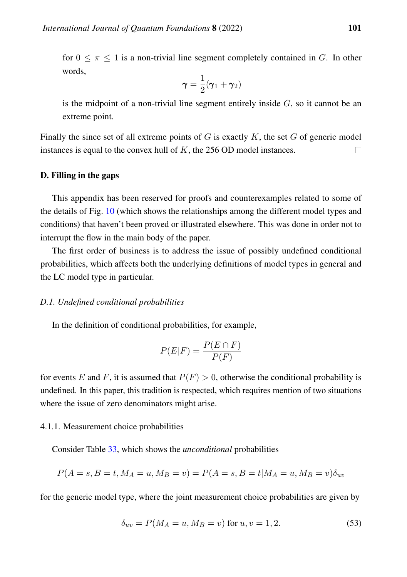for  $0 \leq \pi \leq 1$  is a non-trivial line segment completely contained in G. In other words,

$$
\boldsymbol{\gamma} = \frac{1}{2}(\boldsymbol{\gamma}_1 + \boldsymbol{\gamma}_2)
$$

is the midpoint of a non-trivial line segment entirely inside  $G$ , so it cannot be an extreme point.

Finally the since set of all extreme points of  $G$  is exactly  $K$ , the set  $G$  of generic model instances is equal to the convex hull of  $K$ , the 256 OD model instances.  $\Box$ 

## D. Filling in the gaps

This appendix has been reserved for proofs and counterexamples related to some of the details of Fig. [10](#page-53-0) (which shows the relationships among the different model types and conditions) that haven't been proved or illustrated elsewhere. This was done in order not to interrupt the flow in the main body of the paper.

The first order of business is to address the issue of possibly undefined conditional probabilities, which affects both the underlying definitions of model types in general and the LC model type in particular.

## *D.1. Undefined conditional probabilities*

In the definition of conditional probabilities, for example,

$$
P(E|F) = \frac{P(E \cap F)}{P(F)}
$$

for events E and F, it is assumed that  $P(F) > 0$ , otherwise the conditional probability is undefined. In this paper, this tradition is respected, which requires mention of two situations where the issue of zero denominators might arise.

## 4.1.1. Measurement choice probabilities

Consider Table [33,](#page-71-0) which shows the *unconditional* probabilities

$$
P(A = s, B = t, M_A = u, M_B = v) = P(A = s, B = t | M_A = u, M_B = v) \delta_{uv}
$$

for the generic model type, where the joint measurement choice probabilities are given by

$$
\delta_{uv} = P(M_A = u, M_B = v) \text{ for } u, v = 1, 2. \tag{53}
$$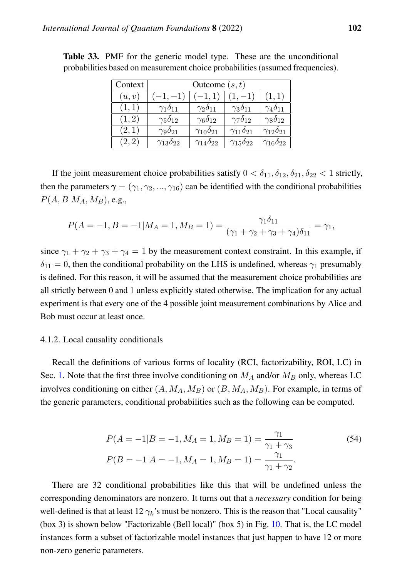| Context | Outcome $(s, t)$         |                          |                          |                          |  |  |  |
|---------|--------------------------|--------------------------|--------------------------|--------------------------|--|--|--|
| (u, v)  | $-1, -1)$                | $(-1,1)$                 | $1, -1)$                 | (1,1)                    |  |  |  |
| (1,1)   | $\gamma_1\delta_{11}$    | $\gamma_2\delta_{11}$    | $\gamma_3\delta_{11}$    | $\gamma_4\delta_{11}$    |  |  |  |
| (1, 2)  | $\gamma_5\delta_{12}$    | $\gamma_6\delta_{12}$    | $\gamma_7\delta_{12}$    | $\gamma_8\delta_{12}$    |  |  |  |
| (2,1)   | $\gamma_9\delta_{21}$    | $\gamma_{10}\delta_{21}$ | $\gamma_{11}\delta_{21}$ | $\gamma_{12}\delta_{21}$ |  |  |  |
| (2, 2)  | $\gamma_{13}\delta_{22}$ | $\gamma_{14}\delta_{22}$ | $\gamma_{15}\delta_{22}$ | $\gamma_{16}\delta_{22}$ |  |  |  |

<span id="page-71-0"></span>Table 33. PMF for the generic model type. These are the unconditional probabilities based on measurement choice probabilities (assumed frequencies).

If the joint measurement choice probabilities satisfy  $0 < \delta_{11}, \delta_{12}, \delta_{21}, \delta_{22} < 1$  strictly, then the parameters  $\gamma = (\gamma_1, \gamma_2, ..., \gamma_{16})$  can be identified with the conditional probabilities  $P(A, B|M_A, M_B)$ , e.g.,

$$
P(A=-1, B=-1|M_A=1, M_B=1) = \frac{\gamma_1 \delta_{11}}{(\gamma_1 + \gamma_2 + \gamma_3 + \gamma_4)\delta_{11}} = \gamma_1,
$$

since  $\gamma_1 + \gamma_2 + \gamma_3 + \gamma_4 = 1$  by the measurement context constraint. In this example, if  $\delta_{11} = 0$ , then the conditional probability on the LHS is undefined, whereas  $\gamma_1$  presumably is defined. For this reason, it will be assumed that the measurement choice probabilities are all strictly between 0 and 1 unless explicitly stated otherwise. The implication for any actual experiment is that every one of the 4 possible joint measurement combinations by Alice and Bob must occur at least once.

#### 4.1.2. Local causality conditionals

Recall the definitions of various forms of locality (RCI, factorizability, ROI, LC) in Sec. [1.](#page-1-0) Note that the first three involve conditioning on  $M_A$  and/or  $M_B$  only, whereas LC involves conditioning on either  $(A, M_A, M_B)$  or  $(B, M_A, M_B)$ . For example, in terms of the generic parameters, conditional probabilities such as the following can be computed.

$$
P(A = -1|B = -1, M_A = 1, M_B = 1) = \frac{\gamma_1}{\gamma_1 + \gamma_3}
$$
\n
$$
P(B = -1|A = -1, M_A = 1, M_B = 1) = \frac{\gamma_1}{\gamma_1 + \gamma_2}.
$$
\n(54)

There are 32 conditional probabilities like this that will be undefined unless the corresponding denominators are nonzero. It turns out that a *necessary* condition for being well-defined is that at least 12  $\gamma_k$ 's must be nonzero. This is the reason that "Local causality" (box 3) is shown below "Factorizable (Bell local)" (box 5) in Fig. [10.](#page-53-0) That is, the LC model instances form a subset of factorizable model instances that just happen to have 12 or more non-zero generic parameters.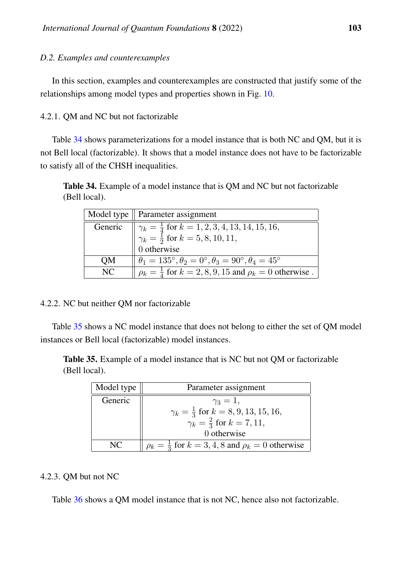#### *D.2. Examples and counterexamples*

In this section, examples and counterexamples are constructed that justify some of the relationships among model types and properties shown in Fig. [10.](#page-53-0)

4.2.1. QM and NC but not factorizable

Table [34](#page-72-0) shows parameterizations for a model instance that is both NC and OM, but it is not Bell local (factorizable). It shows that a model instance does not have to be factorizable to satisfy all of the CHSH inequalities.

<span id="page-72-0"></span>Table 34. Example of a model instance that is QM and NC but not factorizable (Bell local).

|     | Model type $\parallel$ Parameter assignment                                                                                       |  |  |  |
|-----|-----------------------------------------------------------------------------------------------------------------------------------|--|--|--|
|     |                                                                                                                                   |  |  |  |
|     | Generic $\sqrt{\gamma_k} = \frac{1}{4}$ for $k = 1, 2, 3, 4, 13, 14, 15, 16,$<br>$\gamma_k = \frac{1}{2}$ for $k = 5, 8, 10, 11,$ |  |  |  |
|     | $\int$ otherwise                                                                                                                  |  |  |  |
| QM  | $\theta_1 = 135^\circ, \theta_2 = 0^\circ, \theta_3 = 90^\circ, \theta_4 = 45^\circ$                                              |  |  |  |
| NC. | $p_k = \frac{1}{4}$ for $k = 2, 8, 9, 15$ and $p_k = 0$ otherwise.                                                                |  |  |  |

#### 4.2.2. NC but neither QM nor factorizable

Table [35](#page-72-1) shows a NC model instance that does not belong to either the set of QM model instances or Bell local (factorizable) model instances.

<span id="page-72-1"></span>Table 35. Example of a model instance that is NC but not QM or factorizable (Bell local).

| Model type | Parameter assignment                                                |  |  |  |
|------------|---------------------------------------------------------------------|--|--|--|
| Generic    | $\gamma_3=1$ ,                                                      |  |  |  |
|            | $\gamma_k = \frac{1}{3}$ for $k = 8, 9, 13, 15, 16,$                |  |  |  |
|            | $\gamma_k = \frac{2}{3}$ for $k = 7, 11$ ,                          |  |  |  |
|            | 0 otherwise                                                         |  |  |  |
| NC.        | $\rho_k = \frac{1}{3}$ for $k = 3, 4, 8$ and $\rho_k = 0$ otherwise |  |  |  |

#### 4.2.3. QM but not NC

Table [36](#page-73-0) shows a QM model instance that is not NC, hence also not factorizable.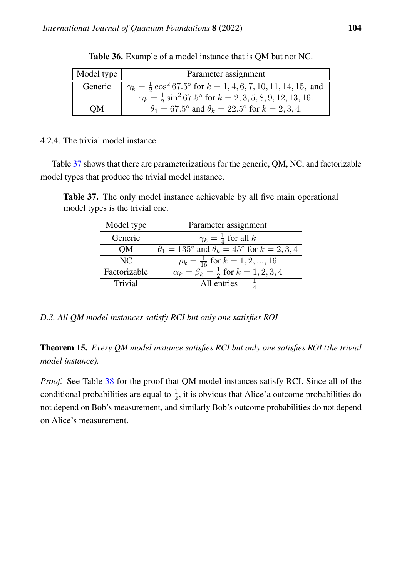<span id="page-73-0"></span>

| Model type | Parameter assignment                                                                                                                                                                                 |  |  |  |
|------------|------------------------------------------------------------------------------------------------------------------------------------------------------------------------------------------------------|--|--|--|
| Generic    |                                                                                                                                                                                                      |  |  |  |
|            | $\sqrt{\gamma_k = \frac{1}{2} \cos^2 67.5^\circ \text{ for } k = 1, 4, 6, 7, 10, 11, 14, 15, \text{ and}}$<br>$\gamma_k = \frac{1}{2} \sin^2 67.5^\circ \text{ for } k = 2, 3, 5, 8, 9, 12, 13, 16.$ |  |  |  |
| OМ         | $\theta_1 = 67.5^{\circ}$ and $\theta_k = 22.5^{\circ}$ for $k = 2, 3, 4$ .                                                                                                                          |  |  |  |

Table 36. Example of a model instance that is QM but not NC.

### 4.2.4. The trivial model instance

Table [37](#page-73-1) shows that there are parameterizations for the generic, QM, NC, and factorizable model types that produce the trivial model instance.

<span id="page-73-1"></span>Table 37. The only model instance achievable by all five main operational model types is the trivial one.

| Model type   | Parameter assignment                                                   |
|--------------|------------------------------------------------------------------------|
| Generic      | $\gamma_k = \frac{1}{4}$ for all k                                     |
| OM           | $\theta_1 = 135^{\circ}$ and $\theta_k = 45^{\circ}$ for $k = 2, 3, 4$ |
| NC           | $\rho_k = \frac{1}{16}$ for $k = 1, 2, , 16$                           |
| Factorizable | $\alpha_k = \beta_k = \frac{1}{2}$ for $k = 1, 2, 3, 4$                |
| Trivial      | All entries $=$ $\frac{1}{4}$                                          |

*D.3. All QM model instances satisfy RCI but only one satisfies ROI*

Theorem 15. *Every QM model instance satisfies RCI but only one satisfies ROI (the trivial model instance).*

*Proof.* See Table [38](#page-74-0) for the proof that QM model instances satisfy RCI. Since all of the conditional probabilities are equal to  $\frac{1}{2}$ , it is obvious that Alice'a outcome probabilities do not depend on Bob's measurement, and similarly Bob's outcome probabilities do not depend on Alice's measurement.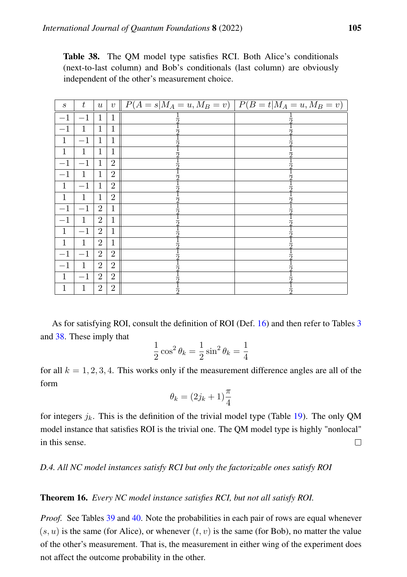<span id="page-74-0"></span>

| <b>Table 38.</b> The QM model type satisfies RCI. Both Alice's conditionals |
|-----------------------------------------------------------------------------|
| (next-to-last column) and Bob's conditionals (last column) are obviously    |
| independent of the other's measurement choice.                              |

| $\boldsymbol{s}$ | $t_{\rm}$    | $\boldsymbol{u}$ |                | $v \parallel P(A = s M_A = u, M_B = v) \parallel P(B = t M_A = u, M_B = v) \parallel$ |  |
|------------------|--------------|------------------|----------------|---------------------------------------------------------------------------------------|--|
| $-1$             | $-1$         | $\mathbf{1}$     | 1              |                                                                                       |  |
| $^{-1}$          | $\mathbf{1}$ | $\mathbf 1$      | 1              |                                                                                       |  |
| 1                | $-1$         | 1                | 1              |                                                                                       |  |
| 1                | 1            | 1                | 1              |                                                                                       |  |
| $-1$             | $-1$         | $\mathbf{1}$     | $\overline{2}$ |                                                                                       |  |
| $-1$             | $\mathbf{1}$ | $\mathbf 1$      | $\overline{2}$ |                                                                                       |  |
| $\mathbf{1}$     | $-1$         | $\mathbf 1$      | $\overline{2}$ |                                                                                       |  |
| $\mathbf{1}$     | 1            | $\mathbf 1$      | $\overline{2}$ |                                                                                       |  |
| $-1$             | $-1$         | $\boldsymbol{2}$ | 1              |                                                                                       |  |
| $-1$             | $\mathbf{1}$ | $\overline{2}$   | 1              |                                                                                       |  |
| $\mathbf{1}$     | $-1$         | $\overline{2}$   | $\mathbf 1$    |                                                                                       |  |
| $\mathbf{1}$     | $\mathbf{1}$ | $\overline{2}$   | 1              |                                                                                       |  |
| $^{-1}$          | $-1$         | $\overline{2}$   | $\overline{2}$ |                                                                                       |  |
| $-1$             | 1            | $\overline{2}$   | $\overline{2}$ |                                                                                       |  |
| $\mathbf{1}$     | $-1$         | $\overline{2}$   | $\overline{2}$ |                                                                                       |  |
| $\mathbf 1$      | 1            | $\overline{2}$   | $\overline{2}$ |                                                                                       |  |

As for satisfying ROI, consult the definition of ROI (Def. [16\)](#page-19-0) and then refer to Tables [3](#page-9-0) and [38.](#page-74-0) These imply that

$$
\frac{1}{2}\cos^2\theta_k = \frac{1}{2}\sin^2\theta_k = \frac{1}{4}
$$

for all  $k = 1, 2, 3, 4$ . This works only if the measurement difference angles are all of the form

$$
\theta_k = (2j_k + 1)\frac{\pi}{4}
$$

for integers  $j_k$ . This is the definition of the trivial model type (Table [19\)](#page-42-0). The only QM model instance that satisfies ROI is the trivial one. The QM model type is highly "nonlocal" in this sense.  $\Box$ 

### <span id="page-74-2"></span>*D.4. All NC model instances satisfy RCI but only the factorizable ones satisfy ROI*

#### <span id="page-74-1"></span>Theorem 16. *Every NC model instance satisfies RCI, but not all satisfy ROI.*

*Proof.* See Tables [39](#page-75-0) and [40.](#page-75-1) Note the probabilities in each pair of rows are equal whenever  $(s, u)$  is the same (for Alice), or whenever  $(t, v)$  is the same (for Bob), no matter the value of the other's measurement. That is, the measurement in either wing of the experiment does not affect the outcome probability in the other.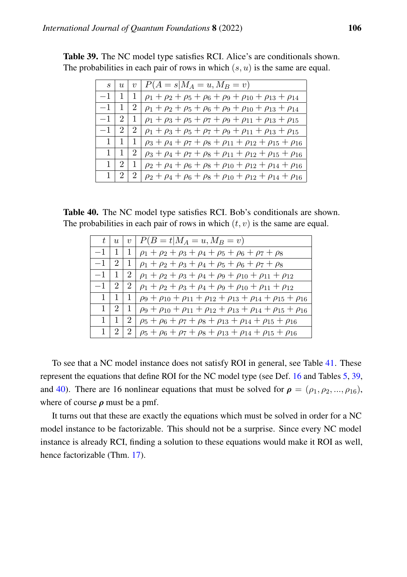|              |                   |                | $s   u   v   P(A = s   M_A = u, M_B = v)$                                           |
|--------------|-------------------|----------------|-------------------------------------------------------------------------------------|
| $-1$   1     |                   | -1             | $\rho_1 + \rho_2 + \rho_5 + \rho_6 + \rho_9 + \rho_{10} + \rho_{13} + \rho_{14}$    |
| $-1$   1     |                   | -2             | $\rho_1 + \rho_2 + \rho_5 + \rho_6 + \rho_9 + \rho_{10} + \rho_{13} + \rho_{14}$    |
| $-1$   2   1 |                   |                | $\rho_1 + \rho_3 + \rho_5 + \rho_7 + \rho_9 + \rho_{11} + \rho_{13} + \rho_{15}$    |
| $-1$   2     |                   | 2              | $\rho_1 + \rho_3 + \rho_5 + \rho_7 + \rho_9 + \rho_{11} + \rho_{13} + \rho_{15}$    |
|              | 1   1   1         |                | $\rho_3 + \rho_4 + \rho_7 + \rho_8 + \rho_{11} + \rho_{12} + \rho_{15} + \rho_{16}$ |
|              | $1 \mid 1 \mid$   | $\overline{2}$ | $\rho_3 + \rho_4 + \rho_7 + \rho_8 + \rho_{11} + \rho_{12} + \rho_{15} + \rho_{16}$ |
|              | $1 \mid 2 \mid 1$ |                | $\rho_2 + \rho_4 + \rho_6 + \rho_8 + \rho_{10} + \rho_{12} + \rho_{14} + \rho_{16}$ |
|              | 1   2   2         |                | $\rho_2 + \rho_4 + \rho_6 + \rho_8 + \rho_{10} + \rho_{12} + \rho_{14} + \rho_{16}$ |

<span id="page-75-0"></span>Table 39. The NC model type satisfies RCI. Alice's are conditionals shown. The probabilities in each pair of rows in which  $(s, u)$  is the same are equal.

<span id="page-75-1"></span>

|  |  |  |  | <b>Table 40.</b> The NC model type satisfies RCI. Bob's conditionals are shown. |  |
|--|--|--|--|---------------------------------------------------------------------------------|--|
|  |  |  |  | The probabilities in each pair of rows in which $(t, v)$ is the same are equal. |  |

|      |                 |                | $t   u   v   P(B = t   M_A = u, M_B = v)$                                                                |
|------|-----------------|----------------|----------------------------------------------------------------------------------------------------------|
| $-1$ | $+1$ .          |                | $1   \rho_1 + \rho_2 + \rho_3 + \rho_4 + \rho_5 + \rho_6 + \rho_7 + \rho_8$                              |
|      |                 |                | $-1$   2   1   $\rho_1 + \rho_2 + \rho_3 + \rho_4 + \rho_5 + \rho_6 + \rho_7 + \rho_8$                   |
|      |                 |                | $-1$   1   2   $\rho_1 + \rho_2 + \rho_3 + \rho_4 + \rho_9 + \rho_{10} + \rho_{11} + \rho_{12}$          |
|      |                 |                | $-1$   2   2   $\rho_1 + \rho_2 + \rho_3 + \rho_4 + \rho_9 + \rho_{10} + \rho_{11} + \rho_{12}$          |
|      | $1 \mid 1 \mid$ |                | $1   \rho_9 + \rho_{10} + \rho_{11} + \rho_{12} + \rho_{13} + \rho_{14} + \rho_{15} + \rho_{16}$         |
|      |                 |                | $1   2   1   \rho_9 + \rho_{10} + \rho_{11} + \rho_{12} + \rho_{13} + \rho_{14} + \rho_{15} + \rho_{16}$ |
|      | $1 \mid 1 \mid$ | 2 <sup>1</sup> | $\rho_5 + \rho_6 + \rho_7 + \rho_8 + \rho_{13} + \rho_{14} + \rho_{15} + \rho_{16}$                      |
|      | $1 \mid 2 \mid$ |                | $2 \rho_5+\rho_6+\rho_7+\rho_8+\rho_{13}+\rho_{14}+\rho_{15}+\rho_{16}$                                  |

To see that a NC model instance does not satisfy ROI in general, see Table [41.](#page-76-0) These represent the equations that define ROI for the NC model type (see Def. [16](#page-19-0) and Tables [5,](#page-11-0) [39,](#page-75-0) and [40\)](#page-75-1). There are 16 nonlinear equations that must be solved for  $\rho = (\rho_1, \rho_2, ..., \rho_{16})$ , where of course  $\rho$  must be a pmf.

It turns out that these are exactly the equations which must be solved in order for a NC model instance to be factorizable. This should not be a surprise. Since every NC model instance is already RCI, finding a solution to these equations would make it ROI as well, hence factorizable (Thm. [17\)](#page-77-0).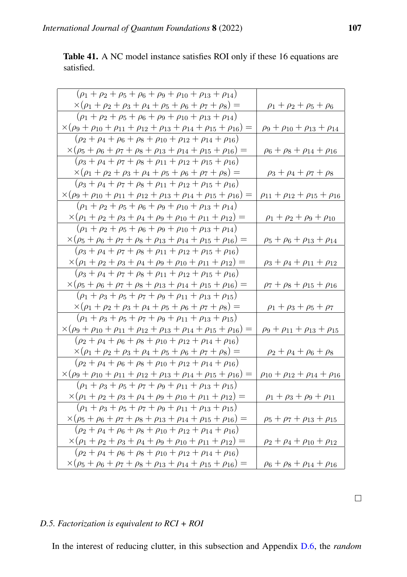<span id="page-76-0"></span>Table 41. A NC model instance satisfies ROI only if these 16 equations are satisfied.

| $(\rho_1 + \rho_2 + \rho_5 + \rho_6 + \rho_9 + \rho_{10} + \rho_{13} + \rho_{14})$                     |                                                 |
|--------------------------------------------------------------------------------------------------------|-------------------------------------------------|
| $\times(\rho_1+\rho_2+\rho_3+\rho_4+\rho_5+\rho_6+\rho_7+\rho_8)=$                                     | $\rho_1 + \rho_2 + \rho_5 + \rho_6$             |
| $(\rho_1 + \rho_2 + \rho_5 + \rho_6 + \rho_9 + \rho_{10} + \rho_{13} + \rho_{14})$                     |                                                 |
| $\times(\rho_9 + \rho_{10} + \rho_{11} + \rho_{12} + \rho_{13} + \rho_{14} + \rho_{15} + \rho_{16}) =$ | $\rho_9 + \rho_{10} + \rho_{13} + \rho_{14}$    |
| $(\rho_2 + \rho_4 + \rho_6 + \rho_8 + \rho_{10} + \rho_{12} + \rho_{14} + \rho_{16})$                  |                                                 |
| $\times(\rho_5+\rho_6+\rho_7+\rho_8+\rho_{13}+\rho_{14}+\rho_{15}+\rho_{16})=$                         | $\rho_6 + \rho_8 + \rho_{14} + \rho_{16}$       |
| $(\rho_3 + \rho_4 + \rho_7 + \rho_8 + \rho_{11} + \rho_{12} + \rho_{15} + \rho_{16})$                  |                                                 |
| $\times(\rho_1+\rho_2+\rho_3+\rho_4+\rho_5+\rho_6+\rho_7+\rho_8)=$                                     | $\rho_3 + \rho_4 + \rho_7 + \rho_8$             |
| $(\rho_3 + \rho_4 + \rho_7 + \rho_8 + \rho_{11} + \rho_{12} + \rho_{15} + \rho_{16})$                  |                                                 |
| $\times(\rho_9+\rho_{10}+\rho_{11}+\rho_{12}+\rho_{13}+\rho_{14}+\rho_{15}+\rho_{16})=$                | $\rho_{11} + \rho_{12} + \rho_{15} + \rho_{16}$ |
| $(\rho_1 + \rho_2 + \rho_5 + \rho_6 + \rho_9 + \rho_{10} + \rho_{13} + \rho_{14})$                     |                                                 |
| $\times(\rho_1+\rho_2+\rho_3+\rho_4+\rho_9+\rho_{10}+\rho_{11}+\rho_{12})=$                            | $\rho_1 + \rho_2 + \rho_9 + \rho_{10}$          |
| $(\rho_1 + \rho_2 + \rho_5 + \rho_6 + \rho_9 + \rho_{10} + \rho_{13} + \rho_{14})$                     |                                                 |
| $\times(\rho_5+\rho_6+\rho_7+\rho_8+\rho_{13}+\rho_{14}+\rho_{15}+\rho_{16})=$                         | $\rho_5 + \rho_6 + \rho_{13} + \rho_{14}$       |
| $(\rho_3 + \rho_4 + \rho_7 + \rho_8 + \rho_{11} + \rho_{12} + \rho_{15} + \rho_{16})$                  |                                                 |
| $\times(\rho_1+\rho_2+\rho_3+\rho_4+\rho_9+\rho_{10}+\rho_{11}+\rho_{12})=$                            | $\rho_3 + \rho_4 + \rho_{11} + \rho_{12}$       |
| $(\rho_3 + \rho_4 + \rho_7 + \rho_8 + \rho_{11} + \rho_{12} + \rho_{15} + \rho_{16})$                  |                                                 |
| $\times(\rho_5+\rho_6+\rho_7+\rho_8+\rho_{13}+\rho_{14}+\rho_{15}+\rho_{16})=$                         | $\rho_7 + \rho_8 + \rho_{15} + \rho_{16}$       |
| $(\rho_1 + \rho_3 + \rho_5 + \rho_7 + \rho_9 + \rho_{11} + \rho_{13} + \rho_{15})$                     |                                                 |
| $\times(\rho_1+\rho_2+\rho_3+\rho_4+\rho_5+\rho_6+\rho_7+\rho_8)=$                                     | $\rho_1 + \rho_3 + \rho_5 + \rho_7$             |
| $(\rho_1 + \rho_3 + \rho_5 + \rho_7 + \rho_9 + \rho_{11} + \rho_{13} + \rho_{15})$                     |                                                 |
| $\times(\rho_9 + \rho_{10} + \rho_{11} + \rho_{12} + \rho_{13} + \rho_{14} + \rho_{15} + \rho_{16}) =$ | $\rho_9 + \rho_{11} + \rho_{13} + \rho_{15}$    |
| $(\rho_2 + \rho_4 + \rho_6 + \rho_8 + \rho_{10} + \rho_{12} + \rho_{14} + \rho_{16})$                  |                                                 |
| $\times(\rho_1+\rho_2+\rho_3+\rho_4+\rho_5+\rho_6+\rho_7+\rho_8)=$                                     | $\rho_2 + \rho_4 + \rho_6 + \rho_8$             |
| $(\rho_2 + \rho_4 + \rho_6 + \rho_8 + \rho_{10} + \rho_{12} + \rho_{14} + \rho_{16})$                  |                                                 |
| $\times(\rho_9 + \rho_{10} + \rho_{11} + \rho_{12} + \rho_{13} + \rho_{14} + \rho_{15} + \rho_{16}) =$ | $\rho_{10} + \rho_{12} + \rho_{14} + \rho_{16}$ |
| $(\rho_1 + \rho_3 + \rho_5 + \rho_7 + \rho_9 + \rho_{11} + \rho_{13} + \rho_{15})$                     |                                                 |
| $\times(\rho_1+\rho_2+\rho_3+\rho_4+\rho_9+\rho_{10}+\rho_{11}+\rho_{12})=$                            | $\rho_1 + \rho_3 + \rho_9 + \rho_{11}$          |
| $(\rho_1 + \rho_3 + \rho_5 + \rho_7 + \rho_9 + \rho_{11} + \rho_{13} + \rho_{15})$                     |                                                 |
| $\times(\rho_5+\rho_6+\rho_7+\rho_8+\rho_{13}+\rho_{14}+\rho_{15}+\rho_{16})=$                         | $\rho_5 + \rho_7 + \rho_{13} + \rho_{15}$       |
| $(\rho_2 + \rho_4 + \rho_6 + \rho_8 + \rho_{10} + \rho_{12} + \rho_{14} + \rho_{16})$                  |                                                 |
| $\times(\rho_1+\rho_2+\rho_3+\rho_4+\rho_9+\rho_{10}+\rho_{11}+\rho_{12})=$                            | $\rho_2 + \rho_4 + \rho_{10} + \rho_{12}$       |
| $(\rho_2 + \rho_4 + \rho_6 + \rho_8 + \rho_{10} + \rho_{12} + \rho_{14} + \rho_{16})$                  |                                                 |
| $\times(\rho_5+\rho_6+\rho_7+\rho_8+\rho_{13}+\rho_{14}+\rho_{15}+\rho_{16})=$                         | $\rho_6 + \rho_8 + \rho_{14} + \rho_{16}$       |

# *D.5. Factorization is equivalent to RCI + ROI*

In the interest of reducing clutter, in this subsection and Appendix [D.6,](#page-77-1) the *random*

 $\Box$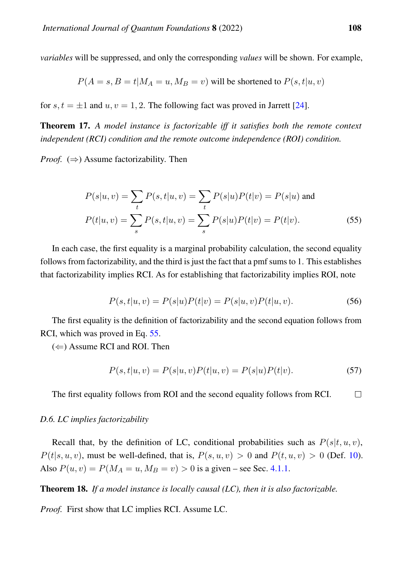*variables* will be suppressed, and only the corresponding *values* will be shown. For example,

$$
P(A = s, B = t | M_A = u, M_B = v)
$$
 will be shortened to  $P(s, t | u, v)$ 

for s,  $t = \pm 1$  and  $u, v = 1, 2$ . The following fact was proved in Jarrett [\[24\]](#page-85-0).

<span id="page-77-0"></span>Theorem 17. *A model instance is factorizable iff it satisfies both the remote context independent (RCI) condition and the remote outcome independence (ROI) condition.*

*Proof.*  $(\Rightarrow)$  Assume factorizability. Then

$$
P(s|u, v) = \sum_{t} P(s, t|u, v) = \sum_{t} P(s|u)P(t|v) = P(s|u) \text{ and}
$$

$$
P(t|u, v) = \sum_{s} P(s, t|u, v) = \sum_{s} P(s|u)P(t|v) = P(t|v).
$$
(55)

In each case, the first equality is a marginal probability calculation, the second equality follows from factorizability, and the third is just the fact that a pmf sums to 1. This establishes that factorizability implies RCI. As for establishing that factorizability implies ROI, note

<span id="page-77-2"></span>
$$
P(s,t|u,v) = P(s|u)P(t|v) = P(s|u,v)P(t|u,v).
$$
\n(56)

The first equality is the definition of factorizability and the second equation follows from RCI, which was proved in Eq. [55.](#page-77-2)

 $(\Leftarrow)$  Assume RCI and ROI. Then

$$
P(s,t|u,v) = P(s|u,v)P(t|u,v) = P(s|u)P(t|v).
$$
\n(57)

The first equality follows from ROI and the second equality follows from RCI.  $\Box$ 

#### <span id="page-77-1"></span>*D.6. LC implies factorizability*

Recall that, by the definition of LC, conditional probabilities such as  $P(s|t, u, v)$ ,  $P(t|s, u, v)$ , must be well-defined, that is,  $P(s, u, v) > 0$  and  $P(t, u, v) > 0$  (Def. [10\)](#page-12-0). Also  $P(u, v) = P(M_A = u, M_B = v) > 0$  is a given – see Sec. [4.1.1.](#page-70-0)

<span id="page-77-3"></span>Theorem 18. *If a model instance is locally causal (LC), then it is also factorizable.*

*Proof.* First show that LC implies RCI. Assume LC.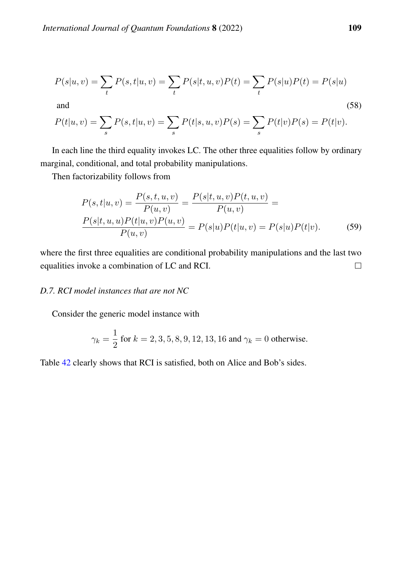$$
P(s|u, v) = \sum_{t} P(s, t|u, v) = \sum_{t} P(s|t, u, v)P(t) = \sum_{t} P(s|u)P(t) = P(s|u)
$$

and  $(58)$ 

$$
P(t|u, v) = \sum_{s} P(s, t|u, v) = \sum_{s} P(t|s, u, v)P(s) = \sum_{s} P(t|v)P(s) = P(t|v).
$$

In each line the third equality invokes LC. The other three equalities follow by ordinary marginal, conditional, and total probability manipulations.

Then factorizability follows from

$$
P(s,t|u,v) = \frac{P(s,t,u,v)}{P(u,v)} = \frac{P(s|t,u,v)P(t,u,v)}{P(u,v)} = \frac{P(s|t,u,v)P(t|u,v)}{P(u,v)} = P(s|u)P(t|u,v) = P(s|u)P(t|v).
$$
(59)

where the first three equalities are conditional probability manipulations and the last two equalities invoke a combination of LC and RCI.  $\Box$ 

# <span id="page-78-0"></span>*D.7. RCI model instances that are not NC*

Consider the generic model instance with

$$
\gamma_k = \frac{1}{2}
$$
 for  $k = 2, 3, 5, 8, 9, 12, 13, 16$  and  $\gamma_k = 0$  otherwise.

Table [42](#page-79-0) clearly shows that RCI is satisfied, both on Alice and Bob's sides.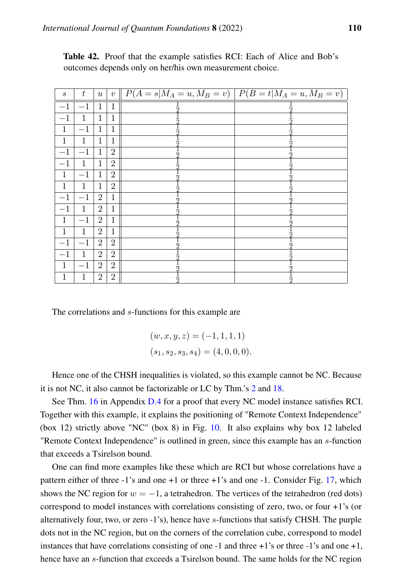| $\boldsymbol{s}$ | $\boldsymbol{t}$ | $\boldsymbol{u}$ |                | $v \parallel P(A = s M_A = u, M_B = v) \parallel P(B = t M_A = u, M_B = v) \parallel$ |   |
|------------------|------------------|------------------|----------------|---------------------------------------------------------------------------------------|---|
| $-1$             | $-1$             | $\mathbf{1}$     | 1              |                                                                                       |   |
| $-1$             | $\mathbf{1}$     | $\mathbf 1$      | $\mathbf{1}$   |                                                                                       |   |
| 1                | $-1$             | $\mathbf{1}$     | 1              |                                                                                       |   |
| 1                | $\mathbf 1$      | 1                | 1              |                                                                                       |   |
| $-1$             | $-1$             | 1                | $\overline{2}$ |                                                                                       |   |
| $-1$             | $\mathbf{1}$     | 1                | $\overline{2}$ |                                                                                       |   |
| $\mathbf{1}$     | $-1$             | $\mathbf{1}$     | $\overline{2}$ |                                                                                       |   |
| 1                | 1                | 1                | $\overline{2}$ |                                                                                       |   |
| 1                | $^{-1}$          | $\overline{2}$   | 1              |                                                                                       |   |
| $-1$             | $\mathbf{1}$     | $\overline{2}$   | 1              |                                                                                       |   |
| $\mathbf{1}$     | $-1$             | $\overline{2}$   | 1              |                                                                                       |   |
| 1                | 1                | $\overline{2}$   | 1              |                                                                                       |   |
| $-1$             | $-1$             | $\overline{2}$   | $\overline{2}$ |                                                                                       |   |
| $-1$             | $\mathbf{1}$     | $\overline{2}$   | $\overline{2}$ |                                                                                       |   |
| 1                | $^{-1}$          | $\overline{2}$   | $\overline{2}$ |                                                                                       |   |
| 1                | 1                | $\overline{2}$   | $\overline{2}$ | 9                                                                                     | っ |

<span id="page-79-0"></span>Table 42. Proof that the example satisfies RCI: Each of Alice and Bob's outcomes depends only on her/his own measurement choice.

The correlations and s-functions for this example are

$$
(w, x, y, z) = (-1, 1, 1, 1)
$$
  

$$
(s_1, s_2, s_3, s_4) = (4, 0, 0, 0).
$$

Hence one of the CHSH inequalities is violated, so this example cannot be NC. Because it is not NC, it also cannot be factorizable or LC by Thm.'s [2](#page-13-0) and [18.](#page-77-3)

See Thm. [16](#page-74-1) in Appendix [D.4](#page-74-2) for a proof that every NC model instance satisfies RCI. Together with this example, it explains the positioning of "Remote Context Independence" (box 12) strictly above "NC" (box 8) in Fig. [10.](#page-53-0) It also explains why box 12 labeled "Remote Context Independence" is outlined in green, since this example has an s-function that exceeds a Tsirelson bound.

One can find more examples like these which are RCI but whose correlations have a pattern either of three -1's and one +1 or three +1's and one -1. Consider Fig. [17,](#page-80-0) which shows the NC region for  $w = -1$ , a tetrahedron. The vertices of the tetrahedron (red dots) correspond to model instances with correlations consisting of zero, two, or four +1's (or alternatively four, two, or zero -1's), hence have s-functions that satisfy CHSH. The purple dots not in the NC region, but on the corners of the correlation cube, correspond to model instances that have correlations consisting of one  $-1$  and three  $+1$ 's or three  $-1$ 's and one  $+1$ , hence have an s-function that exceeds a Tsirelson bound. The same holds for the NC region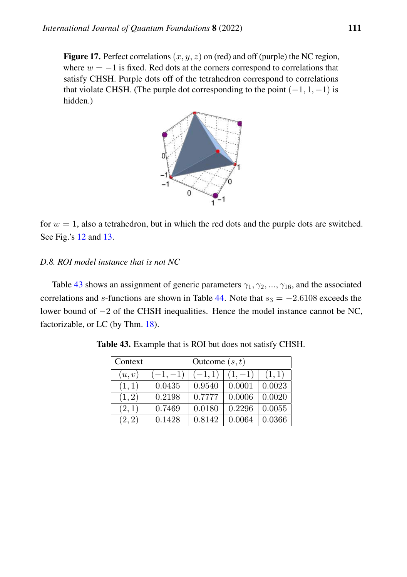<span id="page-80-0"></span>**Figure 17.** Perfect correlations  $(x, y, z)$  on (red) and off (purple) the NC region, where  $w = -1$  is fixed. Red dots at the corners correspond to correlations that satisfy CHSH. Purple dots off of the tetrahedron correspond to correlations that violate CHSH. (The purple dot corresponding to the point  $(-1, 1, -1)$  is hidden.)



for  $w = 1$ , also a tetrahedron, but in which the red dots and the purple dots are switched. See Fig.'s [12](#page-62-0) and [13.](#page-64-0)

### <span id="page-80-2"></span>*D.8. ROI model instance that is not NC*

<span id="page-80-1"></span>Table [43](#page-80-1) shows an assignment of generic parameters  $\gamma_1, \gamma_2, ..., \gamma_{16}$ , and the associated correlations and s-functions are shown in Table [44.](#page-81-0) Note that  $s_3 = -2.6108$  exceeds the lower bound of −2 of the CHSH inequalities. Hence the model instance cannot be NC, factorizable, or LC (by Thm. [18\)](#page-77-3).

| Context | Outcome $(s, t)$ |          |          |        |  |  |  |
|---------|------------------|----------|----------|--------|--|--|--|
| (u, v)  | $(-1,-1)$        | $(-1,1)$ | $(1,-1)$ | (1,1)  |  |  |  |
| (1,1)   | 0.0435           | 0.9540   | 0.0001   | 0.0023 |  |  |  |
| (1, 2)  | 0.2198           | 0.7777   | 0.0006   | 0.0020 |  |  |  |
| (2,1)   | 0.7469           | 0.0180   | 0.2296   | 0.0055 |  |  |  |
| (2, 2)  | 0.1428           | 0.8142   | 0.0064   | 0.0366 |  |  |  |

Table 43. Example that is ROI but does not satisfy CHSH.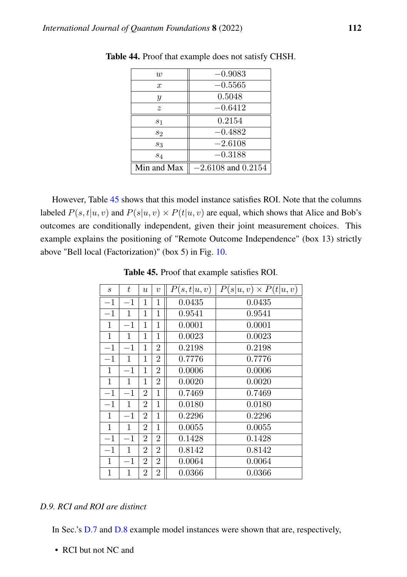| w             | $-0.9083$              |
|---------------|------------------------|
| $\mathcal{X}$ | $-0.5565$              |
| Y             | 0.5048                 |
| $\tilde{z}$   | $-0.6412$              |
| $s_1$         | 0.2154                 |
| $s_2$         | $-0.4882$              |
| $s_3$         | $-2.6108$              |
| $s_4$         | $-0.3188$              |
| Min and Max   | $-2.6108$ and $0.2154$ |

<span id="page-81-0"></span>Table 44. Proof that example does not satisfy CHSH.

However, Table [45](#page-81-1) shows that this model instance satisfies ROI. Note that the columns labeled  $P(s, t|u, v)$  and  $P(s|u, v) \times P(t|u, v)$  are equal, which shows that Alice and Bob's outcomes are conditionally independent, given their joint measurement choices. This example explains the positioning of "Remote Outcome Independence" (box 13) strictly above "Bell local (Factorization)" (box 5) in Fig. [10.](#page-53-0)

<span id="page-81-1"></span>

| $\mathcal{S}_{\mathcal{S}}$ | t            | $\boldsymbol{u}$ | $\upsilon$     | P(s,t u,v) | $P(s u, v) \times P(t u, v)$ |
|-----------------------------|--------------|------------------|----------------|------------|------------------------------|
| $-1$                        | $-1$         | 1                | 1              | 0.0435     | 0.0435                       |
| $-1$                        | 1            | 1                | 1              | 0.9541     | 0.9541                       |
| $\mathbf{1}$                | $-1$         | 1                | $\mathbf 1$    | 0.0001     | 0.0001                       |
| $\mathbf{1}$                | $\mathbf 1$  | 1                | 1              | 0.0023     | 0.0023                       |
| $-1$                        | $^{-1}$      | 1                | 2              | 0.2198     | 0.2198                       |
| $-1$                        | $\mathbf{1}$ | 1                | $\overline{2}$ | 0.7776     | 0.7776                       |
| 1                           | $-1$         | 1                | $\overline{2}$ | 0.0006     | 0.0006                       |
| 1                           | 1            | 1                | $\overline{2}$ | 0.0020     | 0.0020                       |
| $-1$                        | $-1$         | $\overline{2}$   | $\mathbf{1}$   | 0.7469     | 0.7469                       |
| $-1$                        | $\mathbf{1}$ | 2                | 1              | 0.0180     | 0.0180                       |
| 1                           | $-1$         | 2                | $\mathbf 1$    | 0.2296     | 0.2296                       |
| $\mathbf{1}$                | $\mathbf{1}$ | $\overline{2}$   | $\mathbf 1$    | 0.0055     | 0.0055                       |
| $-1$                        | $-1$         | 2                | $\overline{2}$ | 0.1428     | 0.1428                       |
| $-1$                        | 1            | 2                | $\overline{2}$ | 0.8142     | 0.8142                       |
| 1                           | $-1$         | 2                | 2              | 0.0064     | 0.0064                       |
| $\mathbf{1}$                | 1            | $\overline{2}$   | $\overline{2}$ | 0.0366     | 0.0366                       |

Table 45. Proof that example satisfies ROI.

## *D.9. RCI and ROI are distinct*

In Sec.'s [D.7](#page-78-0) and [D.8](#page-80-2) example model instances were shown that are, respectively,

• RCI but not NC and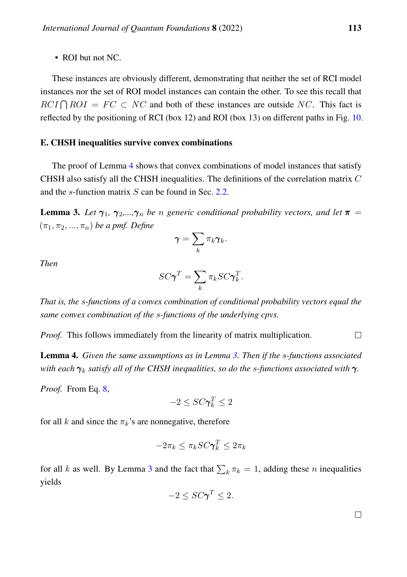• ROI but not NC.

These instances are obviously different, demonstrating that neither the set of RCI model instances nor the set of ROI model instances can contain the other. To see this recall that  $RCI \bigcap ROI = FC \subset NC$  and both of these instances are outside NC. This fact is reflected by the positioning of RCI (box 12) and ROI (box 13) on different paths in Fig. [10.](#page-53-0)

#### E. CHSH inequalities survive convex combinations

The proof of Lemma [4](#page-82-0) shows that convex combinations of model instances that satisfy CHSH also satisfy all the CHSH inequalities. The definitions of the correlation matrix C and the s-function matrix S can be found in Sec. [2.2.](#page-6-0)

<span id="page-82-1"></span>**Lemma 3.** Let  $\gamma_1$ ,  $\gamma_2,...,\gamma_n$  be *n* generic conditional probability vectors, and let  $\pi$  $(\pi_1, \pi_2, ..., \pi_n)$  *be a pmf. Define* 

$$
\boldsymbol{\gamma}=\sum_k \pi_k \boldsymbol{\gamma}_k.
$$

*Then*

$$
SC\pmb{\gamma}^T = \sum_k \pi_k SC\pmb{\gamma}_k^T.
$$

*That is, the* s*-functions of a convex combination of conditional probability vectors equal the same convex combination of the* s*-functions of the underlying cpvs.*

*Proof.* This follows immediately from the linearity of matrix multiplication.  $\Box$ 

<span id="page-82-0"></span>Lemma 4. *Given the same assumptions as in Lemma [3.](#page-82-1) Then if the* s*-functions associated with each* γ<sup>k</sup> *satisfy all of the CHSH inequalities, so do the* s*-functions associated with* γ*.*

*Proof.* From Eq. [8,](#page-8-0)

$$
-2 \leq SC\pmb{\gamma}_k^T \leq 2
$$

for all k and since the  $\pi_k$ 's are nonnegative, therefore

$$
-2\pi_k \leq \pi_k SC \pmb{\gamma}_k^T \leq 2\pi_k
$$

for all k as well. By Lemma [3](#page-82-1) and the fact that  $\sum_k \pi_k = 1$ , adding these n inequalities yields

$$
-2 \leq SC\pmb{\gamma}^T \leq 2.
$$

 $\Box$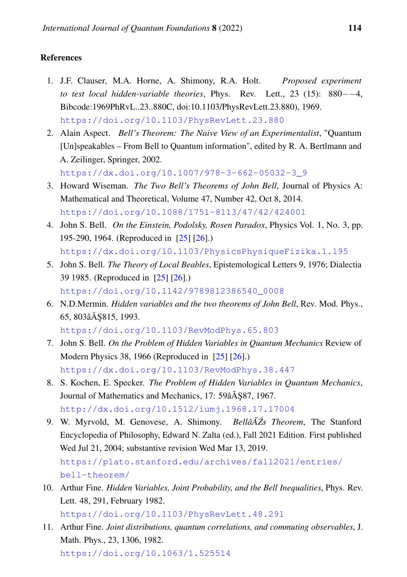# References

- 1. J.F. Clauser, M.A. Horne, A. Shimony, R.A. Holt. *Proposed experiment to test local hidden-variable theories*, Phys. Rev. Lett., 23 (15): 880−−4, Bibcode:1969PhRvL..23..880C, doi:10.1103/PhysRevLett.23.880), 1969. <https://doi.org/10.1103/PhysRevLett.23.880>
- 2. Alain Aspect. *Bell's Theorem: The Naive View of an Experimentalist*, "Quantum [Un]speakables – From Bell to Quantum information", edited by R. A. Bertlmann and A. Zeilinger, Springer, 2002. [https://dx.doi.org/10.1007/978-3-662-05032-3\\_9](https://dx.doi.org/10.1007/978-3-662-05032-3_9)

3. Howard Wiseman. *The Two Bell's Theorems of John Bell*, Journal of Physics A:

- Mathematical and Theoretical, Volume 47, Number 42, Oct 8, 2014. <https://doi.org/10.1088/1751-8113/47/42/424001>
- 4. John S. Bell. *On the Einstein, Podolsky, Rosen Paradox*, Physics Vol. 1, No. 3, pp. 195-290, 1964. (Reproduced in [\[25\]](#page-85-1) [\[26\]](#page-85-2).) <https://dx.doi.org/10.1103/PhysicsPhysiqueFizika.1.195>
- 5. John S. Bell. *The Theory of Local Beables*, Epistemological Letters 9, 1976; Dialectia 39 1985. (Reproduced in [\[25\]](#page-85-1) [\[26\]](#page-85-2).) [https://doi.org/10.1142/9789812386540\\_0008](https://doi.org/10.1142/9789812386540_0008)
- 6. N.D.Mermin. *Hidden variables and the two theorems of John Bell*, Rev. Mod. Phys., 65, 803âĂ \$815, 1993.

<https://doi.org/10.1103/RevModPhys.65.803>

- 7. John S. Bell. *On the Problem of Hidden Variables in Quantum Mechanics* Review of Modern Physics 38, 1966 (Reproduced in [\[25\]](#page-85-1) [\[26\]](#page-85-2).) <https://dx.doi.org/10.1103/RevModPhys.38.447>
- 8. S. Kochen, E. Specker. *The Problem of Hidden Variables in Quantum Mechanics*, Journal of Mathematics and Mechanics, 17: 59 $\tilde{A}$ \$87, 1967. <http://dx.doi.org/10.1512/iumj.1968.17.17004>
- 9. W. Myrvold, M. Genovese, A. Shimony. *Bellâ*A $Z$ s Theorem, The Stanford Encyclopedia of Philosophy, Edward N. Zalta (ed.), Fall 2021 Edition. First published Wed Jul 21, 2004; substantive revision Wed Mar 13, 2019. [https://plato.stanford.edu/archives/fall2021/entries/](https://plato.stanford.edu/archives/fall2021/entries/bell-theorem/) [bell-theorem/](https://plato.stanford.edu/archives/fall2021/entries/bell-theorem/)
- 10. Arthur Fine. *Hidden Variables, Joint Probability, and the Bell Inequalities*, Phys. Rev. Lett. 48, 291, February 1982.

<https://doi.org/10.1103/PhysRevLett.48.291>

11. Arthur Fine. *Joint distributions, quantum correlations, and commuting observables*, J. Math. Phys., 23, 1306, 1982.

<https://doi.org/10.1063/1.525514>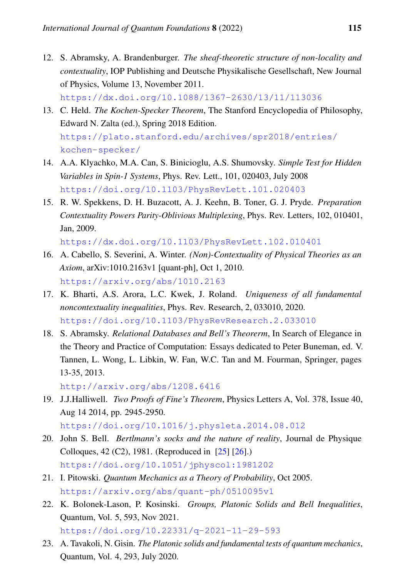- 12. S. Abramsky, A. Brandenburger. *The sheaf-theoretic structure of non-locality and contextuality*, IOP Publishing and Deutsche Physikalische Gesellschaft, New Journal of Physics, Volume 13, November 2011. <https://dx.doi.org/10.1088/1367-2630/13/11/113036>
- 13. C. Held. *The Kochen-Specker Theorem*, The Stanford Encyclopedia of Philosophy, Edward N. Zalta (ed.), Spring 2018 Edition. [https://plato.stanford.edu/archives/spr2018/entries/](https://plato.stanford.edu/archives/spr2018/entries/kochen-specker/) [kochen-specker/](https://plato.stanford.edu/archives/spr2018/entries/kochen-specker/)
- 14. A.A. Klyachko, M.A. Can, S. Binicioglu, A.S. Shumovsky. *Simple Test for Hidden Variables in Spin-1 Systems*, Phys. Rev. Lett., 101, 020403, July 2008 <https://doi.org/10.1103/PhysRevLett.101.020403>
- 15. R. W. Spekkens, D. H. Buzacott, A. J. Keehn, B. Toner, G. J. Pryde. *Preparation Contextuality Powers Parity-Oblivious Multiplexing*, Phys. Rev. Letters, 102, 010401, Jan, 2009.

<https://dx.doi.org/10.1103/PhysRevLett.102.010401>

- 16. A. Cabello, S. Severini, A. Winter. *(Non)-Contextuality of Physical Theories as an Axiom*, arXiv:1010.2163v1 [quant-ph], Oct 1, 2010. <https://arxiv.org/abs/1010.2163>
- 17. K. Bharti, A.S. Arora, L.C. Kwek, J. Roland. *Uniqueness of all fundamental noncontextuality inequalities*, Phys. Rev. Research, 2, 033010, 2020. <https://doi.org/10.1103/PhysRevResearch.2.033010>
- 18. S. Abramsky. *Relational Databases and Bell's Theorerm*, In Search of Elegance in the Theory and Practice of Computation: Essays dedicated to Peter Buneman, ed. V. Tannen, L. Wong, L. Libkin, W. Fan, W.C. Tan and M. Fourman, Springer, pages 13-35, 2013.

<http://arxiv.org/abs/1208.6416>

19. J.J.Halliwell. *Two Proofs of Fine's Theorem*, Physics Letters A, Vol. 378, Issue 40, Aug 14 2014, pp. 2945-2950.

<https://doi.org/10.1016/j.physleta.2014.08.012>

- 20. John S. Bell. *Bertlmann's socks and the nature of reality*, Journal de Physique Colloques, 42 (C2), 1981. (Reproduced in [\[25\]](#page-85-1) [\[26\]](#page-85-2).) <https://doi.org/10.1051/jphyscol:1981202>
- 21. I. Pitowski. *Quantum Mechanics as a Theory of Probability*, Oct 2005. <https://arxiv.org/abs/quant-ph/0510095v1>
- 22. K. Bolonek-Lason, P. Kosinski. *Groups, Platonic Solids and Bell Inequalities*, Quantum, Vol. 5, 593, Nov 2021. <https://doi.org/10.22331/q-2021-11-29-593>
- 23. A. Tavakoli, N. Gisin. *The Platonic solids and fundamental tests of quantum mechanics*, Quantum, Vol. 4, 293, July 2020.